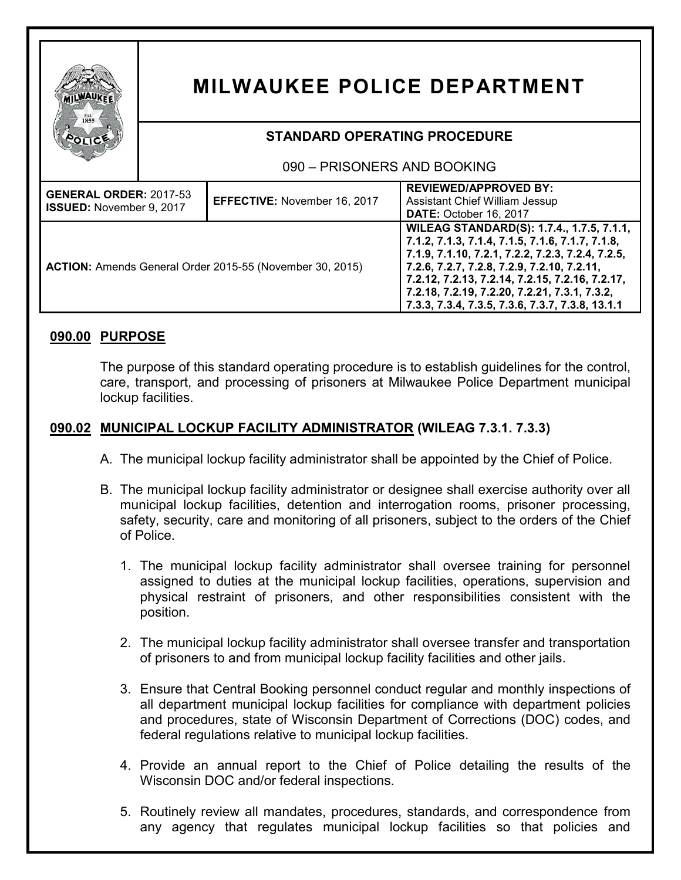

# **MILWAUKEE POLICE DEPARTMENT**

# **STANDARD OPERATING PROCEDURE**

## 090 – PRISONERS AND BOOKING

| <b>GENERAL ORDER: 2017-53</b><br>ISSUED: November 9, 2017 | EFFECTIVE: November 16, 2017 | <b>REVIEWED/APPROVED BY:</b><br><b>Assistant Chief William Jessup</b><br>DATE: October 16, 2017                                                                                                                                                                                                                                                           |
|-----------------------------------------------------------|------------------------------|-----------------------------------------------------------------------------------------------------------------------------------------------------------------------------------------------------------------------------------------------------------------------------------------------------------------------------------------------------------|
| ACTION: Amends General Order 2015-55 (November 30, 2015)  |                              | WILEAG STANDARD(S): 1.7.4., 1.7.5, 7.1.1,<br>7.1.2, 7.1.3, 7.1.4, 7.1.5, 7.1.6, 7.1.7, 7.1.8,<br>7.1.9, 7.1.10, 7.2.1, 7.2.2, 7.2.3, 7.2.4, 7.2.5,<br>7.2.6, 7.2.7, 7.2.8, 7.2.9, 7.2.10, 7.2.11,<br>7.2.12, 7.2.13, 7.2.14, 7.2.15, 7.2.16, 7.2.17,<br>7.2.18, 7.2.19, 7.2.20, 7.2.21, 7.3.1, 7.3.2,<br>7.3.3, 7.3.4, 7.3.5, 7.3.6, 7.3.7, 7.3.8, 13.1.1 |

# **090.00 PURPOSE**

The purpose of this standard operating procedure is to establish guidelines for the control, care, transport, and processing of prisoners at Milwaukee Police Department municipal lockup facilities.

# **090.02 MUNICIPAL LOCKUP FACILITY ADMINISTRATOR (WILEAG 7.3.1. 7.3.3)**

- A. The municipal lockup facility administrator shall be appointed by the Chief of Police.
- B. The municipal lockup facility administrator or designee shall exercise authority over all municipal lockup facilities, detention and interrogation rooms, prisoner processing, safety, security, care and monitoring of all prisoners, subject to the orders of the Chief of Police.
	- 1. The municipal lockup facility administrator shall oversee training for personnel assigned to duties at the municipal lockup facilities, operations, supervision and physical restraint of prisoners, and other responsibilities consistent with the position.
	- 2. The municipal lockup facility administrator shall oversee transfer and transportation of prisoners to and from municipal lockup facility facilities and other jails.
	- 3. Ensure that Central Booking personnel conduct regular and monthly inspections of all department municipal lockup facilities for compliance with department policies and procedures, state of Wisconsin Department of Corrections (DOC) codes, and federal regulations relative to municipal lockup facilities.
	- 4. Provide an annual report to the Chief of Police detailing the results of the Wisconsin DOC and/or federal inspections.
	- 5. Routinely review all mandates, procedures, standards, and correspondence from any agency that regulates municipal lockup facilities so that policies and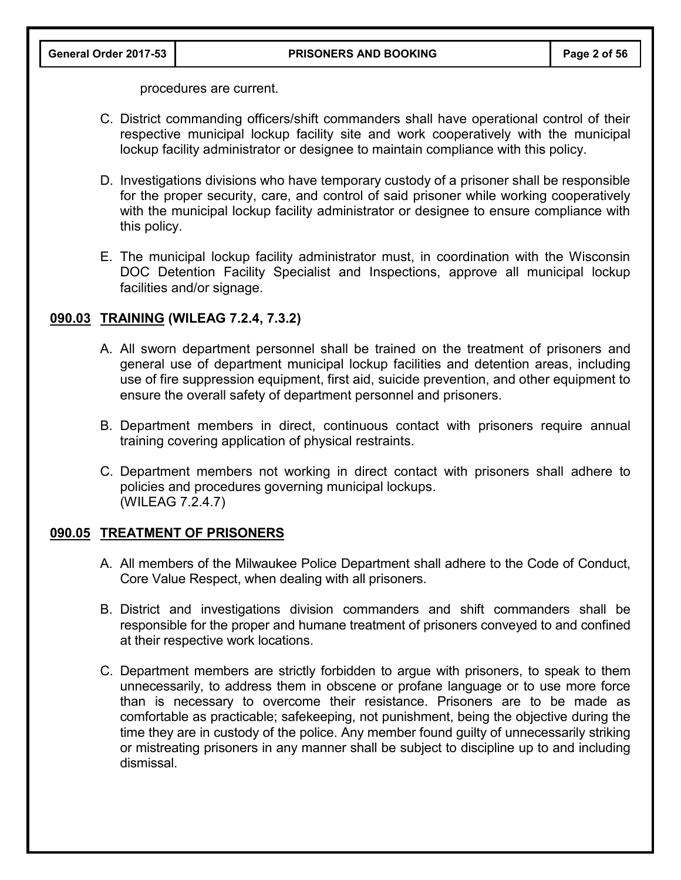procedures are current.

- C. District commanding officers/shift commanders shall have operational control of their respective municipal lockup facility site and work cooperatively with the municipal lockup facility administrator or designee to maintain compliance with this policy.
- D. Investigations divisions who have temporary custody of a prisoner shall be responsible for the proper security, care, and control of said prisoner while working cooperatively with the municipal lockup facility administrator or designee to ensure compliance with this policy.
- E. The municipal lockup facility administrator must, in coordination with the Wisconsin DOC Detention Facility Specialist and Inspections, approve all municipal lockup facilities and/or signage.

## **090.03 TRAINING (WILEAG 7.2.4, 7.3.2)**

- A. All sworn department personnel shall be trained on the treatment of prisoners and general use of department municipal lockup facilities and detention areas, including use of fire suppression equipment, first aid, suicide prevention, and other equipment to ensure the overall safety of department personnel and prisoners.
- B. Department members in direct, continuous contact with prisoners require annual training covering application of physical restraints.
- C. Department members not working in direct contact with prisoners shall adhere to policies and procedures governing municipal lockups. (WILEAG 7.2.4.7)

#### **090.05 TREATMENT OF PRISONERS**

- A. All members of the Milwaukee Police Department shall adhere to the Code of Conduct, Core Value Respect, when dealing with all prisoners.
- B. District and investigations division commanders and shift commanders shall be responsible for the proper and humane treatment of prisoners conveyed to and confined at their respective work locations.
- C. Department members are strictly forbidden to argue with prisoners, to speak to them unnecessarily, to address them in obscene or profane language or to use more force than is necessary to overcome their resistance. Prisoners are to be made as comfortable as practicable; safekeeping, not punishment, being the objective during the time they are in custody of the police. Any member found guilty of unnecessarily striking or mistreating prisoners in any manner shall be subject to discipline up to and including dismissal.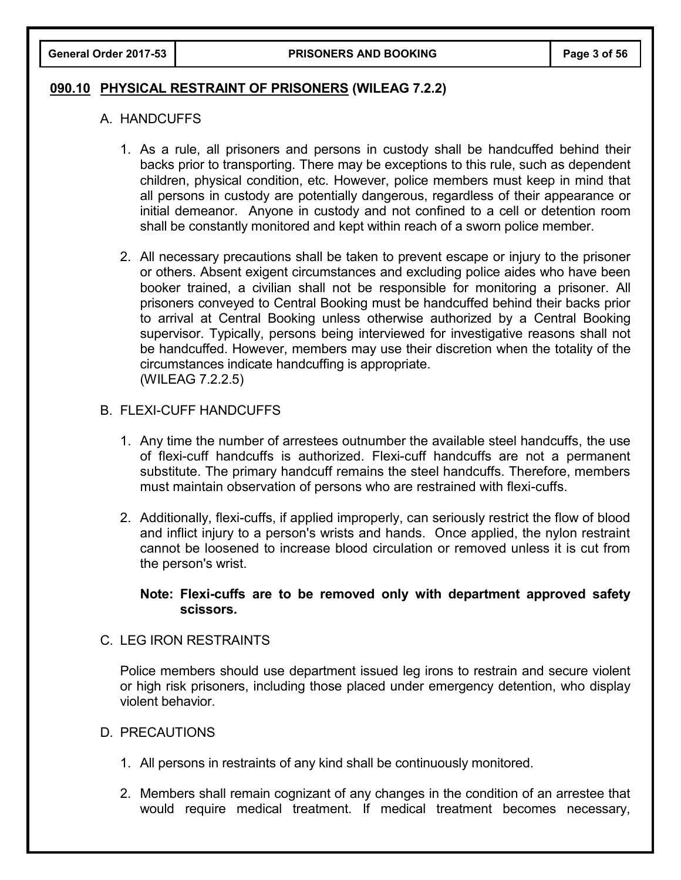#### **090.10 PHYSICAL RESTRAINT OF PRISONERS (WILEAG 7.2.2)**

#### A. HANDCUFFS

- 1. As a rule, all prisoners and persons in custody shall be handcuffed behind their backs prior to transporting. There may be exceptions to this rule, such as dependent children, physical condition, etc. However, police members must keep in mind that all persons in custody are potentially dangerous, regardless of their appearance or initial demeanor. Anyone in custody and not confined to a cell or detention room shall be constantly monitored and kept within reach of a sworn police member.
- 2. All necessary precautions shall be taken to prevent escape or injury to the prisoner or others. Absent exigent circumstances and excluding police aides who have been booker trained, a civilian shall not be responsible for monitoring a prisoner. All prisoners conveyed to Central Booking must be handcuffed behind their backs prior to arrival at Central Booking unless otherwise authorized by a Central Booking supervisor. Typically, persons being interviewed for investigative reasons shall not be handcuffed. However, members may use their discretion when the totality of the circumstances indicate handcuffing is appropriate. (WILEAG 7.2.2.5)

## B. FLEXI-CUFF HANDCUFFS

- 1. Any time the number of arrestees outnumber the available steel handcuffs, the use of flexi-cuff handcuffs is authorized. Flexi-cuff handcuffs are not a permanent substitute. The primary handcuff remains the steel handcuffs. Therefore, members must maintain observation of persons who are restrained with flexi-cuffs.
- 2. Additionally, flexi-cuffs, if applied improperly, can seriously restrict the flow of blood and inflict injury to a person's wrists and hands. Once applied, the nylon restraint cannot be loosened to increase blood circulation or removed unless it is cut from the person's wrist.

#### **Note: Flexi-cuffs are to be removed only with department approved safety scissors.**

#### C. LEG IRON RESTRAINTS

Police members should use department issued leg irons to restrain and secure violent or high risk prisoners, including those placed under emergency detention, who display violent behavior.

#### D. PRECAUTIONS

- 1. All persons in restraints of any kind shall be continuously monitored.
- 2. Members shall remain cognizant of any changes in the condition of an arrestee that would require medical treatment. If medical treatment becomes necessary,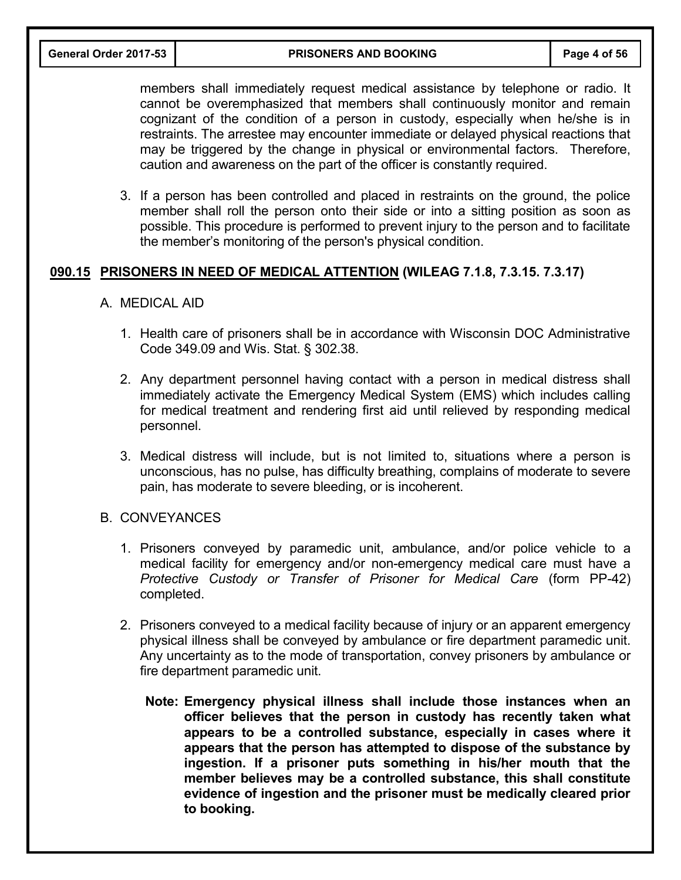**General Order 2017-53 PRISONERS AND BOOKING Page 4 of 56**

members shall immediately request medical assistance by telephone or radio. It cannot be overemphasized that members shall continuously monitor and remain cognizant of the condition of a person in custody, especially when he/she is in restraints. The arrestee may encounter immediate or delayed physical reactions that may be triggered by the change in physical or environmental factors. Therefore, caution and awareness on the part of the officer is constantly required.

3. If a person has been controlled and placed in restraints on the ground, the police member shall roll the person onto their side or into a sitting position as soon as possible. This procedure is performed to prevent injury to the person and to facilitate the member's monitoring of the person's physical condition.

## **090.15 PRISONERS IN NEED OF MEDICAL ATTENTION (WILEAG 7.1.8, 7.3.15. 7.3.17)**

- A. MEDICAL AID
	- 1. Health care of prisoners shall be in accordance with Wisconsin DOC Administrative Code 349.09 and Wis. Stat. § 302.38.
	- 2. Any department personnel having contact with a person in medical distress shall immediately activate the Emergency Medical System (EMS) which includes calling for medical treatment and rendering first aid until relieved by responding medical personnel.
	- 3. Medical distress will include, but is not limited to, situations where a person is unconscious, has no pulse, has difficulty breathing, complains of moderate to severe pain, has moderate to severe bleeding, or is incoherent.
- B. CONVEYANCES
	- 1. Prisoners conveyed by paramedic unit, ambulance, and/or police vehicle to a medical facility for emergency and/or non-emergency medical care must have a *Protective Custody or Transfer of Prisoner for Medical Care* (form PP-42) completed.
	- 2. Prisoners conveyed to a medical facility because of injury or an apparent emergency physical illness shall be conveyed by ambulance or fire department paramedic unit. Any uncertainty as to the mode of transportation, convey prisoners by ambulance or fire department paramedic unit.
		- **Note: Emergency physical illness shall include those instances when an officer believes that the person in custody has recently taken what appears to be a controlled substance, especially in cases where it appears that the person has attempted to dispose of the substance by ingestion. If a prisoner puts something in his/her mouth that the member believes may be a controlled substance, this shall constitute evidence of ingestion and the prisoner must be medically cleared prior to booking.**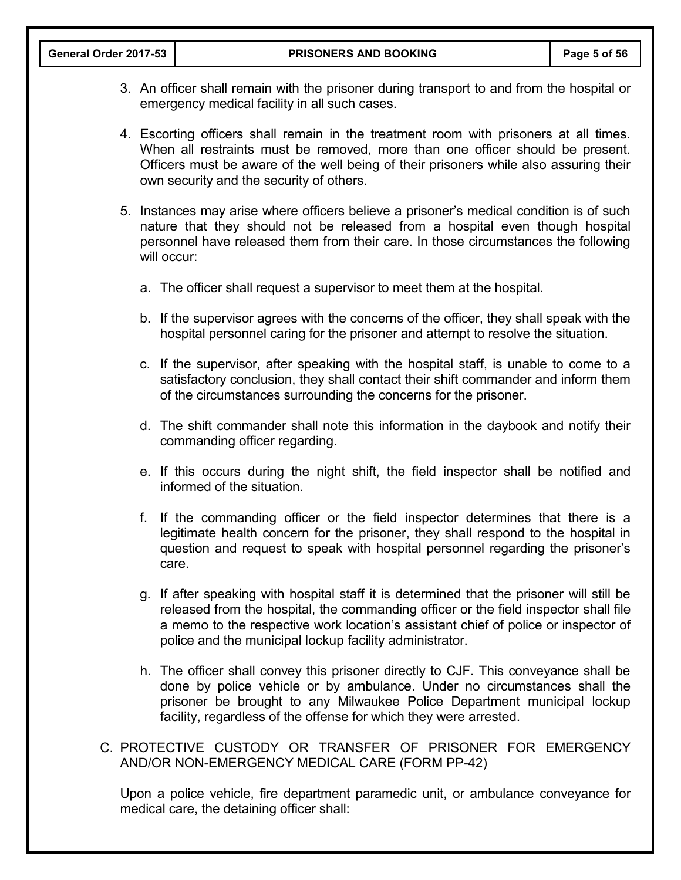- 3. An officer shall remain with the prisoner during transport to and from the hospital or emergency medical facility in all such cases.
- 4. Escorting officers shall remain in the treatment room with prisoners at all times. When all restraints must be removed, more than one officer should be present. Officers must be aware of the well being of their prisoners while also assuring their own security and the security of others.
- 5. Instances may arise where officers believe a prisoner's medical condition is of such nature that they should not be released from a hospital even though hospital personnel have released them from their care. In those circumstances the following will occur:
	- a. The officer shall request a supervisor to meet them at the hospital.
	- b. If the supervisor agrees with the concerns of the officer, they shall speak with the hospital personnel caring for the prisoner and attempt to resolve the situation.
	- c. If the supervisor, after speaking with the hospital staff, is unable to come to a satisfactory conclusion, they shall contact their shift commander and inform them of the circumstances surrounding the concerns for the prisoner.
	- d. The shift commander shall note this information in the daybook and notify their commanding officer regarding.
	- e. If this occurs during the night shift, the field inspector shall be notified and informed of the situation.
	- f. If the commanding officer or the field inspector determines that there is a legitimate health concern for the prisoner, they shall respond to the hospital in question and request to speak with hospital personnel regarding the prisoner's care.
	- g. If after speaking with hospital staff it is determined that the prisoner will still be released from the hospital, the commanding officer or the field inspector shall file a memo to the respective work location's assistant chief of police or inspector of police and the municipal lockup facility administrator.
	- h. The officer shall convey this prisoner directly to CJF. This conveyance shall be done by police vehicle or by ambulance. Under no circumstances shall the prisoner be brought to any Milwaukee Police Department municipal lockup facility, regardless of the offense for which they were arrested.
- C. PROTECTIVE CUSTODY OR TRANSFER OF PRISONER FOR EMERGENCY AND/OR NON-EMERGENCY MEDICAL CARE (FORM PP-42)

Upon a police vehicle, fire department paramedic unit, or ambulance conveyance for medical care, the detaining officer shall: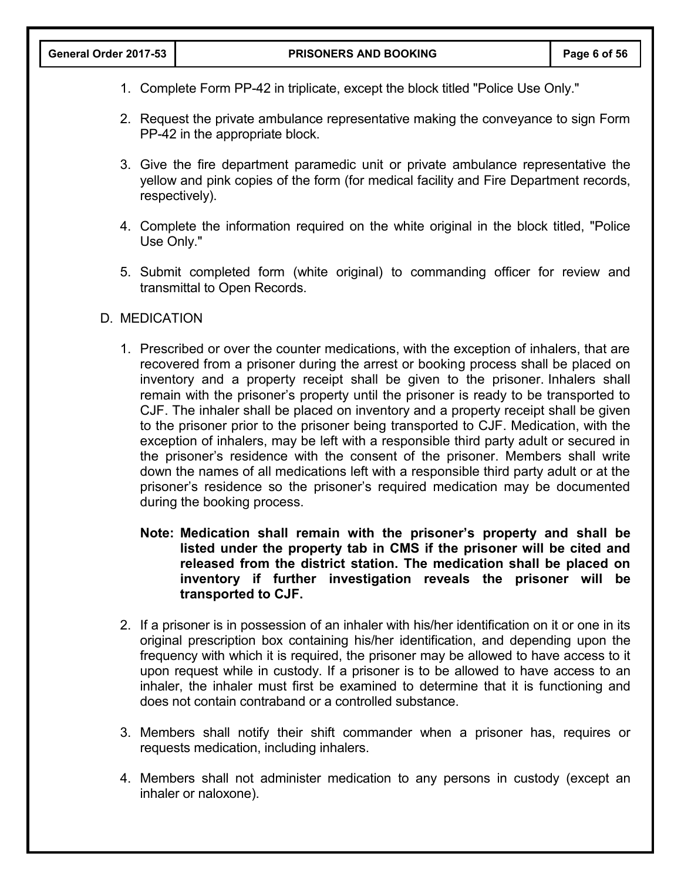- 1. Complete Form PP-42 in triplicate, except the block titled "Police Use Only."
- 2. Request the private ambulance representative making the conveyance to sign Form PP-42 in the appropriate block.
- 3. Give the fire department paramedic unit or private ambulance representative the yellow and pink copies of the form (for medical facility and Fire Department records, respectively).
- 4. Complete the information required on the white original in the block titled, "Police Use Only."
- 5. Submit completed form (white original) to commanding officer for review and transmittal to Open Records.

## D. MEDICATION

- 1. Prescribed or over the counter medications, with the exception of inhalers, that are recovered from a prisoner during the arrest or booking process shall be placed on inventory and a property receipt shall be given to the prisoner. Inhalers shall remain with the prisoner's property until the prisoner is ready to be transported to CJF. The inhaler shall be placed on inventory and a property receipt shall be given to the prisoner prior to the prisoner being transported to CJF. Medication, with the exception of inhalers, may be left with a responsible third party adult or secured in the prisoner's residence with the consent of the prisoner. Members shall write down the names of all medications left with a responsible third party adult or at the prisoner's residence so the prisoner's required medication may be documented during the booking process.
	- **Note: Medication shall remain with the prisoner's property and shall be listed under the property tab in CMS if the prisoner will be cited and released from the district station. The medication shall be placed on inventory if further investigation reveals the prisoner will be transported to CJF.**
- 2. If a prisoner is in possession of an inhaler with his/her identification on it or one in its original prescription box containing his/her identification, and depending upon the frequency with which it is required, the prisoner may be allowed to have access to it upon request while in custody. If a prisoner is to be allowed to have access to an inhaler, the inhaler must first be examined to determine that it is functioning and does not contain contraband or a controlled substance.
- 3. Members shall notify their shift commander when a prisoner has, requires or requests medication, including inhalers.
- 4. Members shall not administer medication to any persons in custody (except an inhaler or naloxone).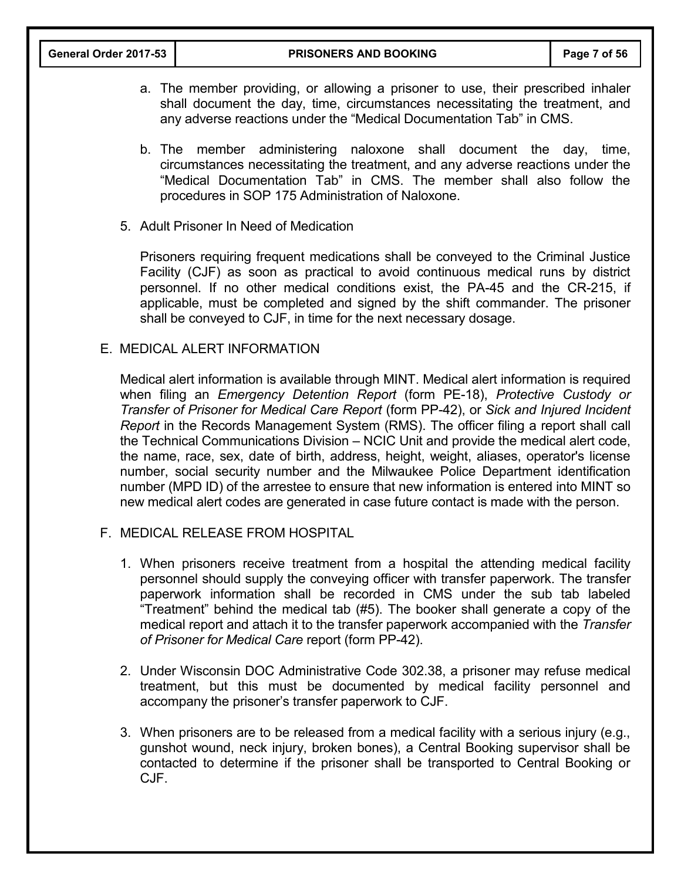- a. The member providing, or allowing a prisoner to use, their prescribed inhaler shall document the day, time, circumstances necessitating the treatment, and any adverse reactions under the "Medical Documentation Tab" in CMS.
- b. The member administering naloxone shall document the day, time, circumstances necessitating the treatment, and any adverse reactions under the "Medical Documentation Tab" in CMS. The member shall also follow the procedures in SOP 175 Administration of Naloxone.
- 5. Adult Prisoner In Need of Medication

Prisoners requiring frequent medications shall be conveyed to the Criminal Justice Facility (CJF) as soon as practical to avoid continuous medical runs by district personnel. If no other medical conditions exist, the PA-45 and the CR-215, if applicable, must be completed and signed by the shift commander. The prisoner shall be conveyed to CJF, in time for the next necessary dosage.

E. MEDICAL ALERT INFORMATION

Medical alert information is available through MINT. Medical alert information is required when filing an *Emergency Detention Report* (form PE-18), *Protective Custody or Transfer of Prisoner for Medical Care Report* (form PP-42), or *Sick and Injured Incident Report* in the Records Management System (RMS). The officer filing a report shall call the Technical Communications Division – NCIC Unit and provide the medical alert code, the name, race, sex, date of birth, address, height, weight, aliases, operator's license number, social security number and the Milwaukee Police Department identification number (MPD ID) of the arrestee to ensure that new information is entered into MINT so new medical alert codes are generated in case future contact is made with the person.

- F. MEDICAL RELEASE FROM HOSPITAL
	- 1. When prisoners receive treatment from a hospital the attending medical facility personnel should supply the conveying officer with transfer paperwork. The transfer paperwork information shall be recorded in CMS under the sub tab labeled "Treatment" behind the medical tab (#5). The booker shall generate a copy of the medical report and attach it to the transfer paperwork accompanied with the *Transfer of Prisoner for Medical Care* report (form PP-42).
	- 2. Under Wisconsin DOC Administrative Code 302.38, a prisoner may refuse medical treatment, but this must be documented by medical facility personnel and accompany the prisoner's transfer paperwork to CJF.
	- 3. When prisoners are to be released from a medical facility with a serious injury (e.g., gunshot wound, neck injury, broken bones), a Central Booking supervisor shall be contacted to determine if the prisoner shall be transported to Central Booking or CJF.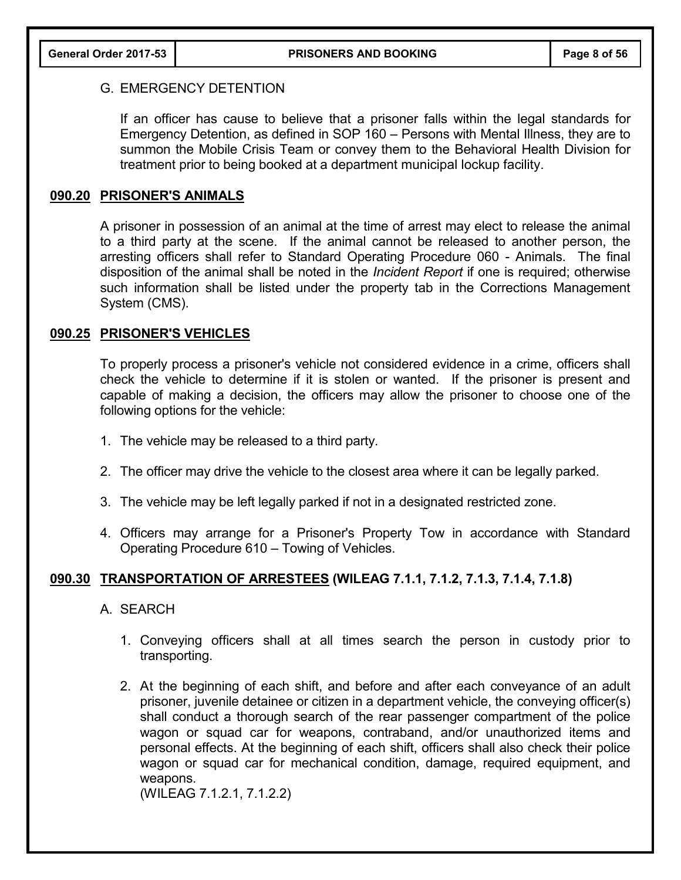#### G. EMERGENCY DETENTION

If an officer has cause to believe that a prisoner falls within the legal standards for Emergency Detention, as defined in SOP 160 – Persons with Mental Illness, they are to summon the Mobile Crisis Team or convey them to the Behavioral Health Division for treatment prior to being booked at a department municipal lockup facility.

## **090.20 PRISONER'S ANIMALS**

A prisoner in possession of an animal at the time of arrest may elect to release the animal to a third party at the scene. If the animal cannot be released to another person, the arresting officers shall refer to Standard Operating Procedure 060 - Animals. The final disposition of the animal shall be noted in the *Incident Report* if one is required; otherwise such information shall be listed under the property tab in the Corrections Management System (CMS).

#### **090.25 PRISONER'S VEHICLES**

To properly process a prisoner's vehicle not considered evidence in a crime, officers shall check the vehicle to determine if it is stolen or wanted. If the prisoner is present and capable of making a decision, the officers may allow the prisoner to choose one of the following options for the vehicle:

- 1. The vehicle may be released to a third party.
- 2. The officer may drive the vehicle to the closest area where it can be legally parked.
- 3. The vehicle may be left legally parked if not in a designated restricted zone.
- 4. Officers may arrange for a Prisoner's Property Tow in accordance with Standard Operating Procedure 610 – Towing of Vehicles.

## **090.30 TRANSPORTATION OF ARRESTEES (WILEAG 7.1.1, 7.1.2, 7.1.3, 7.1.4, 7.1.8)**

- A. SEARCH
	- 1. Conveying officers shall at all times search the person in custody prior to transporting.
	- 2. At the beginning of each shift, and before and after each conveyance of an adult prisoner, juvenile detainee or citizen in a department vehicle, the conveying officer(s) shall conduct a thorough search of the rear passenger compartment of the police wagon or squad car for weapons, contraband, and/or unauthorized items and personal effects. At the beginning of each shift, officers shall also check their police wagon or squad car for mechanical condition, damage, required equipment, and weapons.

(WILEAG 7.1.2.1, 7.1.2.2)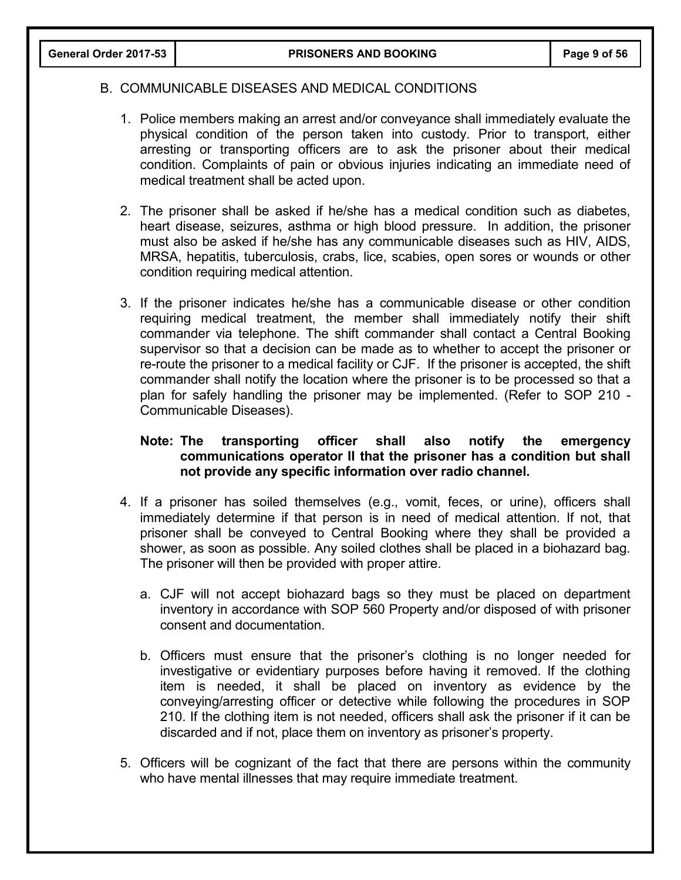## B. COMMUNICABLE DISEASES AND MEDICAL CONDITIONS

- 1. Police members making an arrest and/or conveyance shall immediately evaluate the physical condition of the person taken into custody. Prior to transport, either arresting or transporting officers are to ask the prisoner about their medical condition. Complaints of pain or obvious injuries indicating an immediate need of medical treatment shall be acted upon.
- 2. The prisoner shall be asked if he/she has a medical condition such as diabetes, heart disease, seizures, asthma or high blood pressure. In addition, the prisoner must also be asked if he/she has any communicable diseases such as HIV, AIDS, MRSA, hepatitis, tuberculosis, crabs, lice, scabies, open sores or wounds or other condition requiring medical attention.
- 3. If the prisoner indicates he/she has a communicable disease or other condition requiring medical treatment, the member shall immediately notify their shift commander via telephone. The shift commander shall contact a Central Booking supervisor so that a decision can be made as to whether to accept the prisoner or re-route the prisoner to a medical facility or CJF. If the prisoner is accepted, the shift commander shall notify the location where the prisoner is to be processed so that a plan for safely handling the prisoner may be implemented. (Refer to SOP 210 - Communicable Diseases).

## **Note: The transporting officer shall also notify the emergency communications operator II that the prisoner has a condition but shall not provide any specific information over radio channel.**

- 4. If a prisoner has soiled themselves (e.g., vomit, feces, or urine), officers shall immediately determine if that person is in need of medical attention. If not, that prisoner shall be conveyed to Central Booking where they shall be provided a shower, as soon as possible. Any soiled clothes shall be placed in a biohazard bag. The prisoner will then be provided with proper attire.
	- a. CJF will not accept biohazard bags so they must be placed on department inventory in accordance with SOP 560 Property and/or disposed of with prisoner consent and documentation.
	- b. Officers must ensure that the prisoner's clothing is no longer needed for investigative or evidentiary purposes before having it removed. If the clothing item is needed, it shall be placed on inventory as evidence by the conveying/arresting officer or detective while following the procedures in SOP 210. If the clothing item is not needed, officers shall ask the prisoner if it can be discarded and if not, place them on inventory as prisoner's property.
- 5. Officers will be cognizant of the fact that there are persons within the community who have mental illnesses that may require immediate treatment.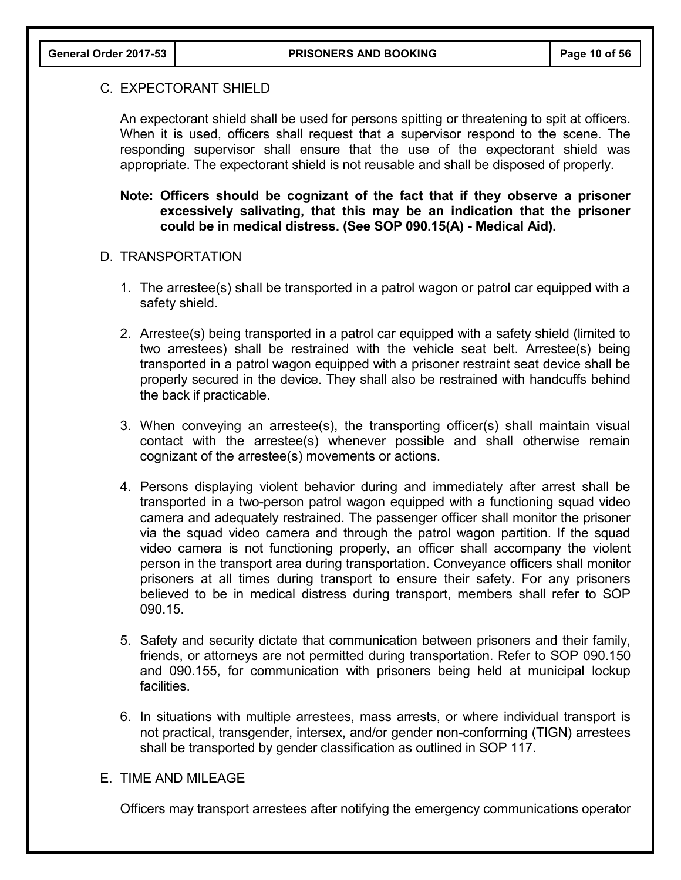#### C. EXPECTORANT SHIELD

An expectorant shield shall be used for persons spitting or threatening to spit at officers. When it is used, officers shall request that a supervisor respond to the scene. The responding supervisor shall ensure that the use of the expectorant shield was appropriate. The expectorant shield is not reusable and shall be disposed of properly.

## **Note: Officers should be cognizant of the fact that if they observe a prisoner excessively salivating, that this may be an indication that the prisoner could be in medical distress. (See SOP 090.15(A) - Medical Aid).**

#### D. TRANSPORTATION

- 1. The arrestee(s) shall be transported in a patrol wagon or patrol car equipped with a safety shield.
- 2. Arrestee(s) being transported in a patrol car equipped with a safety shield (limited to two arrestees) shall be restrained with the vehicle seat belt. Arrestee(s) being transported in a patrol wagon equipped with a prisoner restraint seat device shall be properly secured in the device. They shall also be restrained with handcuffs behind the back if practicable.
- 3. When conveying an arrestee(s), the transporting officer(s) shall maintain visual contact with the arrestee(s) whenever possible and shall otherwise remain cognizant of the arrestee(s) movements or actions.
- 4. Persons displaying violent behavior during and immediately after arrest shall be transported in a two-person patrol wagon equipped with a functioning squad video camera and adequately restrained. The passenger officer shall monitor the prisoner via the squad video camera and through the patrol wagon partition. If the squad video camera is not functioning properly, an officer shall accompany the violent person in the transport area during transportation. Conveyance officers shall monitor prisoners at all times during transport to ensure their safety. For any prisoners believed to be in medical distress during transport, members shall refer to SOP 090.15.
- 5. Safety and security dictate that communication between prisoners and their family, friends, or attorneys are not permitted during transportation. Refer to SOP 090.150 and 090.155, for communication with prisoners being held at municipal lockup facilities.
- 6. In situations with multiple arrestees, mass arrests, or where individual transport is not practical, transgender, intersex, and/or gender non-conforming (TIGN) arrestees shall be transported by gender classification as outlined in SOP 117.

## E. TIME AND MILEAGE

Officers may transport arrestees after notifying the emergency communications operator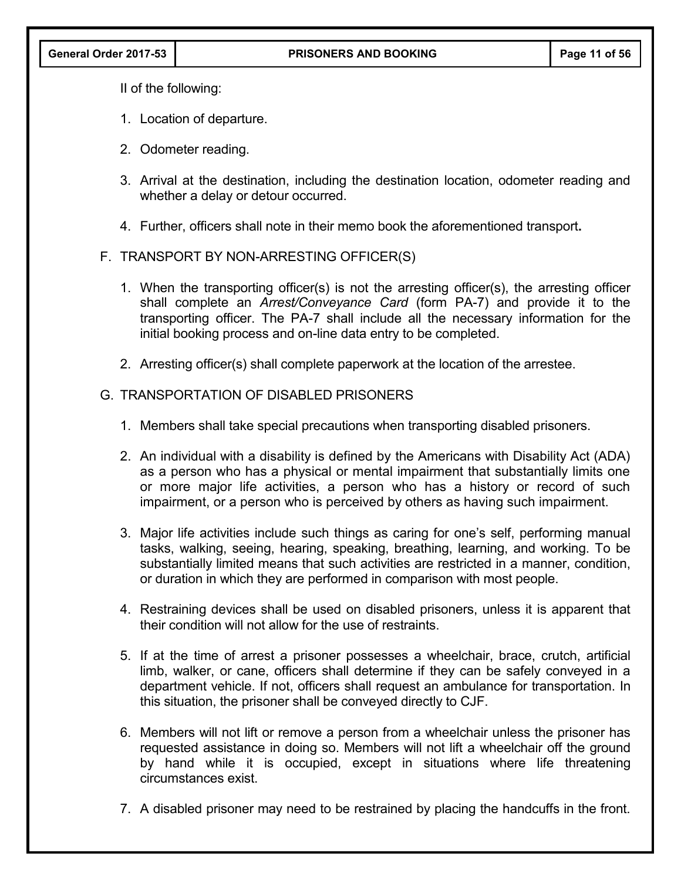II of the following:

- 1. Location of departure.
- 2. Odometer reading.
- 3. Arrival at the destination, including the destination location, odometer reading and whether a delay or detour occurred.
- 4. Further, officers shall note in their memo book the aforementioned transport**.**

## F. TRANSPORT BY NON-ARRESTING OFFICER(S)

- 1. When the transporting officer(s) is not the arresting officer(s), the arresting officer shall complete an *Arrest/Conveyance Card* (form PA-7) and provide it to the transporting officer. The PA-7 shall include all the necessary information for the initial booking process and on-line data entry to be completed.
- 2. Arresting officer(s) shall complete paperwork at the location of the arrestee.

## G. TRANSPORTATION OF DISABLED PRISONERS

- 1. Members shall take special precautions when transporting disabled prisoners.
- 2. An individual with a disability is defined by the Americans with Disability Act (ADA) as a person who has a physical or mental impairment that substantially limits one or more major life activities, a person who has a history or record of such impairment, or a person who is perceived by others as having such impairment.
- 3. Major life activities include such things as caring for one's self, performing manual tasks, walking, seeing, hearing, speaking, breathing, learning, and working. To be substantially limited means that such activities are restricted in a manner, condition, or duration in which they are performed in comparison with most people.
- 4. Restraining devices shall be used on disabled prisoners, unless it is apparent that their condition will not allow for the use of restraints.
- 5. If at the time of arrest a prisoner possesses a wheelchair, brace, crutch, artificial limb, walker, or cane, officers shall determine if they can be safely conveyed in a department vehicle. If not, officers shall request an ambulance for transportation. In this situation, the prisoner shall be conveyed directly to CJF.
- 6. Members will not lift or remove a person from a wheelchair unless the prisoner has requested assistance in doing so. Members will not lift a wheelchair off the ground by hand while it is occupied, except in situations where life threatening circumstances exist.
- 7. A disabled prisoner may need to be restrained by placing the handcuffs in the front.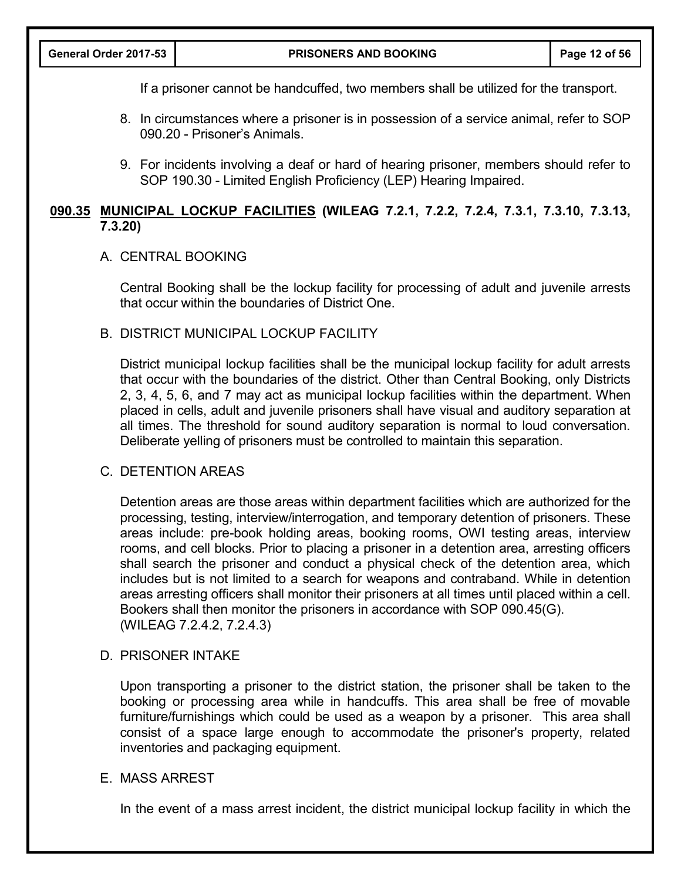If a prisoner cannot be handcuffed, two members shall be utilized for the transport.

- 8. In circumstances where a prisoner is in possession of a service animal, refer to SOP 090.20 - Prisoner's Animals.
- 9. For incidents involving a deaf or hard of hearing prisoner, members should refer to SOP 190.30 - Limited English Proficiency (LEP) Hearing Impaired.

## **090.35 MUNICIPAL LOCKUP FACILITIES (WILEAG 7.2.1, 7.2.2, 7.2.4, 7.3.1, 7.3.10, 7.3.13, 7.3.20)**

## A. CENTRAL BOOKING

Central Booking shall be the lockup facility for processing of adult and juvenile arrests that occur within the boundaries of District One.

#### B. DISTRICT MUNICIPAL LOCKUP FACILITY

District municipal lockup facilities shall be the municipal lockup facility for adult arrests that occur with the boundaries of the district. Other than Central Booking, only Districts 2, 3, 4, 5, 6, and 7 may act as municipal lockup facilities within the department. When placed in cells, adult and juvenile prisoners shall have visual and auditory separation at all times. The threshold for sound auditory separation is normal to loud conversation. Deliberate yelling of prisoners must be controlled to maintain this separation.

#### C. DETENTION AREAS

Detention areas are those areas within department facilities which are authorized for the processing, testing, interview/interrogation, and temporary detention of prisoners. These areas include: pre-book holding areas, booking rooms, OWI testing areas, interview rooms, and cell blocks. Prior to placing a prisoner in a detention area, arresting officers shall search the prisoner and conduct a physical check of the detention area, which includes but is not limited to a search for weapons and contraband. While in detention areas arresting officers shall monitor their prisoners at all times until placed within a cell. Bookers shall then monitor the prisoners in accordance with SOP 090.45(G). (WILEAG 7.2.4.2, 7.2.4.3)

#### D. PRISONER INTAKE

Upon transporting a prisoner to the district station, the prisoner shall be taken to the booking or processing area while in handcuffs. This area shall be free of movable furniture/furnishings which could be used as a weapon by a prisoner. This area shall consist of a space large enough to accommodate the prisoner's property, related inventories and packaging equipment.

## E. MASS ARREST

In the event of a mass arrest incident, the district municipal lockup facility in which the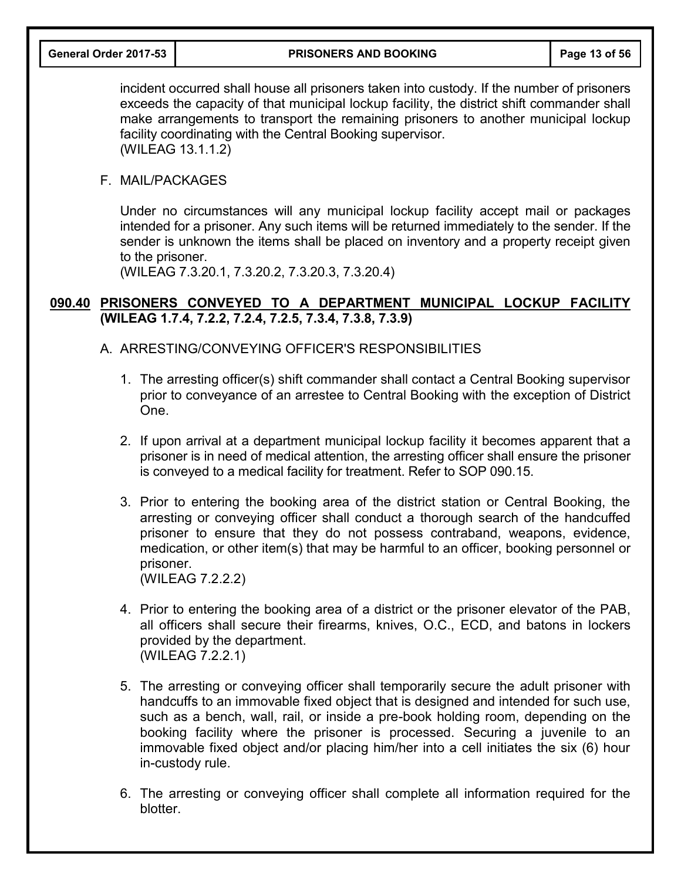incident occurred shall house all prisoners taken into custody. If the number of prisoners exceeds the capacity of that municipal lockup facility, the district shift commander shall make arrangements to transport the remaining prisoners to another municipal lockup facility coordinating with the Central Booking supervisor. (WILEAG 13.1.1.2)

#### F. MAIL/PACKAGES

Under no circumstances will any municipal lockup facility accept mail or packages intended for a prisoner. Any such items will be returned immediately to the sender. If the sender is unknown the items shall be placed on inventory and a property receipt given to the prisoner.

(WILEAG 7.3.20.1, 7.3.20.2, 7.3.20.3, 7.3.20.4)

## **090.40 PRISONERS CONVEYED TO A DEPARTMENT MUNICIPAL LOCKUP FACILITY (WILEAG 1.7.4, 7.2.2, 7.2.4, 7.2.5, 7.3.4, 7.3.8, 7.3.9)**

- A. ARRESTING/CONVEYING OFFICER'S RESPONSIBILITIES
	- 1. The arresting officer(s) shift commander shall contact a Central Booking supervisor prior to conveyance of an arrestee to Central Booking with the exception of District One.
	- 2. If upon arrival at a department municipal lockup facility it becomes apparent that a prisoner is in need of medical attention, the arresting officer shall ensure the prisoner is conveyed to a medical facility for treatment. Refer to SOP 090.15.
	- 3. Prior to entering the booking area of the district station or Central Booking, the arresting or conveying officer shall conduct a thorough search of the handcuffed prisoner to ensure that they do not possess contraband, weapons, evidence, medication, or other item(s) that may be harmful to an officer, booking personnel or prisoner. (WILEAG 7.2.2.2)
	- 4. Prior to entering the booking area of a district or the prisoner elevator of the PAB, all officers shall secure their firearms, knives, O.C., ECD, and batons in lockers provided by the department. (WILEAG 7.2.2.1)
	- 5. The arresting or conveying officer shall temporarily secure the adult prisoner with handcuffs to an immovable fixed object that is designed and intended for such use, such as a bench, wall, rail, or inside a pre-book holding room, depending on the booking facility where the prisoner is processed. Securing a juvenile to an immovable fixed object and/or placing him/her into a cell initiates the six (6) hour in-custody rule.
	- 6. The arresting or conveying officer shall complete all information required for the blotter.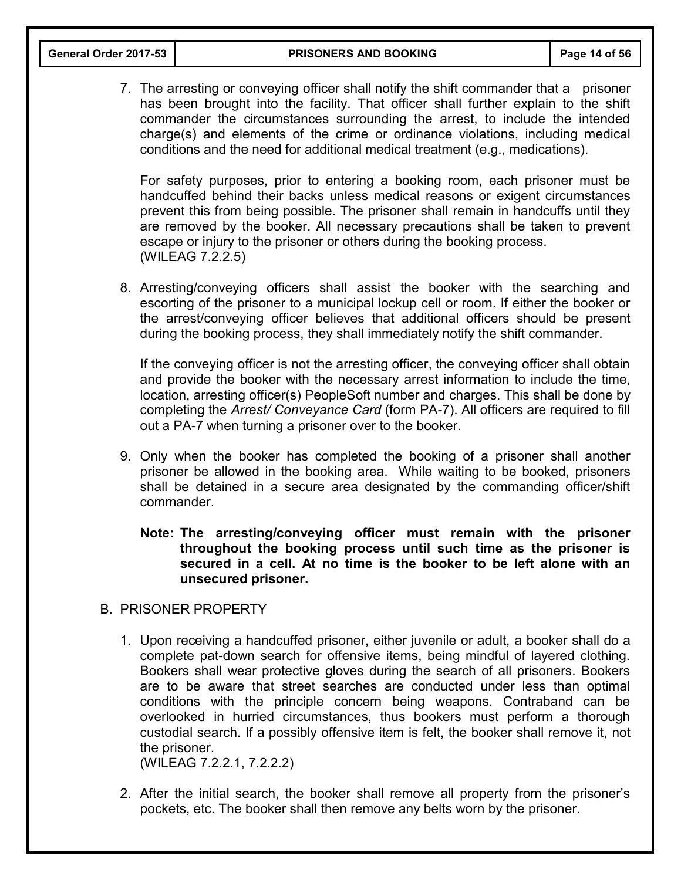7. The arresting or conveying officer shall notify the shift commander that a prisoner has been brought into the facility. That officer shall further explain to the shift commander the circumstances surrounding the arrest, to include the intended charge(s) and elements of the crime or ordinance violations, including medical conditions and the need for additional medical treatment (e.g., medications).

For safety purposes, prior to entering a booking room, each prisoner must be handcuffed behind their backs unless medical reasons or exigent circumstances prevent this from being possible. The prisoner shall remain in handcuffs until they are removed by the booker. All necessary precautions shall be taken to prevent escape or injury to the prisoner or others during the booking process. (WILEAG 7.2.2.5)

8. Arresting/conveying officers shall assist the booker with the searching and escorting of the prisoner to a municipal lockup cell or room. If either the booker or the arrest/conveying officer believes that additional officers should be present during the booking process, they shall immediately notify the shift commander.

If the conveying officer is not the arresting officer, the conveying officer shall obtain and provide the booker with the necessary arrest information to include the time, location, arresting officer(s) PeopleSoft number and charges. This shall be done by completing the *Arrest/ Conveyance Card* (form PA-7). All officers are required to fill out a PA-7 when turning a prisoner over to the booker.

- 9. Only when the booker has completed the booking of a prisoner shall another prisoner be allowed in the booking area. While waiting to be booked, prisoners shall be detained in a secure area designated by the commanding officer/shift commander.
	- **Note: The arresting/conveying officer must remain with the prisoner throughout the booking process until such time as the prisoner is secured in a cell. At no time is the booker to be left alone with an unsecured prisoner.**
- B. PRISONER PROPERTY
	- 1. Upon receiving a handcuffed prisoner, either juvenile or adult, a booker shall do a complete pat-down search for offensive items, being mindful of layered clothing. Bookers shall wear protective gloves during the search of all prisoners. Bookers are to be aware that street searches are conducted under less than optimal conditions with the principle concern being weapons. Contraband can be overlooked in hurried circumstances, thus bookers must perform a thorough custodial search. If a possibly offensive item is felt, the booker shall remove it, not the prisoner.

(WILEAG 7.2.2.1, 7.2.2.2)

2. After the initial search, the booker shall remove all property from the prisoner's pockets, etc. The booker shall then remove any belts worn by the prisoner.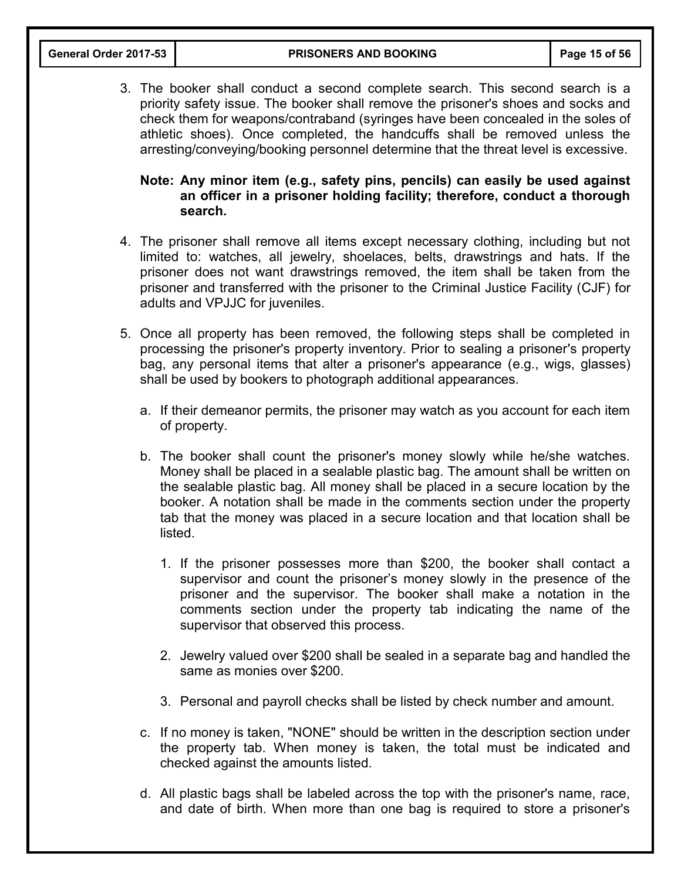3. The booker shall conduct a second complete search. This second search is a priority safety issue. The booker shall remove the prisoner's shoes and socks and check them for weapons/contraband (syringes have been concealed in the soles of athletic shoes). Once completed, the handcuffs shall be removed unless the arresting/conveying/booking personnel determine that the threat level is excessive.

## **Note: Any minor item (e.g., safety pins, pencils) can easily be used against an officer in a prisoner holding facility; therefore, conduct a thorough search.**

- 4. The prisoner shall remove all items except necessary clothing, including but not limited to: watches, all jewelry, shoelaces, belts, drawstrings and hats. If the prisoner does not want drawstrings removed, the item shall be taken from the prisoner and transferred with the prisoner to the Criminal Justice Facility (CJF) for adults and VPJJC for juveniles.
- 5. Once all property has been removed, the following steps shall be completed in processing the prisoner's property inventory. Prior to sealing a prisoner's property bag, any personal items that alter a prisoner's appearance (e.g., wigs, glasses) shall be used by bookers to photograph additional appearances.
	- a. If their demeanor permits, the prisoner may watch as you account for each item of property.
	- b. The booker shall count the prisoner's money slowly while he/she watches. Money shall be placed in a sealable plastic bag. The amount shall be written on the sealable plastic bag. All money shall be placed in a secure location by the booker. A notation shall be made in the comments section under the property tab that the money was placed in a secure location and that location shall be listed.
		- 1. If the prisoner possesses more than \$200, the booker shall contact a supervisor and count the prisoner's money slowly in the presence of the prisoner and the supervisor. The booker shall make a notation in the comments section under the property tab indicating the name of the supervisor that observed this process.
		- 2. Jewelry valued over \$200 shall be sealed in a separate bag and handled the same as monies over \$200.
		- 3. Personal and payroll checks shall be listed by check number and amount.
	- c. If no money is taken, "NONE" should be written in the description section under the property tab. When money is taken, the total must be indicated and checked against the amounts listed.
	- d. All plastic bags shall be labeled across the top with the prisoner's name, race, and date of birth. When more than one bag is required to store a prisoner's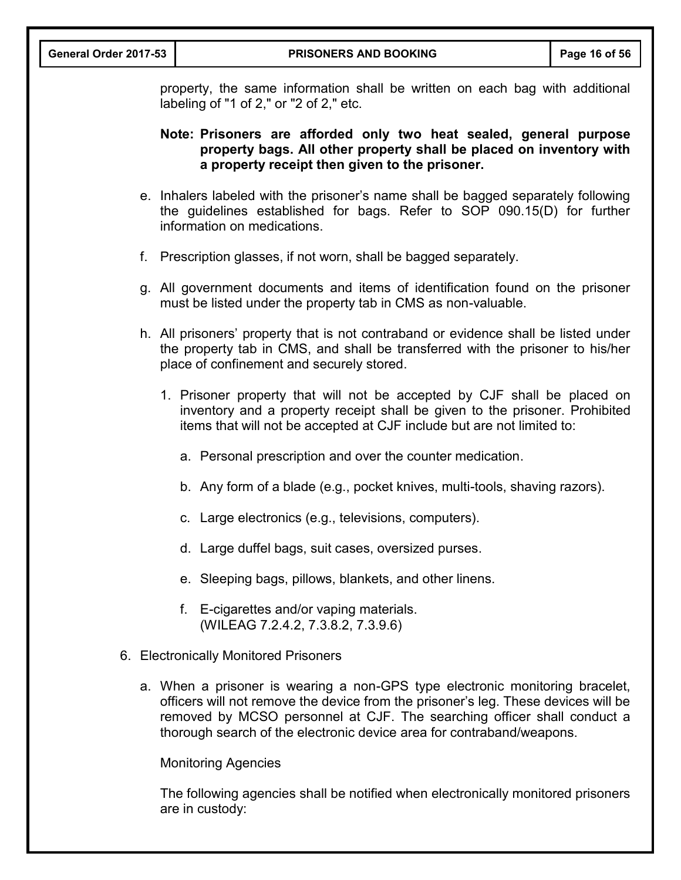|  | General Order 2017-53                                                                                                                                                                       | <b>PRISONERS AND BOOKING</b>                                                                                                                                                                                                                                                                                           | Page 16 of 56 |  |
|--|---------------------------------------------------------------------------------------------------------------------------------------------------------------------------------------------|------------------------------------------------------------------------------------------------------------------------------------------------------------------------------------------------------------------------------------------------------------------------------------------------------------------------|---------------|--|
|  | property, the same information shall be written on each bag with additional<br>labeling of "1 of 2," or "2 of 2," etc.                                                                      |                                                                                                                                                                                                                                                                                                                        |               |  |
|  | Note: Prisoners are afforded only two heat sealed, general purpose<br>property bags. All other property shall be placed on inventory with<br>a property receipt then given to the prisoner. |                                                                                                                                                                                                                                                                                                                        |               |  |
|  |                                                                                                                                                                                             | e. Inhalers labeled with the prisoner's name shall be bagged separately following<br>the guidelines established for bags. Refer to SOP 090.15(D) for further<br>information on medications.                                                                                                                            |               |  |
|  |                                                                                                                                                                                             | f. Prescription glasses, if not worn, shall be bagged separately.                                                                                                                                                                                                                                                      |               |  |
|  |                                                                                                                                                                                             | g. All government documents and items of identification found on the prisoner<br>must be listed under the property tab in CMS as non-valuable.                                                                                                                                                                         |               |  |
|  |                                                                                                                                                                                             | h. All prisoners' property that is not contraband or evidence shall be listed under<br>the property tab in CMS, and shall be transferred with the prisoner to his/her<br>place of confinement and securely stored.                                                                                                     |               |  |
|  |                                                                                                                                                                                             | 1. Prisoner property that will not be accepted by CJF shall be placed on<br>inventory and a property receipt shall be given to the prisoner. Prohibited<br>items that will not be accepted at CJF include but are not limited to:                                                                                      |               |  |
|  |                                                                                                                                                                                             | a. Personal prescription and over the counter medication.                                                                                                                                                                                                                                                              |               |  |
|  |                                                                                                                                                                                             | b. Any form of a blade (e.g., pocket knives, multi-tools, shaving razors).                                                                                                                                                                                                                                             |               |  |
|  |                                                                                                                                                                                             | c. Large electronics (e.g., televisions, computers).                                                                                                                                                                                                                                                                   |               |  |
|  |                                                                                                                                                                                             | d. Large duffel bags, suit cases, oversized purses.                                                                                                                                                                                                                                                                    |               |  |
|  |                                                                                                                                                                                             | e. Sleeping bags, pillows, blankets, and other linens.                                                                                                                                                                                                                                                                 |               |  |
|  |                                                                                                                                                                                             | f. E-cigarettes and/or vaping materials.<br>(WILEAG 7.2.4.2, 7.3.8.2, 7.3.9.6)                                                                                                                                                                                                                                         |               |  |
|  |                                                                                                                                                                                             | 6. Electronically Monitored Prisoners                                                                                                                                                                                                                                                                                  |               |  |
|  |                                                                                                                                                                                             | a. When a prisoner is wearing a non-GPS type electronic monitoring bracelet,<br>officers will not remove the device from the prisoner's leg. These devices will be<br>removed by MCSO personnel at CJF. The searching officer shall conduct a<br>thorough search of the electronic device area for contraband/weapons. |               |  |
|  |                                                                                                                                                                                             | <b>Monitoring Agencies</b>                                                                                                                                                                                                                                                                                             |               |  |
|  |                                                                                                                                                                                             | The following agencies shall be notified when electronically monitored prisoners                                                                                                                                                                                                                                       |               |  |

are in custody: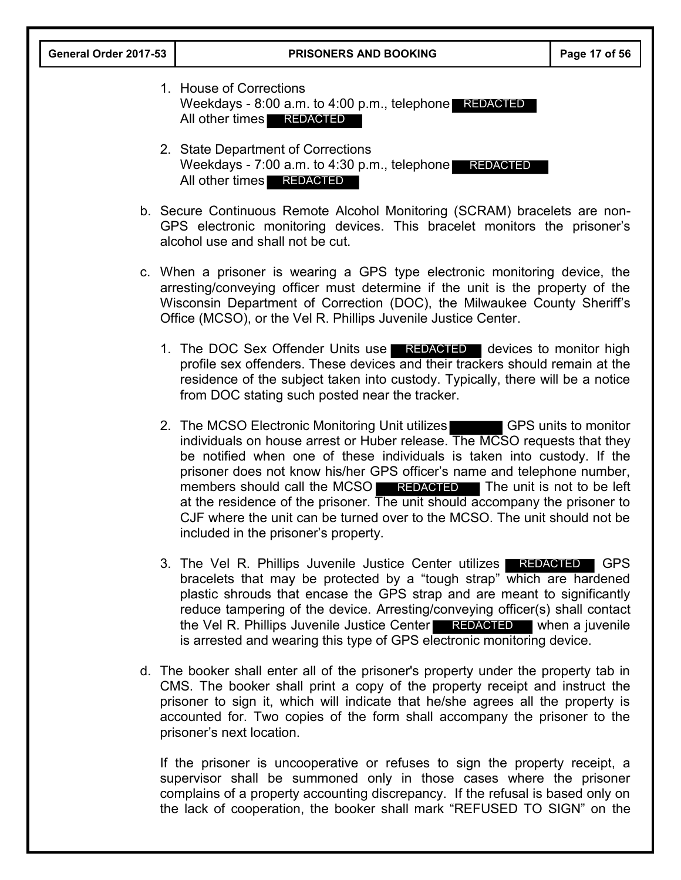| General Order 2017-53 | <b>PRISONERS AND BOOKING</b>                                                                                                                                                                                                                                                                                                                                                                                                                                                                                                                                                    | Page 17 of 56 |
|-----------------------|---------------------------------------------------------------------------------------------------------------------------------------------------------------------------------------------------------------------------------------------------------------------------------------------------------------------------------------------------------------------------------------------------------------------------------------------------------------------------------------------------------------------------------------------------------------------------------|---------------|
|                       | 1. House of Corrections<br>Weekdays - $8:00$ a.m. to $4:00$ p.m., telephone REDACTED<br>All other times REDACTED                                                                                                                                                                                                                                                                                                                                                                                                                                                                |               |
|                       | 2. State Department of Corrections<br>Weekdays - $7:00$ a.m. to $4:30$ p.m., telephone REDACTED<br>All other times <b>REDACTED</b>                                                                                                                                                                                                                                                                                                                                                                                                                                              |               |
|                       | b. Secure Continuous Remote Alcohol Monitoring (SCRAM) bracelets are non-<br>GPS electronic monitoring devices. This bracelet monitors the prisoner's<br>alcohol use and shall not be cut.                                                                                                                                                                                                                                                                                                                                                                                      |               |
|                       | c. When a prisoner is wearing a GPS type electronic monitoring device, the<br>arresting/conveying officer must determine if the unit is the property of the<br>Wisconsin Department of Correction (DOC), the Milwaukee County Sheriff's<br>Office (MCSO), or the Vel R. Phillips Juvenile Justice Center.                                                                                                                                                                                                                                                                       |               |
|                       | 1. The DOC Sex Offender Units use REDACTED devices to monitor high<br>profile sex offenders. These devices and their trackers should remain at the<br>residence of the subject taken into custody. Typically, there will be a notice<br>from DOC stating such posted near the tracker.                                                                                                                                                                                                                                                                                          |               |
|                       | 2. The MCSO Electronic Monitoring Unit utilizes GPS units to monitor<br>individuals on house arrest or Huber release. The MCSO requests that they<br>be notified when one of these individuals is taken into custody. If the<br>prisoner does not know his/her GPS officer's name and telephone number,<br>members should call the MCSO REDACTED The unit is not to be left<br>at the residence of the prisoner. The unit should accompany the prisoner to<br>CJF where the unit can be turned over to the MCSO. The unit should not be<br>included in the prisoner's property. |               |
|                       | 3. The Vel R. Phillips Juvenile Justice Center utilizes <b>REDACTED</b><br>bracelets that may be protected by a "tough strap" which are hardened<br>plastic shrouds that encase the GPS strap and are meant to significantly<br>reduce tampering of the device. Arresting/conveying officer(s) shall contact<br>the Vel R. Phillips Juvenile Justice Center REDACTED when a juvenile<br>is arrested and wearing this type of GPS electronic monitoring device.                                                                                                                  | ∣ GPS         |
|                       | d. The booker shall enter all of the prisoner's property under the property tab in<br>CMS. The booker shall print a copy of the property receipt and instruct the<br>prisoner to sign it, which will indicate that he/she agrees all the property is<br>accounted for. Two copies of the form shall accompany the prisoner to the<br>prisoner's next location.                                                                                                                                                                                                                  |               |
|                       | If the prisoner is uncooperative or refuses to sign the property receipt, a<br>supervisor shall be summoned only in those cases where the prisoner                                                                                                                                                                                                                                                                                                                                                                                                                              |               |

complains of a property accounting discrepancy. If the refusal is based only on the lack of cooperation, the booker shall mark "REFUSED TO SIGN" on the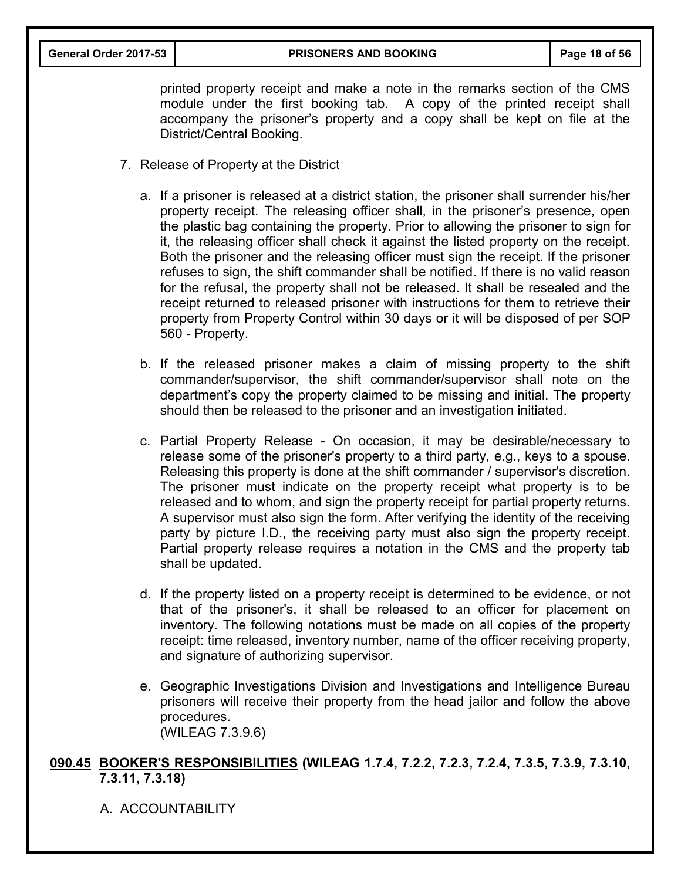printed property receipt and make a note in the remarks section of the CMS module under the first booking tab. A copy of the printed receipt shall accompany the prisoner's property and a copy shall be kept on file at the District/Central Booking.

- 7. Release of Property at the District
	- a. If a prisoner is released at a district station, the prisoner shall surrender his/her property receipt. The releasing officer shall, in the prisoner's presence, open the plastic bag containing the property. Prior to allowing the prisoner to sign for it, the releasing officer shall check it against the listed property on the receipt. Both the prisoner and the releasing officer must sign the receipt. If the prisoner refuses to sign, the shift commander shall be notified. If there is no valid reason for the refusal, the property shall not be released. It shall be resealed and the receipt returned to released prisoner with instructions for them to retrieve their property from Property Control within 30 days or it will be disposed of per SOP 560 - Property.
	- b. If the released prisoner makes a claim of missing property to the shift commander/supervisor, the shift commander/supervisor shall note on the department's copy the property claimed to be missing and initial. The property should then be released to the prisoner and an investigation initiated.
	- c. Partial Property Release On occasion, it may be desirable/necessary to release some of the prisoner's property to a third party, e.g., keys to a spouse. Releasing this property is done at the shift commander / supervisor's discretion. The prisoner must indicate on the property receipt what property is to be released and to whom, and sign the property receipt for partial property returns. A supervisor must also sign the form. After verifying the identity of the receiving party by picture I.D., the receiving party must also sign the property receipt. Partial property release requires a notation in the CMS and the property tab shall be updated.
	- d. If the property listed on a property receipt is determined to be evidence, or not that of the prisoner's, it shall be released to an officer for placement on inventory. The following notations must be made on all copies of the property receipt: time released, inventory number, name of the officer receiving property, and signature of authorizing supervisor.
	- e. Geographic Investigations Division and Investigations and Intelligence Bureau prisoners will receive their property from the head jailor and follow the above procedures. (WILEAG 7.3.9.6)

**090.45 BOOKER'S RESPONSIBILITIES (WILEAG 1.7.4, 7.2.2, 7.2.3, 7.2.4, 7.3.5, 7.3.9, 7.3.10, 7.3.11, 7.3.18)** 

A ACCOUNTABILITY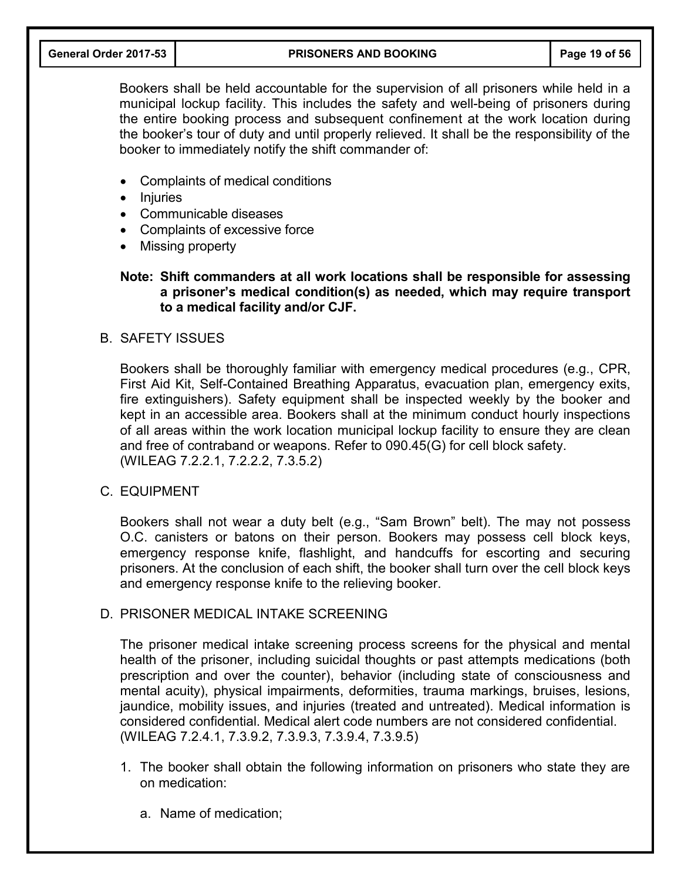#### **General Order 2017-53 PRISONERS AND BOOKING Page 19 of 56**

Bookers shall be held accountable for the supervision of all prisoners while held in a municipal lockup facility. This includes the safety and well-being of prisoners during the entire booking process and subsequent confinement at the work location during the booker's tour of duty and until properly relieved. It shall be the responsibility of the booker to immediately notify the shift commander of:

- Complaints of medical conditions
- Injuries
- Communicable diseases
- Complaints of excessive force
- Missing property

## **Note: Shift commanders at all work locations shall be responsible for assessing a prisoner's medical condition(s) as needed, which may require transport to a medical facility and/or CJF.**

## B. SAFETY ISSUES

Bookers shall be thoroughly familiar with emergency medical procedures (e.g., CPR, First Aid Kit, Self-Contained Breathing Apparatus, evacuation plan, emergency exits, fire extinguishers). Safety equipment shall be inspected weekly by the booker and kept in an accessible area. Bookers shall at the minimum conduct hourly inspections of all areas within the work location municipal lockup facility to ensure they are clean and free of contraband or weapons. Refer to 090.45(G) for cell block safety. (WILEAG 7.2.2.1, 7.2.2.2, 7.3.5.2)

#### C. EQUIPMENT

Bookers shall not wear a duty belt (e.g., "Sam Brown" belt). The may not possess O.C. canisters or batons on their person. Bookers may possess cell block keys, emergency response knife, flashlight, and handcuffs for escorting and securing prisoners. At the conclusion of each shift, the booker shall turn over the cell block keys and emergency response knife to the relieving booker.

## D. PRISONER MEDICAL INTAKE SCREENING

The prisoner medical intake screening process screens for the physical and mental health of the prisoner, including suicidal thoughts or past attempts medications (both prescription and over the counter), behavior (including state of consciousness and mental acuity), physical impairments, deformities, trauma markings, bruises, lesions, jaundice, mobility issues, and injuries (treated and untreated). Medical information is considered confidential. Medical alert code numbers are not considered confidential. (WILEAG 7.2.4.1, 7.3.9.2, 7.3.9.3, 7.3.9.4, 7.3.9.5)

- 1. The booker shall obtain the following information on prisoners who state they are on medication:
	- a. Name of medication;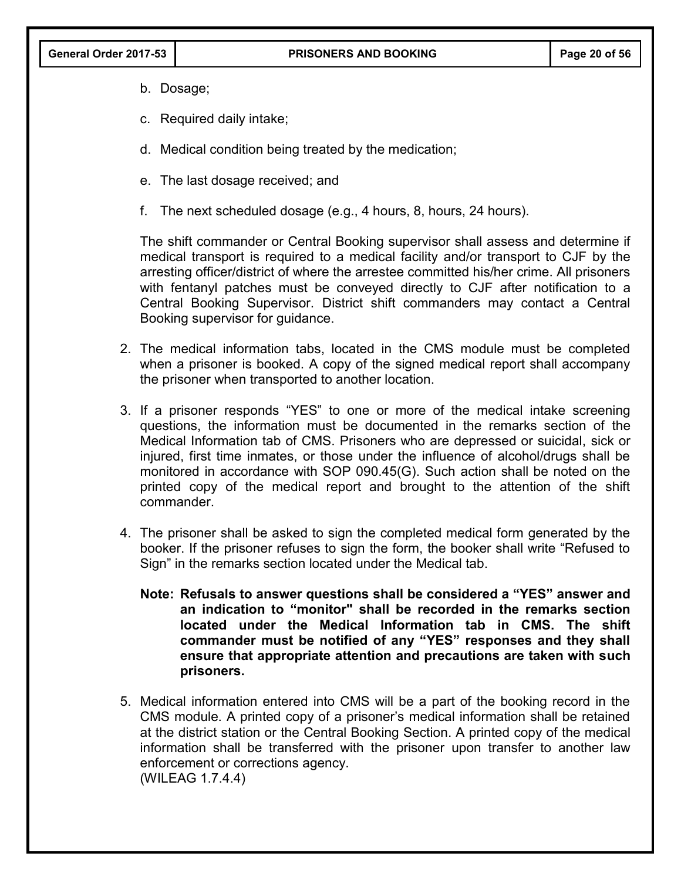- b. Dosage;
- c. Required daily intake;
- d. Medical condition being treated by the medication;
- e. The last dosage received; and
- f. The next scheduled dosage (e.g., 4 hours, 8, hours, 24 hours).

The shift commander or Central Booking supervisor shall assess and determine if medical transport is required to a medical facility and/or transport to CJF by the arresting officer/district of where the arrestee committed his/her crime. All prisoners with fentanyl patches must be conveyed directly to CJF after notification to a Central Booking Supervisor. District shift commanders may contact a Central Booking supervisor for guidance.

- 2. The medical information tabs, located in the CMS module must be completed when a prisoner is booked. A copy of the signed medical report shall accompany the prisoner when transported to another location.
- 3. If a prisoner responds "YES" to one or more of the medical intake screening questions, the information must be documented in the remarks section of the Medical Information tab of CMS. Prisoners who are depressed or suicidal, sick or injured, first time inmates, or those under the influence of alcohol/drugs shall be monitored in accordance with SOP 090.45(G). Such action shall be noted on the printed copy of the medical report and brought to the attention of the shift commander.
- 4. The prisoner shall be asked to sign the completed medical form generated by the booker. If the prisoner refuses to sign the form, the booker shall write "Refused to Sign" in the remarks section located under the Medical tab.
	- **Note: Refusals to answer questions shall be considered a "YES" answer and an indication to "monitor" shall be recorded in the remarks section located under the Medical Information tab in CMS. The shift commander must be notified of any "YES" responses and they shall ensure that appropriate attention and precautions are taken with such prisoners.**
- 5. Medical information entered into CMS will be a part of the booking record in the CMS module. A printed copy of a prisoner's medical information shall be retained at the district station or the Central Booking Section. A printed copy of the medical information shall be transferred with the prisoner upon transfer to another law enforcement or corrections agency. (WILEAG 1.7.4.4)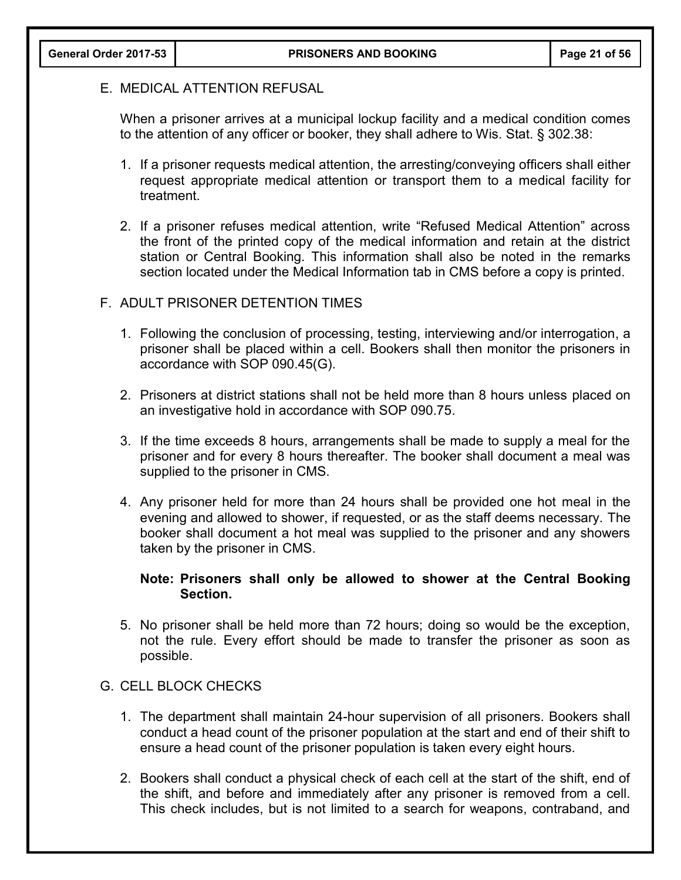## E. MEDICAL ATTENTION REFUSAL

When a prisoner arrives at a municipal lockup facility and a medical condition comes to the attention of any officer or booker, they shall adhere to Wis. Stat. § 302.38:

- 1. If a prisoner requests medical attention, the arresting/conveying officers shall either request appropriate medical attention or transport them to a medical facility for treatment.
- 2. If a prisoner refuses medical attention, write "Refused Medical Attention" across the front of the printed copy of the medical information and retain at the district station or Central Booking. This information shall also be noted in the remarks section located under the Medical Information tab in CMS before a copy is printed.

## F. ADULT PRISONER DETENTION TIMES

- 1. Following the conclusion of processing, testing, interviewing and/or interrogation, a prisoner shall be placed within a cell. Bookers shall then monitor the prisoners in accordance with SOP 090.45(G).
- 2. Prisoners at district stations shall not be held more than 8 hours unless placed on an investigative hold in accordance with SOP 090.75.
- 3. If the time exceeds 8 hours, arrangements shall be made to supply a meal for the prisoner and for every 8 hours thereafter. The booker shall document a meal was supplied to the prisoner in CMS.
- 4. Any prisoner held for more than 24 hours shall be provided one hot meal in the evening and allowed to shower, if requested, or as the staff deems necessary. The booker shall document a hot meal was supplied to the prisoner and any showers taken by the prisoner in CMS.

## **Note: Prisoners shall only be allowed to shower at the Central Booking Section.**

5. No prisoner shall be held more than 72 hours; doing so would be the exception, not the rule. Every effort should be made to transfer the prisoner as soon as possible.

#### G. CELL BLOCK CHECKS

- 1. The department shall maintain 24-hour supervision of all prisoners. Bookers shall conduct a head count of the prisoner population at the start and end of their shift to ensure a head count of the prisoner population is taken every eight hours.
- 2. Bookers shall conduct a physical check of each cell at the start of the shift, end of the shift, and before and immediately after any prisoner is removed from a cell. This check includes, but is not limited to a search for weapons, contraband, and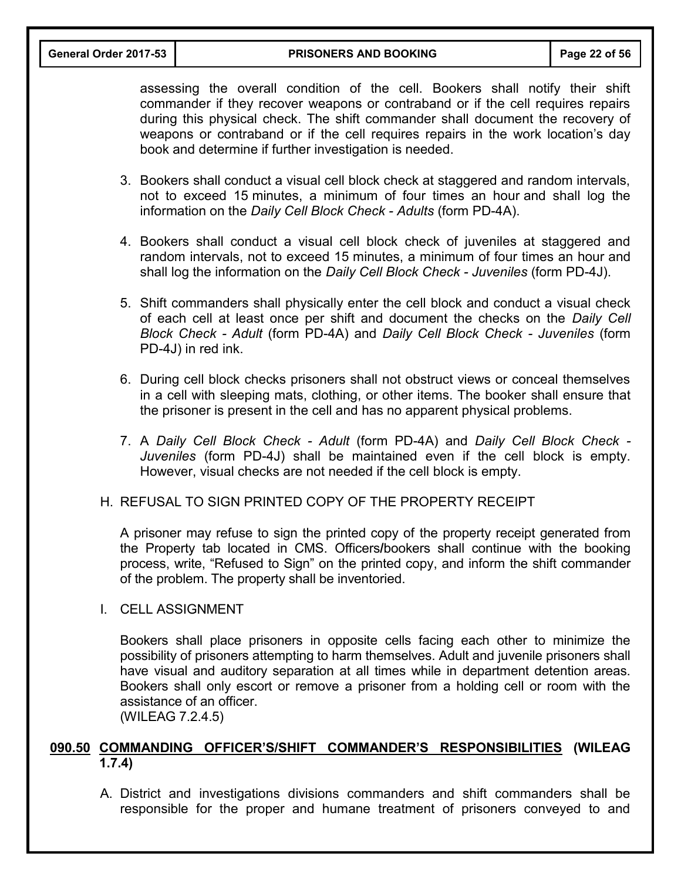assessing the overall condition of the cell. Bookers shall notify their shift commander if they recover weapons or contraband or if the cell requires repairs during this physical check. The shift commander shall document the recovery of weapons or contraband or if the cell requires repairs in the work location's day book and determine if further investigation is needed.

- 3. Bookers shall conduct a visual cell block check at staggered and random intervals, not to exceed 15 minutes, a minimum of four times an hour and shall log the information on the *Daily Cell Block Check - Adults* (form PD-4A).
- 4. Bookers shall conduct a visual cell block check of juveniles at staggered and random intervals, not to exceed 15 minutes, a minimum of four times an hour and shall log the information on the *Daily Cell Block Check - Juveniles* (form PD-4J).
- 5. Shift commanders shall physically enter the cell block and conduct a visual check of each cell at least once per shift and document the checks on the *Daily Cell Block Check - Adult* (form PD-4A) and *Daily Cell Block Check - Juveniles* (form PD-4J) in red ink.
- 6. During cell block checks prisoners shall not obstruct views or conceal themselves in a cell with sleeping mats, clothing, or other items. The booker shall ensure that the prisoner is present in the cell and has no apparent physical problems.
- 7. A *Daily Cell Block Check Adult* (form PD-4A) and *Daily Cell Block Check Juveniles* (form PD-4J) shall be maintained even if the cell block is empty. However, visual checks are not needed if the cell block is empty.
- H. REFUSAL TO SIGN PRINTED COPY OF THE PROPERTY RECEIPT

A prisoner may refuse to sign the printed copy of the property receipt generated from the Property tab located in CMS. Officers**/**bookers shall continue with the booking process, write, "Refused to Sign" on the printed copy, and inform the shift commander of the problem. The property shall be inventoried.

I. CELL ASSIGNMENT

Bookers shall place prisoners in opposite cells facing each other to minimize the possibility of prisoners attempting to harm themselves. Adult and juvenile prisoners shall have visual and auditory separation at all times while in department detention areas. Bookers shall only escort or remove a prisoner from a holding cell or room with the assistance of an officer.

(WILEAG 7.2.4.5)

## **090.50 COMMANDING OFFICER'S/SHIFT COMMANDER'S RESPONSIBILITIES (WILEAG 1.7.4)**

A. District and investigations divisions commanders and shift commanders shall be responsible for the proper and humane treatment of prisoners conveyed to and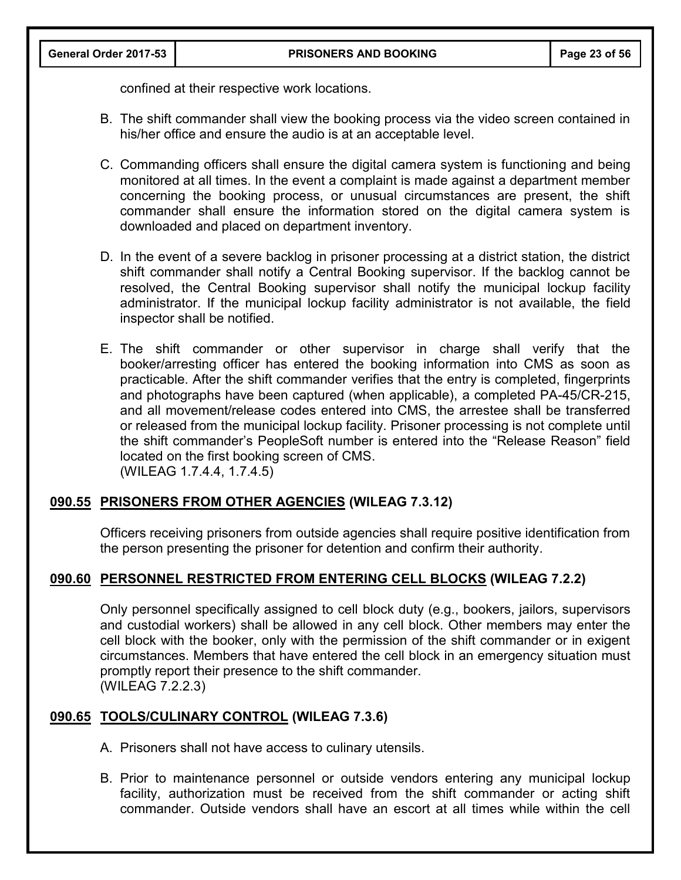confined at their respective work locations.

- B. The shift commander shall view the booking process via the video screen contained in his/her office and ensure the audio is at an acceptable level.
- C. Commanding officers shall ensure the digital camera system is functioning and being monitored at all times. In the event a complaint is made against a department member concerning the booking process, or unusual circumstances are present, the shift commander shall ensure the information stored on the digital camera system is downloaded and placed on department inventory.
- D. In the event of a severe backlog in prisoner processing at a district station, the district shift commander shall notify a Central Booking supervisor. If the backlog cannot be resolved, the Central Booking supervisor shall notify the municipal lockup facility administrator. If the municipal lockup facility administrator is not available, the field inspector shall be notified.
- E. The shift commander or other supervisor in charge shall verify that the booker/arresting officer has entered the booking information into CMS as soon as practicable. After the shift commander verifies that the entry is completed, fingerprints and photographs have been captured (when applicable), a completed PA-45/CR-215, and all movement/release codes entered into CMS, the arrestee shall be transferred or released from the municipal lockup facility. Prisoner processing is not complete until the shift commander's PeopleSoft number is entered into the "Release Reason" field located on the first booking screen of CMS. (WILEAG 1.7.4.4, 1.7.4.5)

# **090.55 PRISONERS FROM OTHER AGENCIES (WILEAG 7.3.12)**

Officers receiving prisoners from outside agencies shall require positive identification from the person presenting the prisoner for detention and confirm their authority.

## **090.60 PERSONNEL RESTRICTED FROM ENTERING CELL BLOCKS (WILEAG 7.2.2)**

Only personnel specifically assigned to cell block duty (e.g., bookers, jailors, supervisors and custodial workers) shall be allowed in any cell block. Other members may enter the cell block with the booker, only with the permission of the shift commander or in exigent circumstances. Members that have entered the cell block in an emergency situation must promptly report their presence to the shift commander. (WILEAG 7.2.2.3)

# **090.65 TOOLS/CULINARY CONTROL (WILEAG 7.3.6)**

- A. Prisoners shall not have access to culinary utensils.
- B. Prior to maintenance personnel or outside vendors entering any municipal lockup facility, authorization must be received from the shift commander or acting shift commander. Outside vendors shall have an escort at all times while within the cell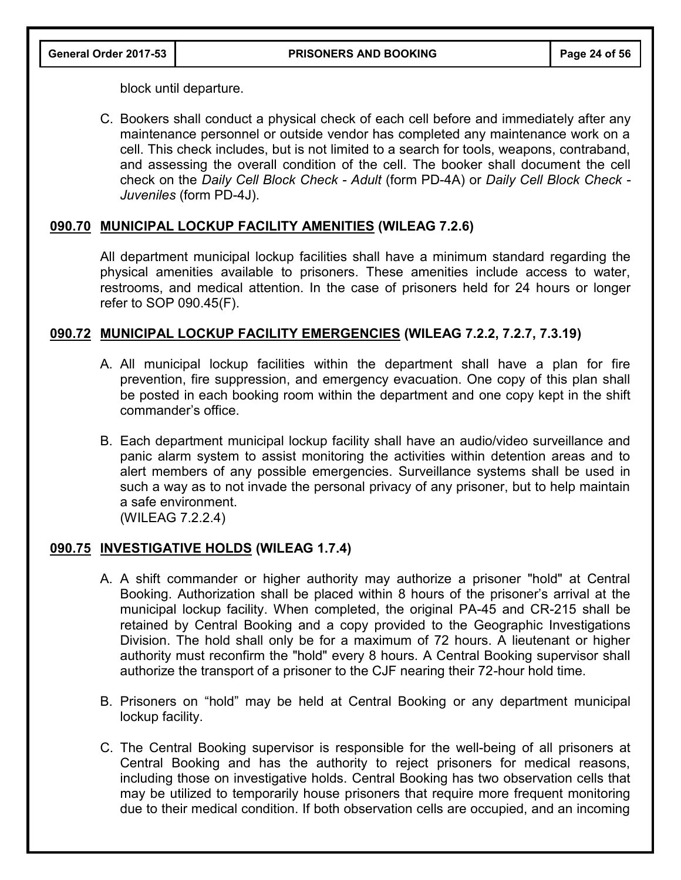block until departure.

C. Bookers shall conduct a physical check of each cell before and immediately after any maintenance personnel or outside vendor has completed any maintenance work on a cell. This check includes, but is not limited to a search for tools, weapons, contraband, and assessing the overall condition of the cell. The booker shall document the cell check on the *Daily Cell Block Check - Adult* (form PD-4A) or *Daily Cell Block Check - Juveniles* (form PD-4J).

# **090.70 MUNICIPAL LOCKUP FACILITY AMENITIES (WILEAG 7.2.6)**

All department municipal lockup facilities shall have a minimum standard regarding the physical amenities available to prisoners. These amenities include access to water, restrooms, and medical attention. In the case of prisoners held for 24 hours or longer refer to SOP 090.45(F).

# **090.72 MUNICIPAL LOCKUP FACILITY EMERGENCIES (WILEAG 7.2.2, 7.2.7, 7.3.19)**

- A. All municipal lockup facilities within the department shall have a plan for fire prevention, fire suppression, and emergency evacuation. One copy of this plan shall be posted in each booking room within the department and one copy kept in the shift commander's office.
- B. Each department municipal lockup facility shall have an audio/video surveillance and panic alarm system to assist monitoring the activities within detention areas and to alert members of any possible emergencies. Surveillance systems shall be used in such a way as to not invade the personal privacy of any prisoner, but to help maintain a safe environment.

(WILEAG 7.2.2.4)

## **090.75 INVESTIGATIVE HOLDS (WILEAG 1.7.4)**

- A. A shift commander or higher authority may authorize a prisoner "hold" at Central Booking. Authorization shall be placed within 8 hours of the prisoner's arrival at the municipal lockup facility. When completed, the original PA-45 and CR-215 shall be retained by Central Booking and a copy provided to the Geographic Investigations Division. The hold shall only be for a maximum of 72 hours. A lieutenant or higher authority must reconfirm the "hold" every 8 hours. A Central Booking supervisor shall authorize the transport of a prisoner to the CJF nearing their 72-hour hold time.
- B. Prisoners on "hold" may be held at Central Booking or any department municipal lockup facility.
- C. The Central Booking supervisor is responsible for the well-being of all prisoners at Central Booking and has the authority to reject prisoners for medical reasons, including those on investigative holds. Central Booking has two observation cells that may be utilized to temporarily house prisoners that require more frequent monitoring due to their medical condition. If both observation cells are occupied, and an incoming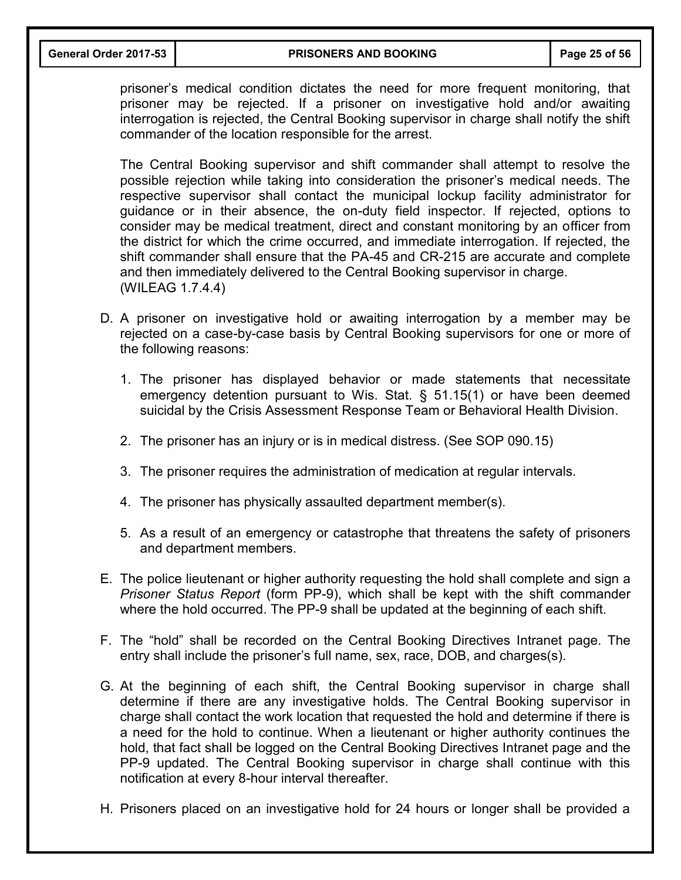prisoner's medical condition dictates the need for more frequent monitoring, that prisoner may be rejected. If a prisoner on investigative hold and/or awaiting interrogation is rejected, the Central Booking supervisor in charge shall notify the shift commander of the location responsible for the arrest.

The Central Booking supervisor and shift commander shall attempt to resolve the possible rejection while taking into consideration the prisoner's medical needs. The respective supervisor shall contact the municipal lockup facility administrator for guidance or in their absence, the on-duty field inspector. If rejected, options to consider may be medical treatment, direct and constant monitoring by an officer from the district for which the crime occurred, and immediate interrogation. If rejected, the shift commander shall ensure that the PA-45 and CR-215 are accurate and complete and then immediately delivered to the Central Booking supervisor in charge. (WILEAG 1.7.4.4)

- D. A prisoner on investigative hold or awaiting interrogation by a member may be rejected on a case-by-case basis by Central Booking supervisors for one or more of the following reasons:
	- 1. The prisoner has displayed behavior or made statements that necessitate emergency detention pursuant to Wis. Stat. § 51.15(1) or have been deemed suicidal by the Crisis Assessment Response Team or Behavioral Health Division.
	- 2. The prisoner has an injury or is in medical distress. (See SOP 090.15)
	- 3. The prisoner requires the administration of medication at regular intervals.
	- 4. The prisoner has physically assaulted department member(s).
	- 5. As a result of an emergency or catastrophe that threatens the safety of prisoners and department members.
- E. The police lieutenant or higher authority requesting the hold shall complete and sign a *Prisoner Status Report* (form PP-9), which shall be kept with the shift commander where the hold occurred. The PP-9 shall be updated at the beginning of each shift.
- F. The "hold" shall be recorded on the Central Booking Directives Intranet page. The entry shall include the prisoner's full name, sex, race, DOB, and charges(s).
- G. At the beginning of each shift, the Central Booking supervisor in charge shall determine if there are any investigative holds. The Central Booking supervisor in charge shall contact the work location that requested the hold and determine if there is a need for the hold to continue. When a lieutenant or higher authority continues the hold, that fact shall be logged on the Central Booking Directives Intranet page and the PP-9 updated. The Central Booking supervisor in charge shall continue with this notification at every 8-hour interval thereafter.
- H. Prisoners placed on an investigative hold for 24 hours or longer shall be provided a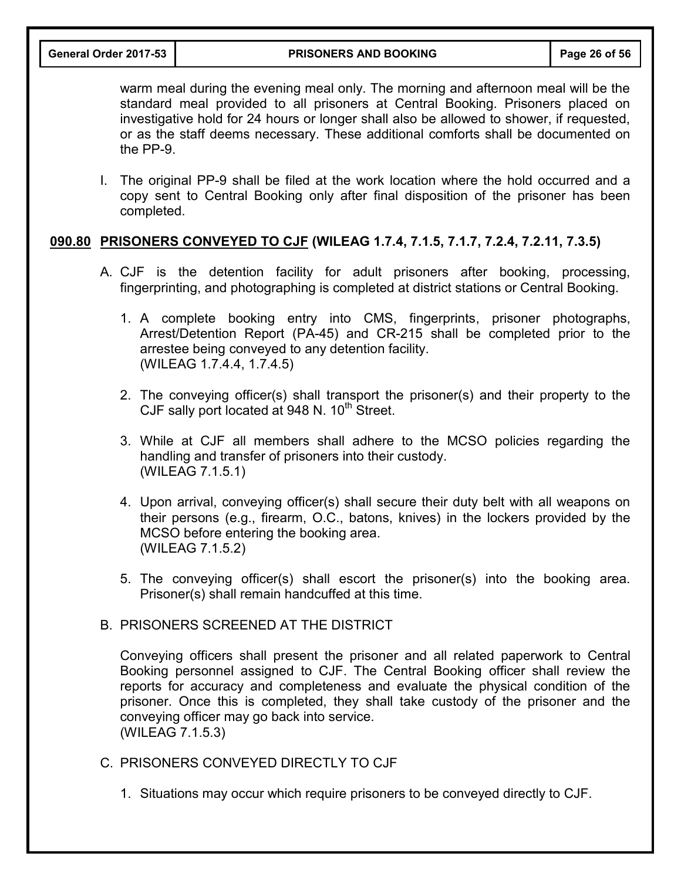warm meal during the evening meal only. The morning and afternoon meal will be the standard meal provided to all prisoners at Central Booking. Prisoners placed on investigative hold for 24 hours or longer shall also be allowed to shower, if requested, or as the staff deems necessary. These additional comforts shall be documented on the PP-9.

I. The original PP-9 shall be filed at the work location where the hold occurred and a copy sent to Central Booking only after final disposition of the prisoner has been completed.

## **090.80 PRISONERS CONVEYED TO CJF (WILEAG 1.7.4, 7.1.5, 7.1.7, 7.2.4, 7.2.11, 7.3.5)**

- A. CJF is the detention facility for adult prisoners after booking, processing, fingerprinting, and photographing is completed at district stations or Central Booking.
	- 1. A complete booking entry into CMS, fingerprints, prisoner photographs, Arrest/Detention Report (PA-45) and CR-215 shall be completed prior to the arrestee being conveyed to any detention facility. (WILEAG 1.7.4.4, 1.7.4.5)
	- 2. The conveying officer(s) shall transport the prisoner(s) and their property to the CJF sally port located at 948 N.  $10^{th}$  Street.
	- 3. While at CJF all members shall adhere to the MCSO policies regarding the handling and transfer of prisoners into their custody. (WILEAG 7.1.5.1)
	- 4. Upon arrival, conveying officer(s) shall secure their duty belt with all weapons on their persons (e.g., firearm, O.C., batons, knives) in the lockers provided by the MCSO before entering the booking area. (WILEAG 7.1.5.2)
	- 5. The conveying officer(s) shall escort the prisoner(s) into the booking area. Prisoner(s) shall remain handcuffed at this time.

#### B. PRISONERS SCREENED AT THE DISTRICT

Conveying officers shall present the prisoner and all related paperwork to Central Booking personnel assigned to CJF. The Central Booking officer shall review the reports for accuracy and completeness and evaluate the physical condition of the prisoner. Once this is completed, they shall take custody of the prisoner and the conveying officer may go back into service. (WILEAG 7.1.5.3)

- C. PRISONERS CONVEYED DIRECTLY TO CJF
	- 1. Situations may occur which require prisoners to be conveyed directly to CJF.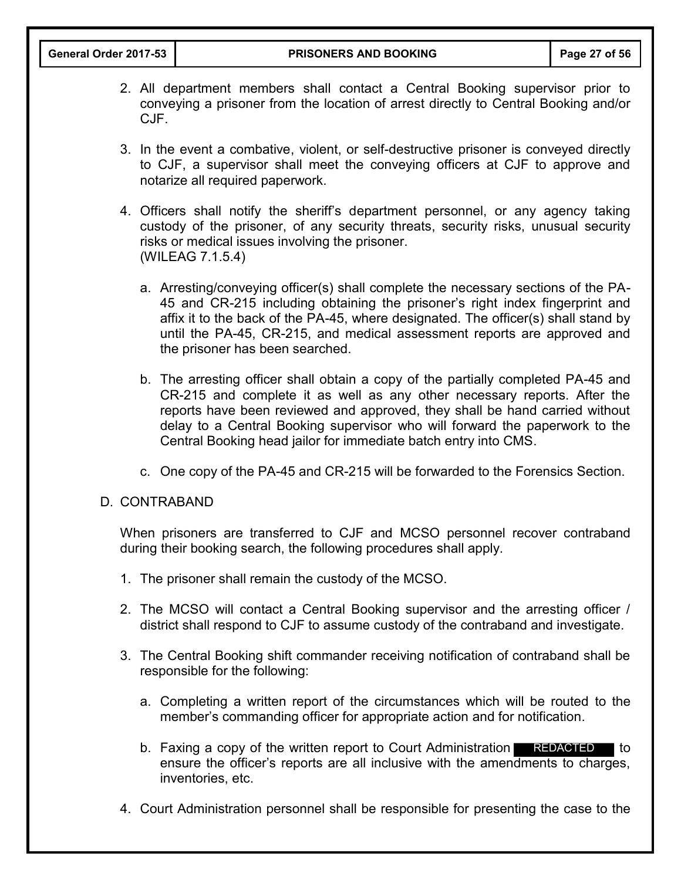- 2. All department members shall contact a Central Booking supervisor prior to conveying a prisoner from the location of arrest directly to Central Booking and/or CJF.
- 3. In the event a combative, violent, or self-destructive prisoner is conveyed directly to CJF, a supervisor shall meet the conveying officers at CJF to approve and notarize all required paperwork.
- 4. Officers shall notify the sheriff's department personnel, or any agency taking custody of the prisoner, of any security threats, security risks, unusual security risks or medical issues involving the prisoner. (WILEAG 7.1.5.4)
	- a. Arresting/conveying officer(s) shall complete the necessary sections of the PA-45 and CR-215 including obtaining the prisoner's right index fingerprint and affix it to the back of the PA-45, where designated. The officer(s) shall stand by until the PA-45, CR-215, and medical assessment reports are approved and the prisoner has been searched.
	- b. The arresting officer shall obtain a copy of the partially completed PA-45 and CR-215 and complete it as well as any other necessary reports. After the reports have been reviewed and approved, they shall be hand carried without delay to a Central Booking supervisor who will forward the paperwork to the Central Booking head jailor for immediate batch entry into CMS.
	- c. One copy of the PA-45 and CR-215 will be forwarded to the Forensics Section.

#### D. CONTRABAND

When prisoners are transferred to CJF and MCSO personnel recover contraband during their booking search, the following procedures shall apply.

- 1. The prisoner shall remain the custody of the MCSO.
- 2. The MCSO will contact a Central Booking supervisor and the arresting officer / district shall respond to CJF to assume custody of the contraband and investigate.
- 3. The Central Booking shift commander receiving notification of contraband shall be responsible for the following:
	- a. Completing a written report of the circumstances which will be routed to the member's commanding officer for appropriate action and for notification.
	- b. Faxing a copy of the written report to Court Administration REDACTED to ensure the officer's reports are all inclusive with the amendments to charges, inventories, etc.
- 4. Court Administration personnel shall be responsible for presenting the case to the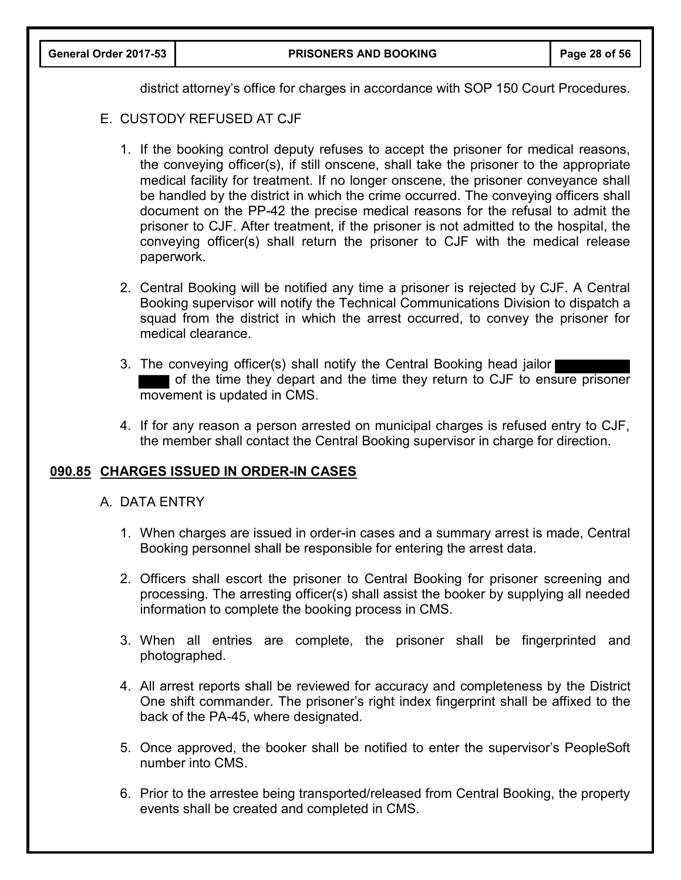|  |  | General Order 2017-53 |
|--|--|-----------------------|
|--|--|-----------------------|

district attorney's office for charges in accordance with SOP 150 Court Procedures.

- E. CUSTODY REFUSED AT CJF
	- 1. If the booking control deputy refuses to accept the prisoner for medical reasons, the conveying officer(s), if still onscene, shall take the prisoner to the appropriate medical facility for treatment. If no longer onscene, the prisoner conveyance shall be handled by the district in which the crime occurred. The conveying officers shall document on the PP-42 the precise medical reasons for the refusal to admit the prisoner to CJF. After treatment, if the prisoner is not admitted to the hospital, the conveying officer(s) shall return the prisoner to CJF with the medical release paperwork.
	- 2. Central Booking will be notified any time a prisoner is rejected by CJF. A Central Booking supervisor will notify the Technical Communications Division to dispatch a squad from the district in which the arrest occurred, to convey the prisoner for medical clearance.
	- 3. The conveying officer(s) shall notify the Central Booking head jailor of the time they depart and the time they return to CJF to ensure prisoner movement is updated in CMS.
	- 4. If for any reason a person arrested on municipal charges is refused entry to CJF, the member shall contact the Central Booking supervisor in charge for direction.

## **090.85 CHARGES ISSUED IN ORDER-IN CASES**

- A. DATA ENTRY
	- 1. When charges are issued in order-in cases and a summary arrest is made, Central Booking personnel shall be responsible for entering the arrest data.
	- 2. Officers shall escort the prisoner to Central Booking for prisoner screening and processing. The arresting officer(s) shall assist the booker by supplying all needed information to complete the booking process in CMS.
	- 3. When all entries are complete, the prisoner shall be fingerprinted and photographed.
	- 4. All arrest reports shall be reviewed for accuracy and completeness by the District One shift commander. The prisoner's right index fingerprint shall be affixed to the back of the PA-45, where designated.
	- 5. Once approved, the booker shall be notified to enter the supervisor's PeopleSoft number into CMS.
	- 6. Prior to the arrestee being transported/released from Central Booking, the property events shall be created and completed in CMS.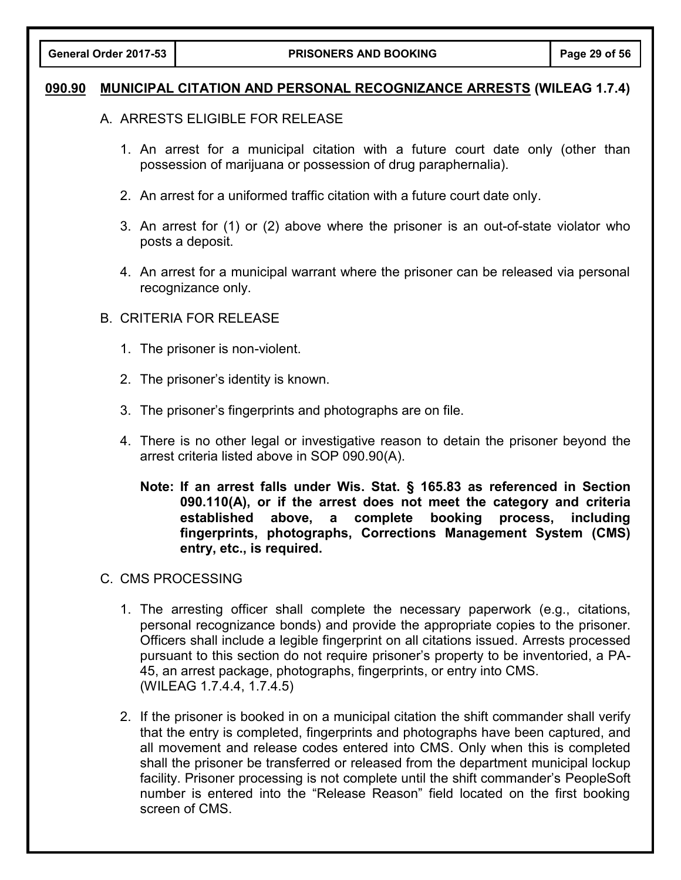## **090.90 MUNICIPAL CITATION AND PERSONAL RECOGNIZANCE ARRESTS (WILEAG 1.7.4)**

## A. ARRESTS ELIGIBLE FOR RELEASE

- 1. An arrest for a municipal citation with a future court date only (other than possession of marijuana or possession of drug paraphernalia).
- 2. An arrest for a uniformed traffic citation with a future court date only.
- 3. An arrest for (1) or (2) above where the prisoner is an out-of-state violator who posts a deposit.
- 4. An arrest for a municipal warrant where the prisoner can be released via personal recognizance only.

## B. CRITERIA FOR RELEASE

- 1. The prisoner is non-violent.
- 2. The prisoner's identity is known.
- 3. The prisoner's fingerprints and photographs are on file.
- 4. There is no other legal or investigative reason to detain the prisoner beyond the arrest criteria listed above in SOP 090.90(A).
	- **Note: If an arrest falls under Wis. Stat. § 165.83 as referenced in Section 090.110(A), or if the arrest does not meet the category and criteria established above, a complete booking process, including fingerprints, photographs, Corrections Management System (CMS) entry, etc., is required.**

## C. CMS PROCESSING

- 1. The arresting officer shall complete the necessary paperwork (e.g., citations, personal recognizance bonds) and provide the appropriate copies to the prisoner. Officers shall include a legible fingerprint on all citations issued. Arrests processed pursuant to this section do not require prisoner's property to be inventoried, a PA-45, an arrest package, photographs, fingerprints, or entry into CMS. (WILEAG 1.7.4.4, 1.7.4.5)
- 2. If the prisoner is booked in on a municipal citation the shift commander shall verify that the entry is completed, fingerprints and photographs have been captured, and all movement and release codes entered into CMS. Only when this is completed shall the prisoner be transferred or released from the department municipal lockup facility. Prisoner processing is not complete until the shift commander's PeopleSoft number is entered into the "Release Reason" field located on the first booking screen of CMS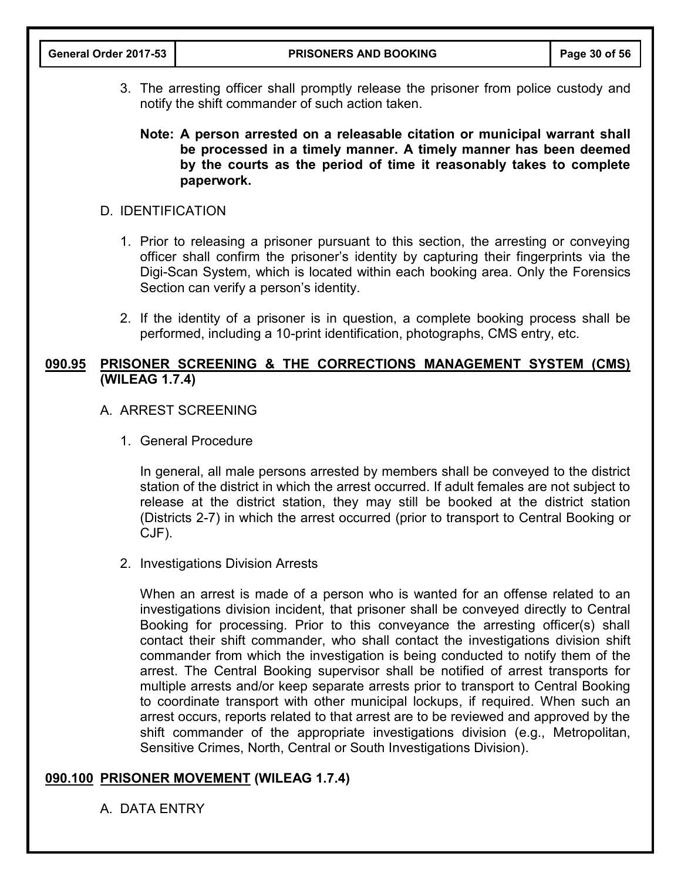3. The arresting officer shall promptly release the prisoner from police custody and notify the shift commander of such action taken.

## **Note: A person arrested on a releasable citation or municipal warrant shall be processed in a timely manner. A timely manner has been deemed by the courts as the period of time it reasonably takes to complete paperwork.**

## D. IDENTIFICATION

- 1. Prior to releasing a prisoner pursuant to this section, the arresting or conveying officer shall confirm the prisoner's identity by capturing their fingerprints via the Digi-Scan System, which is located within each booking area. Only the Forensics Section can verify a person's identity.
- 2. If the identity of a prisoner is in question, a complete booking process shall be performed, including a 10-print identification, photographs, CMS entry, etc.

## **090.95 PRISONER SCREENING & THE CORRECTIONS MANAGEMENT SYSTEM (CMS) (WILEAG 1.7.4)**

## A. ARREST SCREENING

1. General Procedure

In general, all male persons arrested by members shall be conveyed to the district station of the district in which the arrest occurred. If adult females are not subject to release at the district station, they may still be booked at the district station (Districts 2-7) in which the arrest occurred (prior to transport to Central Booking or CJF).

#### 2. Investigations Division Arrests

When an arrest is made of a person who is wanted for an offense related to an investigations division incident, that prisoner shall be conveyed directly to Central Booking for processing. Prior to this conveyance the arresting officer(s) shall contact their shift commander, who shall contact the investigations division shift commander from which the investigation is being conducted to notify them of the arrest. The Central Booking supervisor shall be notified of arrest transports for multiple arrests and/or keep separate arrests prior to transport to Central Booking to coordinate transport with other municipal lockups, if required. When such an arrest occurs, reports related to that arrest are to be reviewed and approved by the shift commander of the appropriate investigations division (e.g., Metropolitan, Sensitive Crimes, North, Central or South Investigations Division).

## **090.100 PRISONER MOVEMENT (WILEAG 1.7.4)**

A. DATA ENTRY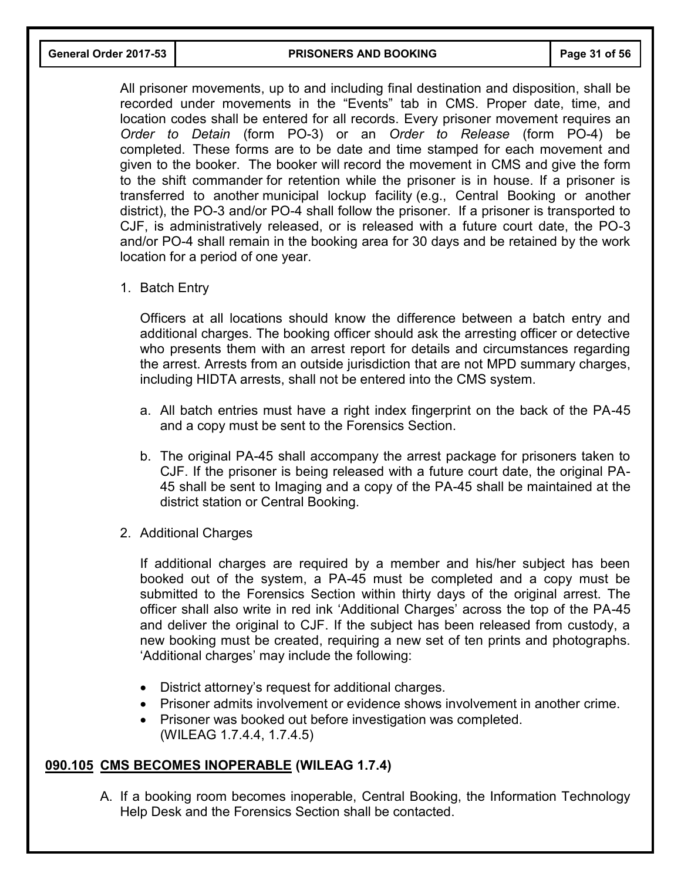**General Order 2017-53 PRISONERS AND BOOKING Page 31 of 56**

All prisoner movements, up to and including final destination and disposition, shall be recorded under movements in the "Events" tab in CMS. Proper date, time, and location codes shall be entered for all records. Every prisoner movement requires an *Order to Detain* (form PO-3) or an *Order to Release* (form PO-4) be completed. These forms are to be date and time stamped for each movement and given to the booker. The booker will record the movement in CMS and give the form to the shift commander for retention while the prisoner is in house. If a prisoner is transferred to another municipal lockup facility (e.g., Central Booking or another district), the PO-3 and/or PO-4 shall follow the prisoner. If a prisoner is transported to CJF, is administratively released, or is released with a future court date, the PO-3 and/or PO-4 shall remain in the booking area for 30 days and be retained by the work location for a period of one year.

1. Batch Entry

Officers at all locations should know the difference between a batch entry and additional charges. The booking officer should ask the arresting officer or detective who presents them with an arrest report for details and circumstances regarding the arrest. Arrests from an outside jurisdiction that are not MPD summary charges, including HIDTA arrests, shall not be entered into the CMS system.

- a. All batch entries must have a right index fingerprint on the back of the PA-45 and a copy must be sent to the Forensics Section.
- b. The original PA-45 shall accompany the arrest package for prisoners taken to CJF. If the prisoner is being released with a future court date, the original PA-45 shall be sent to Imaging and a copy of the PA-45 shall be maintained at the district station or Central Booking.
- 2. Additional Charges

If additional charges are required by a member and his/her subject has been booked out of the system, a PA-45 must be completed and a copy must be submitted to the Forensics Section within thirty days of the original arrest. The officer shall also write in red ink 'Additional Charges' across the top of the PA-45 and deliver the original to CJF. If the subject has been released from custody, a new booking must be created, requiring a new set of ten prints and photographs. 'Additional charges' may include the following:

- District attorney's request for additional charges.
- Prisoner admits involvement or evidence shows involvement in another crime.
- Prisoner was booked out before investigation was completed. (WILEAG 1.7.4.4, 1.7.4.5)

# **090.105 CMS BECOMES INOPERABLE (WILEAG 1.7.4)**

A. If a booking room becomes inoperable, Central Booking, the Information Technology Help Desk and the Forensics Section shall be contacted.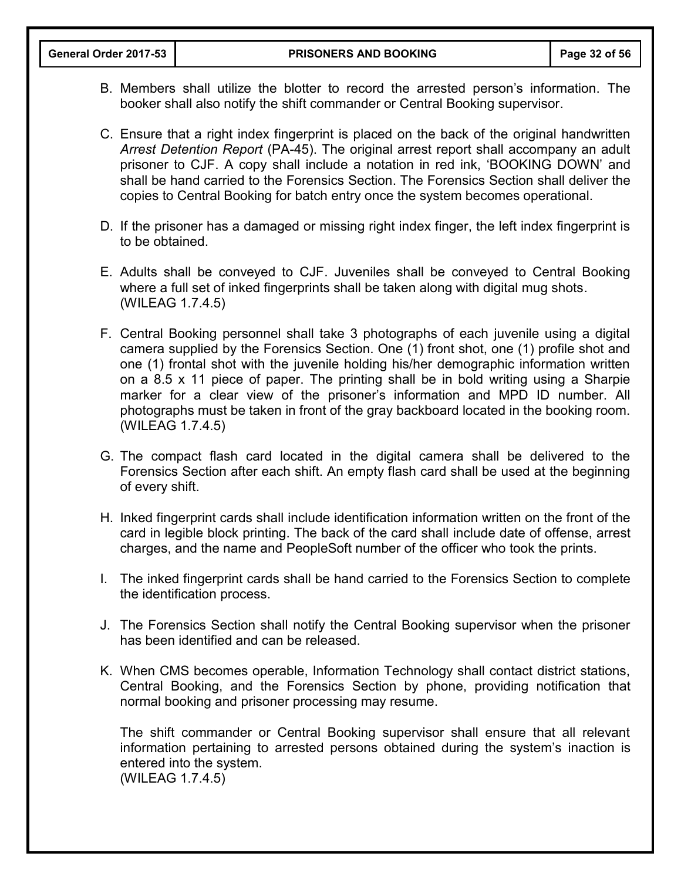- B. Members shall utilize the blotter to record the arrested person's information. The booker shall also notify the shift commander or Central Booking supervisor.
- C. Ensure that a right index fingerprint is placed on the back of the original handwritten *Arrest Detention Report* (PA-45). The original arrest report shall accompany an adult prisoner to CJF. A copy shall include a notation in red ink, 'BOOKING DOWN' and shall be hand carried to the Forensics Section. The Forensics Section shall deliver the copies to Central Booking for batch entry once the system becomes operational.
- D. If the prisoner has a damaged or missing right index finger, the left index fingerprint is to be obtained.
- E. Adults shall be conveyed to CJF. Juveniles shall be conveyed to Central Booking where a full set of inked fingerprints shall be taken along with digital mug shots. (WILEAG 1.7.4.5)
- F. Central Booking personnel shall take 3 photographs of each juvenile using a digital camera supplied by the Forensics Section. One (1) front shot, one (1) profile shot and one (1) frontal shot with the juvenile holding his/her demographic information written on a 8.5 x 11 piece of paper. The printing shall be in bold writing using a Sharpie marker for a clear view of the prisoner's information and MPD ID number. All photographs must be taken in front of the gray backboard located in the booking room. (WILEAG 1.7.4.5)
- G. The compact flash card located in the digital camera shall be delivered to the Forensics Section after each shift. An empty flash card shall be used at the beginning of every shift.
- H. Inked fingerprint cards shall include identification information written on the front of the card in legible block printing. The back of the card shall include date of offense, arrest charges, and the name and PeopleSoft number of the officer who took the prints.
- I. The inked fingerprint cards shall be hand carried to the Forensics Section to complete the identification process.
- J. The Forensics Section shall notify the Central Booking supervisor when the prisoner has been identified and can be released.
- K. When CMS becomes operable, Information Technology shall contact district stations, Central Booking, and the Forensics Section by phone, providing notification that normal booking and prisoner processing may resume.

The shift commander or Central Booking supervisor shall ensure that all relevant information pertaining to arrested persons obtained during the system's inaction is entered into the system. (WILEAG 1.7.4.5)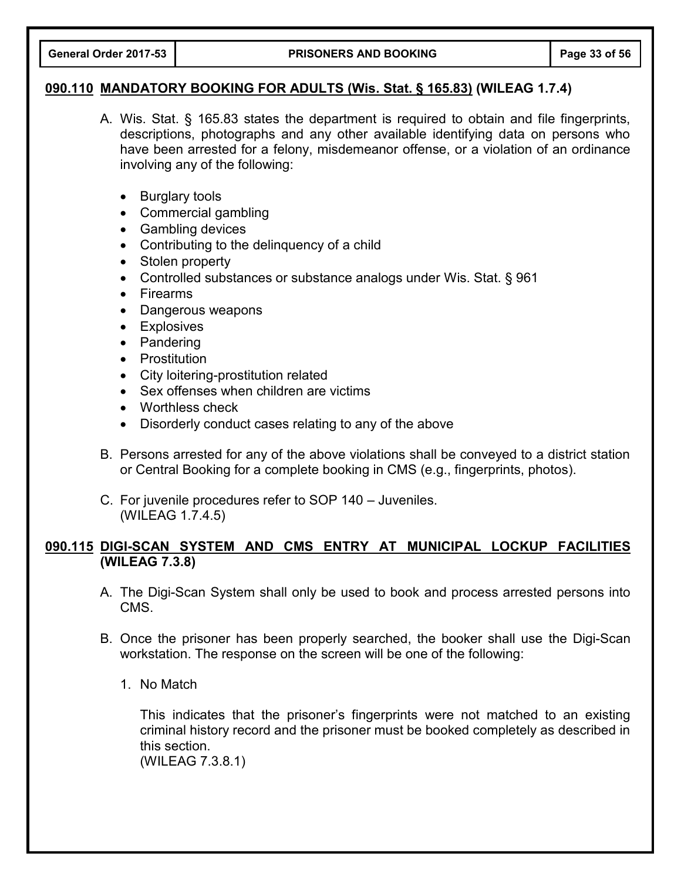#### **090.110 MANDATORY BOOKING FOR ADULTS (Wis. Stat. § 165.83) (WILEAG 1.7.4)**

- A. Wis. Stat. § 165.83 states the department is required to obtain and file fingerprints, descriptions, photographs and any other available identifying data on persons who have been arrested for a felony, misdemeanor offense, or a violation of an ordinance involving any of the following:
	- Burglary tools
	- Commercial gambling
	- Gambling devices
	- Contributing to the delinguency of a child
	- Stolen property
	- Controlled substances or substance analogs under Wis. Stat. § 961
	- Firearms
	- Dangerous weapons
	- Explosives
	- Pandering
	- Prostitution
	- City loitering-prostitution related
	- Sex offenses when children are victims
	- Worthless check
	- Disorderly conduct cases relating to any of the above
- B. Persons arrested for any of the above violations shall be conveyed to a district station or Central Booking for a complete booking in CMS (e.g., fingerprints, photos).
- C. For juvenile procedures refer to SOP 140 Juveniles. (WILEAG 1.7.4.5)

## **090.115 DIGI-SCAN SYSTEM AND CMS ENTRY AT MUNICIPAL LOCKUP FACILITIES (WILEAG 7.3.8)**

- A. The Digi-Scan System shall only be used to book and process arrested persons into CMS.
- B. Once the prisoner has been properly searched, the booker shall use the Digi-Scan workstation. The response on the screen will be one of the following:
	- 1. No Match

This indicates that the prisoner's fingerprints were not matched to an existing criminal history record and the prisoner must be booked completely as described in this section.

(WILEAG 7.3.8.1)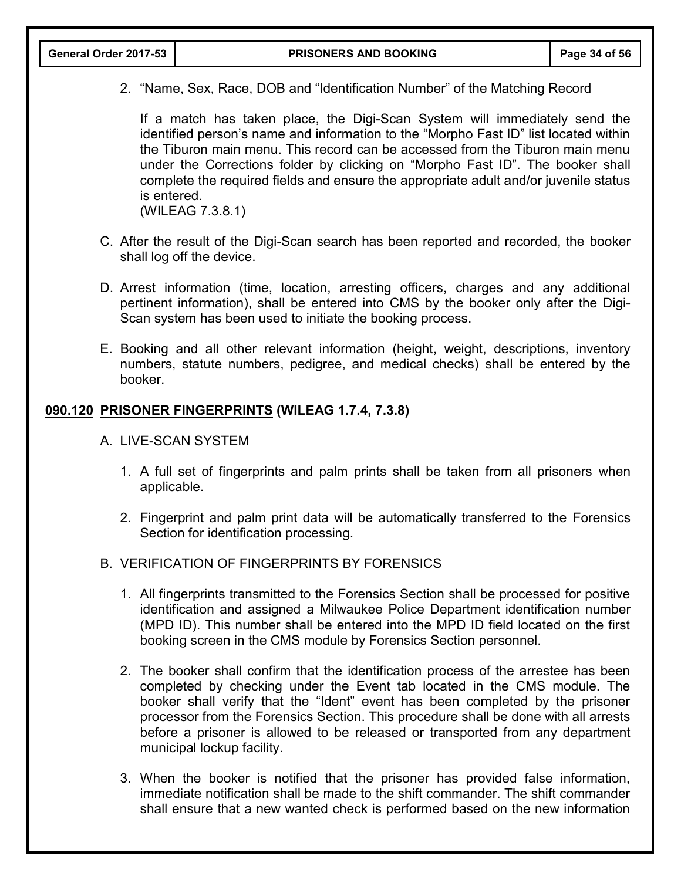2. "Name, Sex, Race, DOB and "Identification Number" of the Matching Record

If a match has taken place, the Digi-Scan System will immediately send the identified person's name and information to the "Morpho Fast ID" list located within the Tiburon main menu. This record can be accessed from the Tiburon main menu under the Corrections folder by clicking on "Morpho Fast ID". The booker shall complete the required fields and ensure the appropriate adult and/or juvenile status is entered.

(WILEAG 7.3.8.1)

- C. After the result of the Digi-Scan search has been reported and recorded, the booker shall log off the device.
- D. Arrest information (time, location, arresting officers, charges and any additional pertinent information), shall be entered into CMS by the booker only after the Digi-Scan system has been used to initiate the booking process.
- E. Booking and all other relevant information (height, weight, descriptions, inventory numbers, statute numbers, pedigree, and medical checks) shall be entered by the booker.

## **090.120 PRISONER FINGERPRINTS (WILEAG 1.7.4, 7.3.8)**

- A. LIVE-SCAN SYSTEM
	- 1. A full set of fingerprints and palm prints shall be taken from all prisoners when applicable.
	- 2. Fingerprint and palm print data will be automatically transferred to the Forensics Section for identification processing.
- B. VERIFICATION OF FINGERPRINTS BY FORENSICS
	- 1. All fingerprints transmitted to the Forensics Section shall be processed for positive identification and assigned a Milwaukee Police Department identification number (MPD ID). This number shall be entered into the MPD ID field located on the first booking screen in the CMS module by Forensics Section personnel.
	- 2. The booker shall confirm that the identification process of the arrestee has been completed by checking under the Event tab located in the CMS module. The booker shall verify that the "Ident" event has been completed by the prisoner processor from the Forensics Section. This procedure shall be done with all arrests before a prisoner is allowed to be released or transported from any department municipal lockup facility.
	- 3. When the booker is notified that the prisoner has provided false information, immediate notification shall be made to the shift commander. The shift commander shall ensure that a new wanted check is performed based on the new information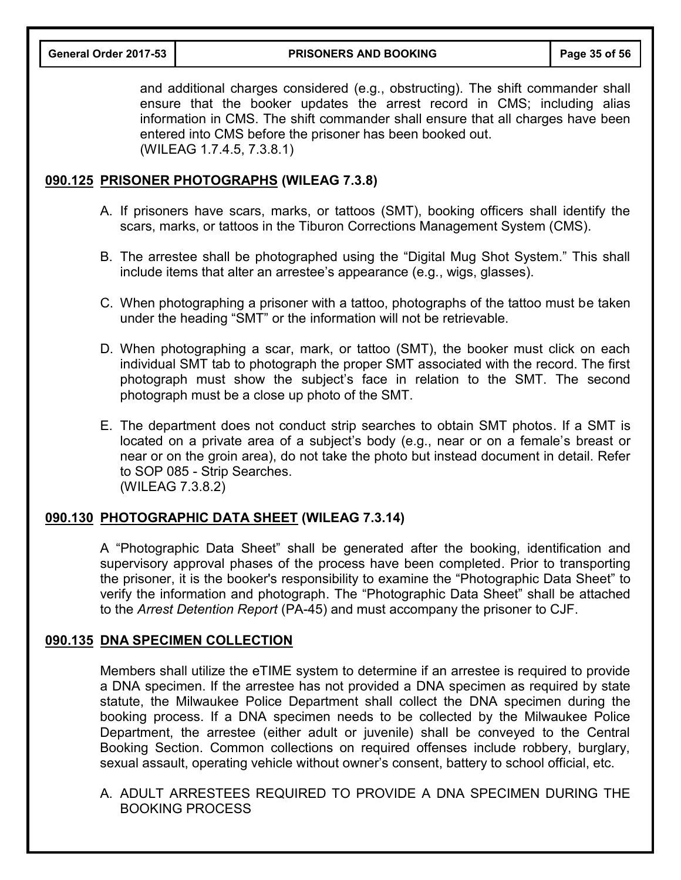**General Order 2017-53 PRISONERS AND BOOKING Page 35 of 56**

and additional charges considered (e.g., obstructing). The shift commander shall ensure that the booker updates the arrest record in CMS; including alias information in CMS. The shift commander shall ensure that all charges have been entered into CMS before the prisoner has been booked out. (WILEAG 1.7.4.5, 7.3.8.1)

## **090.125 PRISONER PHOTOGRAPHS (WILEAG 7.3.8)**

- A. If prisoners have scars, marks, or tattoos (SMT), booking officers shall identify the scars, marks, or tattoos in the Tiburon Corrections Management System (CMS).
- B. The arrestee shall be photographed using the "Digital Mug Shot System." This shall include items that alter an arrestee's appearance (e.g., wigs, glasses).
- C. When photographing a prisoner with a tattoo, photographs of the tattoo must be taken under the heading "SMT" or the information will not be retrievable.
- D. When photographing a scar, mark, or tattoo (SMT), the booker must click on each individual SMT tab to photograph the proper SMT associated with the record. The first photograph must show the subject's face in relation to the SMT. The second photograph must be a close up photo of the SMT.
- E. The department does not conduct strip searches to obtain SMT photos. If a SMT is located on a private area of a subject's body (e.g., near or on a female's breast or near or on the groin area), do not take the photo but instead document in detail. Refer to SOP 085 - Strip Searches. (WILEAG 7.3.8.2)

# **090.130 PHOTOGRAPHIC DATA SHEET (WILEAG 7.3.14)**

A "Photographic Data Sheet" shall be generated after the booking, identification and supervisory approval phases of the process have been completed. Prior to transporting the prisoner, it is the booker's responsibility to examine the "Photographic Data Sheet" to verify the information and photograph. The "Photographic Data Sheet" shall be attached to the *Arrest Detention Report* (PA-45) and must accompany the prisoner to CJF.

## **090.135 DNA SPECIMEN COLLECTION**

Members shall utilize the eTIME system to determine if an arrestee is required to provide a DNA specimen. If the arrestee has not provided a DNA specimen as required by state statute, the Milwaukee Police Department shall collect the DNA specimen during the booking process. If a DNA specimen needs to be collected by the Milwaukee Police Department, the arrestee (either adult or juvenile) shall be conveyed to the Central Booking Section. Common collections on required offenses include robbery, burglary, sexual assault, operating vehicle without owner's consent, battery to school official, etc.

A. ADULT ARRESTEES REQUIRED TO PROVIDE A DNA SPECIMEN DURING THE BOOKING PROCESS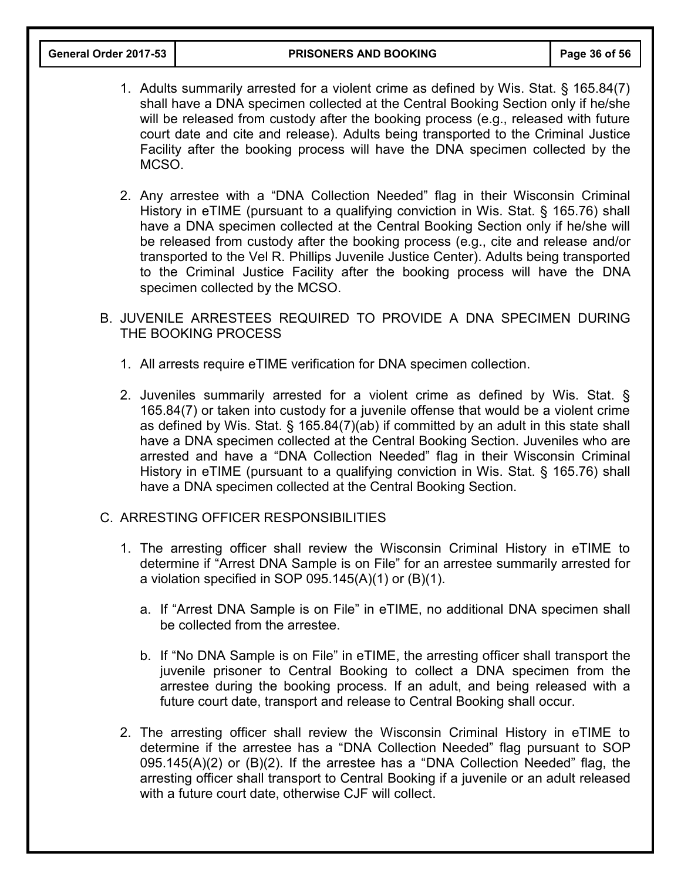- 1. Adults summarily arrested for a violent crime as defined by Wis. Stat. § 165.84(7) shall have a DNA specimen collected at the Central Booking Section only if he/she will be released from custody after the booking process (e.g., released with future court date and cite and release). Adults being transported to the Criminal Justice Facility after the booking process will have the DNA specimen collected by the MCSO.
- 2. Any arrestee with a "DNA Collection Needed" flag in their Wisconsin Criminal History in eTIME (pursuant to a qualifying conviction in Wis. Stat. § 165.76) shall have a DNA specimen collected at the Central Booking Section only if he/she will be released from custody after the booking process (e.g., cite and release and/or transported to the Vel R. Phillips Juvenile Justice Center). Adults being transported to the Criminal Justice Facility after the booking process will have the DNA specimen collected by the MCSO.
- B. JUVENILE ARRESTEES REQUIRED TO PROVIDE A DNA SPECIMEN DURING THE BOOKING PROCESS
	- 1. All arrests require eTIME verification for DNA specimen collection.
	- 2. Juveniles summarily arrested for a violent crime as defined by Wis. Stat. § 165.84(7) or taken into custody for a juvenile offense that would be a violent crime as defined by Wis. Stat. § 165.84(7)(ab) if committed by an adult in this state shall have a DNA specimen collected at the Central Booking Section. Juveniles who are arrested and have a "DNA Collection Needed" flag in their Wisconsin Criminal History in eTIME (pursuant to a qualifying conviction in Wis. Stat. § 165.76) shall have a DNA specimen collected at the Central Booking Section.

#### C. ARRESTING OFFICER RESPONSIBILITIES

- 1. The arresting officer shall review the Wisconsin Criminal History in eTIME to determine if "Arrest DNA Sample is on File" for an arrestee summarily arrested for a violation specified in SOP 095.145(A)(1) or (B)(1).
	- a. If "Arrest DNA Sample is on File" in eTIME, no additional DNA specimen shall be collected from the arrestee.
	- b. If "No DNA Sample is on File" in eTIME, the arresting officer shall transport the juvenile prisoner to Central Booking to collect a DNA specimen from the arrestee during the booking process. If an adult, and being released with a future court date, transport and release to Central Booking shall occur.
- 2. The arresting officer shall review the Wisconsin Criminal History in eTIME to determine if the arrestee has a "DNA Collection Needed" flag pursuant to SOP 095.145(A)(2) or (B)(2). If the arrestee has a "DNA Collection Needed" flag, the arresting officer shall transport to Central Booking if a juvenile or an adult released with a future court date, otherwise CJF will collect.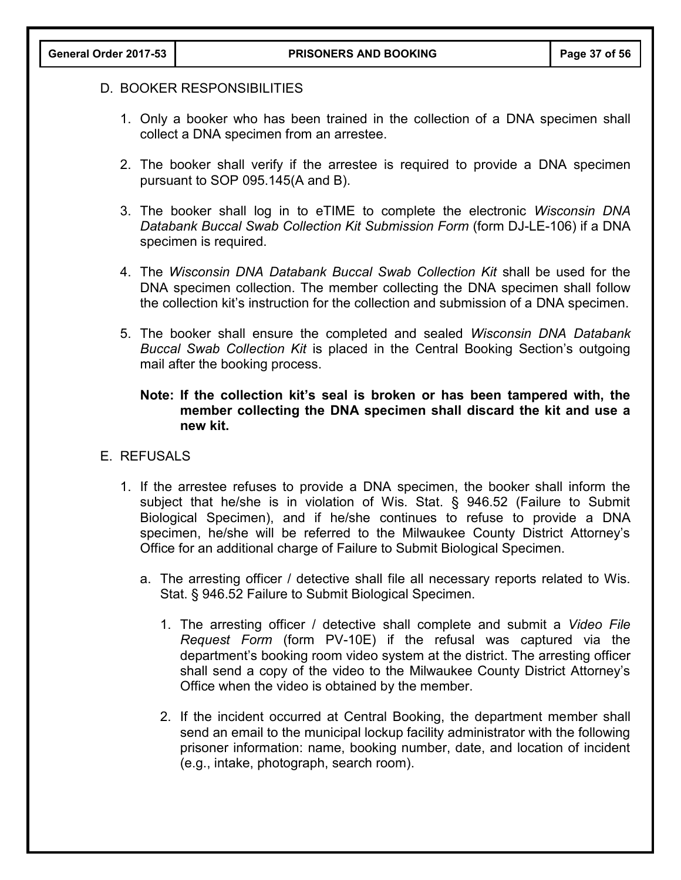## D. BOOKER RESPONSIBILITIES

- 1. Only a booker who has been trained in the collection of a DNA specimen shall collect a DNA specimen from an arrestee.
- 2. The booker shall verify if the arrestee is required to provide a DNA specimen pursuant to SOP 095.145(A and B).
- 3. The booker shall log in to eTIME to complete the electronic *Wisconsin DNA Databank Buccal Swab Collection Kit Submission Form* (form DJ-LE-106) if a DNA specimen is required.
- 4. The *Wisconsin DNA Databank Buccal Swab Collection Kit* shall be used for the DNA specimen collection. The member collecting the DNA specimen shall follow the collection kit's instruction for the collection and submission of a DNA specimen.
- 5. The booker shall ensure the completed and sealed *Wisconsin DNA Databank Buccal Swab Collection Kit* is placed in the Central Booking Section's outgoing mail after the booking process.

## **Note: If the collection kit's seal is broken or has been tampered with, the member collecting the DNA specimen shall discard the kit and use a new kit.**

#### E. REFUSALS

- 1. If the arrestee refuses to provide a DNA specimen, the booker shall inform the subject that he/she is in violation of Wis. Stat. § 946.52 (Failure to Submit Biological Specimen), and if he/she continues to refuse to provide a DNA specimen, he/she will be referred to the Milwaukee County District Attorney's Office for an additional charge of Failure to Submit Biological Specimen.
	- a. The arresting officer / detective shall file all necessary reports related to Wis. Stat. § 946.52 Failure to Submit Biological Specimen.
		- 1. The arresting officer / detective shall complete and submit a *Video File Request Form* (form PV-10E) if the refusal was captured via the department's booking room video system at the district. The arresting officer shall send a copy of the video to the Milwaukee County District Attorney's Office when the video is obtained by the member.
		- 2. If the incident occurred at Central Booking, the department member shall send an email to the municipal lockup facility administrator with the following prisoner information: name, booking number, date, and location of incident (e.g., intake, photograph, search room).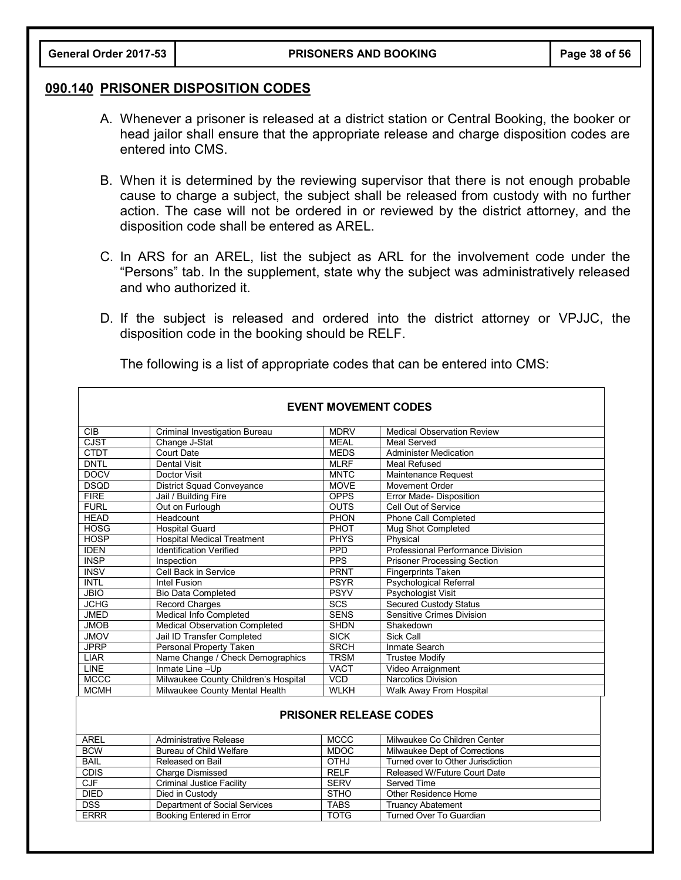#### **090.140 PRISONER DISPOSITION CODES**

- A. Whenever a prisoner is released at a district station or Central Booking, the booker or head jailor shall ensure that the appropriate release and charge disposition codes are entered into CMS.
- B. When it is determined by the reviewing supervisor that there is not enough probable cause to charge a subject, the subject shall be released from custody with no further action. The case will not be ordered in or reviewed by the district attorney, and the disposition code shall be entered as AREL.
- C. In ARS for an AREL, list the subject as ARL for the involvement code under the "Persons" tab. In the supplement, state why the subject was administratively released and who authorized it.
- D. If the subject is released and ordered into the district attorney or VPJJC, the disposition code in the booking should be RELF.

| <b>EVENT MOVEMENT CODES</b>   |                                      |             |                                    |  |
|-------------------------------|--------------------------------------|-------------|------------------------------------|--|
| <b>CIB</b>                    | Criminal Investigation Bureau        | <b>MDRV</b> | <b>Medical Observation Review</b>  |  |
| <b>CJST</b>                   | Change J-Stat                        | <b>MEAL</b> | <b>Meal Served</b>                 |  |
| <b>CTDT</b>                   | Court Date                           | <b>MEDS</b> | <b>Administer Medication</b>       |  |
| <b>DNTL</b>                   | <b>Dental Visit</b>                  | <b>MLRF</b> | <b>Meal Refused</b>                |  |
| <b>DOCV</b>                   | Doctor Visit                         | <b>MNTC</b> | Maintenance Request                |  |
| <b>DSQD</b>                   | <b>District Squad Conveyance</b>     | <b>MOVE</b> | Movement Order                     |  |
| FIRE                          | Jail / Building Fire                 | <b>OPPS</b> | Error Made-Disposition             |  |
| <b>FURL</b>                   | Out on Furlough                      | <b>OUTS</b> | Cell Out of Service                |  |
| <b>HEAD</b>                   | Headcount                            | PHON        | Phone Call Completed               |  |
| <b>HOSG</b>                   | <b>Hospital Guard</b>                | PHOT        | Mug Shot Completed                 |  |
| <b>HOSP</b>                   | <b>Hospital Medical Treatment</b>    | <b>PHYS</b> | Physical                           |  |
| <b>IDEN</b>                   | <b>Identification Verified</b>       | <b>PPD</b>  | Professional Performance Division  |  |
| <b>INSP</b>                   | Inspection                           | <b>PPS</b>  | <b>Prisoner Processing Section</b> |  |
| <b>INSV</b>                   | Cell Back in Service                 | <b>PRNT</b> | <b>Fingerprints Taken</b>          |  |
| <b>INTL</b>                   | Intel Fusion                         | <b>PSYR</b> | <b>Psychological Referral</b>      |  |
| <b>JBIO</b>                   | <b>Bio Data Completed</b>            | <b>PSYV</b> | <b>Psychologist Visit</b>          |  |
| <b>JCHG</b>                   | <b>Record Charges</b>                | SCS         | <b>Secured Custody Status</b>      |  |
| <b>JMED</b>                   | <b>Medical Info Completed</b>        | <b>SENS</b> | Sensitive Crimes Division          |  |
| <b>JMOB</b>                   | <b>Medical Observation Completed</b> | <b>SHDN</b> | Shakedown                          |  |
| <b>JMOV</b>                   | Jail ID Transfer Completed           | <b>SICK</b> | Sick Call                          |  |
| <b>JPRP</b>                   | Personal Property Taken              | <b>SRCH</b> | Inmate Search                      |  |
| <b>LIAR</b>                   | Name Change / Check Demographics     | <b>TRSM</b> | <b>Trustee Modifv</b>              |  |
| <b>LINE</b>                   | Inmate Line-Up                       | <b>VACT</b> | Video Arraignment                  |  |
| <b>MCCC</b>                   | Milwaukee County Children's Hospital | <b>VCD</b>  | <b>Narcotics Division</b>          |  |
| <b>MCMH</b>                   | Milwaukee County Mental Health       | <b>WLKH</b> | Walk Away From Hospital            |  |
| <b>PRISONER RELEASE CODES</b> |                                      |             |                                    |  |
| <b>AREL</b>                   | Administrative Release               | <b>MCCC</b> | Milwaukee Co Children Center       |  |
| <b>BCW</b>                    | Bureau of Child Welfare              | <b>MDOC</b> | Milwaukee Dept of Corrections      |  |
| <b>BAIL</b>                   | Released on Bail                     | <b>OTHJ</b> | Turned over to Other Jurisdiction  |  |
| <b>CDIS</b>                   | Charge Dismissed                     | <b>RELF</b> | Released W/Future Court Date       |  |
| CJF                           | <b>Criminal Justice Facility</b>     | <b>SERV</b> | Served Time                        |  |

Turned Over To Guardian

DIED Died in Custody STHO Other Residence Home<br>DSS Department of Social Services TABS Truancy Abatement

DSS Department of Social Services TABS<br>
ERRR Booking Entered in Error TOTG

The following is a list of appropriate codes that can be entered into CMS: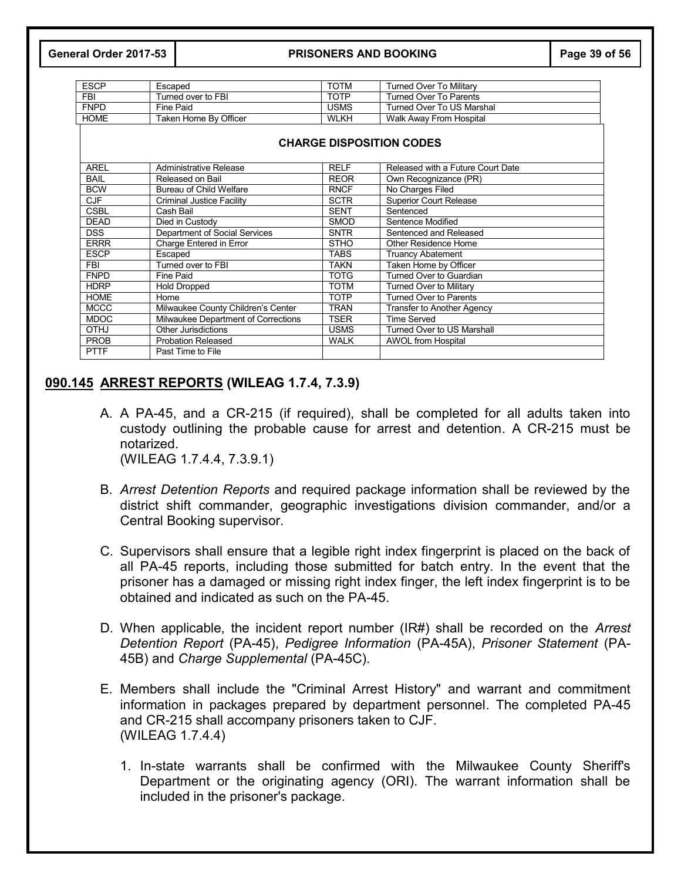#### **General Order 2017-53 PRISONERS AND BOOKING Page 39 of 56**

| <b>ESCP</b> | Escaped               | TOTM        | Turned Over To Militarv   |
|-------------|-----------------------|-------------|---------------------------|
| <b>FBI</b>  | Turned over to FBI    | ТОТР        | Turned Over To Parents    |
| <b>FNPD</b> | Fine Paid             | USMS        | Turned Over To US Marshal |
| <b>HOME</b> | Taken Home By Officer | <b>WLKH</b> | Walk Away From Hospital   |
|             |                       |             |                           |

| <b>CHARGE DISPOSITION CODES</b> |                                     |             |                                   |
|---------------------------------|-------------------------------------|-------------|-----------------------------------|
| <b>AREL</b>                     | Administrative Release              | <b>RELF</b> | Released with a Future Court Date |
| <b>BAIL</b>                     | Released on Bail                    | <b>REOR</b> | Own Recognizance (PR)             |
| <b>BCW</b>                      | Bureau of Child Welfare             | <b>RNCF</b> | No Charges Filed                  |
| CJF                             | Criminal Justice Facility           | SCTR        | <b>Superior Court Release</b>     |
| <b>CSBL</b>                     | Cash Bail                           | <b>SENT</b> | Sentenced                         |
| <b>DEAD</b>                     | Died in Custody                     | <b>SMOD</b> | Sentence Modified                 |
| <b>DSS</b>                      | Department of Social Services       | <b>SNTR</b> | Sentenced and Released            |
| <b>ERRR</b>                     | Charge Entered in Error             | STHO        | Other Residence Home              |
| <b>ESCP</b>                     | Escaped                             | TABS        | <b>Truancy Abatement</b>          |
| <b>FBI</b>                      | Turned over to FBI                  | TAKN        | Taken Home by Officer             |
| <b>FNPD</b>                     | Fine Paid                           | TOTG        | Turned Over to Guardian           |
| <b>HDRP</b>                     | <b>Hold Dropped</b>                 | TOTM        | <b>Turned Over to Military</b>    |
| <b>HOME</b>                     | Home                                | <b>TOTP</b> | <b>Turned Over to Parents</b>     |
| <b>MCCC</b>                     | Milwaukee County Children's Center  | TRAN        | <b>Transfer to Another Agency</b> |
| <b>MDOC</b>                     | Milwaukee Department of Corrections | TSER        | <b>Time Served</b>                |
| <b>OTHJ</b>                     | Other Jurisdictions                 | <b>USMS</b> | Turned Over to US Marshall        |
| <b>PROB</b>                     | <b>Probation Released</b>           | WALK        | <b>AWOL from Hospital</b>         |
| <b>PTTF</b>                     | Past Time to File                   |             |                                   |

# **090.145 ARREST REPORTS (WILEAG 1.7.4, 7.3.9)**

- A. A PA-45, and a CR-215 (if required), shall be completed for all adults taken into custody outlining the probable cause for arrest and detention. A CR-215 must be notarized. (WILEAG 1.7.4.4, 7.3.9.1)
- B. *Arrest Detention Reports* and required package information shall be reviewed by the district shift commander, geographic investigations division commander, and/or a Central Booking supervisor.
- C. Supervisors shall ensure that a legible right index fingerprint is placed on the back of all PA-45 reports, including those submitted for batch entry. In the event that the prisoner has a damaged or missing right index finger, the left index fingerprint is to be obtained and indicated as such on the PA-45.
- D. When applicable, the incident report number (IR#) shall be recorded on the *Arrest Detention Report* (PA-45), *Pedigree Information* (PA-45A), *Prisoner Statement* (PA-45B) and *Charge Supplemental* (PA-45C).
- E. Members shall include the "Criminal Arrest History" and warrant and commitment information in packages prepared by department personnel. The completed PA-45 and CR-215 shall accompany prisoners taken to CJF. (WILEAG 1.7.4.4)
	- 1. In-state warrants shall be confirmed with the Milwaukee County Sheriff's Department or the originating agency (ORI). The warrant information shall be included in the prisoner's package.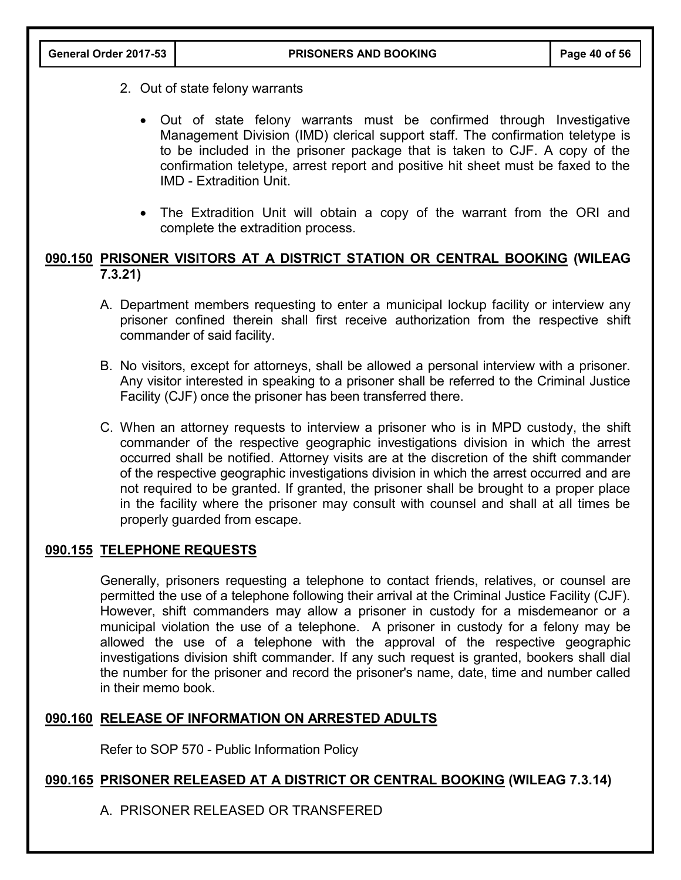- 2. Out of state felony warrants
	- Out of state felony warrants must be confirmed through Investigative Management Division (IMD) clerical support staff. The confirmation teletype is to be included in the prisoner package that is taken to CJF. A copy of the confirmation teletype, arrest report and positive hit sheet must be faxed to the IMD - Extradition Unit.
	- The Extradition Unit will obtain a copy of the warrant from the ORI and complete the extradition process.

# **090.150 PRISONER VISITORS AT A DISTRICT STATION OR CENTRAL BOOKING (WILEAG 7.3.21)**

- A. Department members requesting to enter a municipal lockup facility or interview any prisoner confined therein shall first receive authorization from the respective shift commander of said facility.
- B. No visitors, except for attorneys, shall be allowed a personal interview with a prisoner. Any visitor interested in speaking to a prisoner shall be referred to the Criminal Justice Facility (CJF) once the prisoner has been transferred there.
- C. When an attorney requests to interview a prisoner who is in MPD custody, the shift commander of the respective geographic investigations division in which the arrest occurred shall be notified. Attorney visits are at the discretion of the shift commander of the respective geographic investigations division in which the arrest occurred and are not required to be granted. If granted, the prisoner shall be brought to a proper place in the facility where the prisoner may consult with counsel and shall at all times be properly guarded from escape.

## **090.155 TELEPHONE REQUESTS**

Generally, prisoners requesting a telephone to contact friends, relatives, or counsel are permitted the use of a telephone following their arrival at the Criminal Justice Facility (CJF). However, shift commanders may allow a prisoner in custody for a misdemeanor or a municipal violation the use of a telephone. A prisoner in custody for a felony may be allowed the use of a telephone with the approval of the respective geographic investigations division shift commander. If any such request is granted, bookers shall dial the number for the prisoner and record the prisoner's name, date, time and number called in their memo book.

# **090.160 RELEASE OF INFORMATION ON ARRESTED ADULTS**

Refer to SOP 570 - Public Information Policy

## **090.165 PRISONER RELEASED AT A DISTRICT OR CENTRAL BOOKING (WILEAG 7.3.14)**

A. PRISONER RELEASED OR TRANSFERED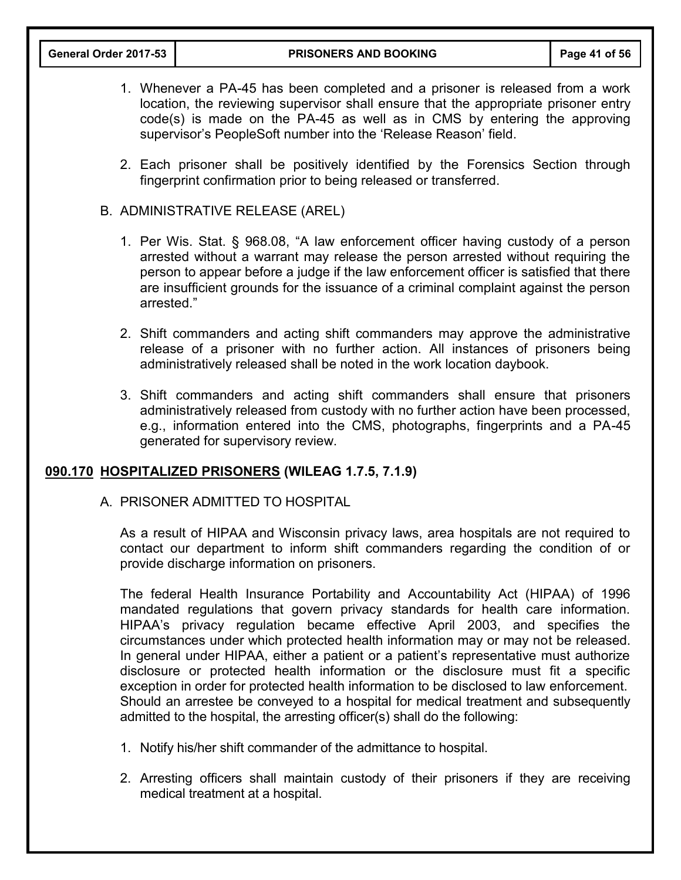- 1. Whenever a PA-45 has been completed and a prisoner is released from a work location, the reviewing supervisor shall ensure that the appropriate prisoner entry code(s) is made on the PA-45 as well as in CMS by entering the approving supervisor's PeopleSoft number into the 'Release Reason' field.
- 2. Each prisoner shall be positively identified by the Forensics Section through fingerprint confirmation prior to being released or transferred.
- B. ADMINISTRATIVE RELEASE (AREL)
	- 1. Per Wis. Stat. § 968.08, "A law enforcement officer having custody of a person arrested without a warrant may release the person arrested without requiring the person to appear before a judge if the law enforcement officer is satisfied that there are insufficient grounds for the issuance of a criminal complaint against the person arrested."
	- 2. Shift commanders and acting shift commanders may approve the administrative release of a prisoner with no further action. All instances of prisoners being administratively released shall be noted in the work location daybook.
	- 3. Shift commanders and acting shift commanders shall ensure that prisoners administratively released from custody with no further action have been processed, e.g., information entered into the CMS, photographs, fingerprints and a PA-45 generated for supervisory review.

## **090.170 HOSPITALIZED PRISONERS (WILEAG 1.7.5, 7.1.9)**

#### A. PRISONER ADMITTED TO HOSPITAL

As a result of HIPAA and Wisconsin privacy laws, area hospitals are not required to contact our department to inform shift commanders regarding the condition of or provide discharge information on prisoners.

The federal Health Insurance Portability and Accountability Act (HIPAA) of 1996 mandated regulations that govern privacy standards for health care information. HIPAA's privacy regulation became effective April 2003, and specifies the circumstances under which protected health information may or may not be released. In general under HIPAA, either a patient or a patient's representative must authorize disclosure or protected health information or the disclosure must fit a specific exception in order for protected health information to be disclosed to law enforcement. Should an arrestee be conveyed to a hospital for medical treatment and subsequently admitted to the hospital, the arresting officer(s) shall do the following:

- 1. Notify his/her shift commander of the admittance to hospital.
- 2. Arresting officers shall maintain custody of their prisoners if they are receiving medical treatment at a hospital.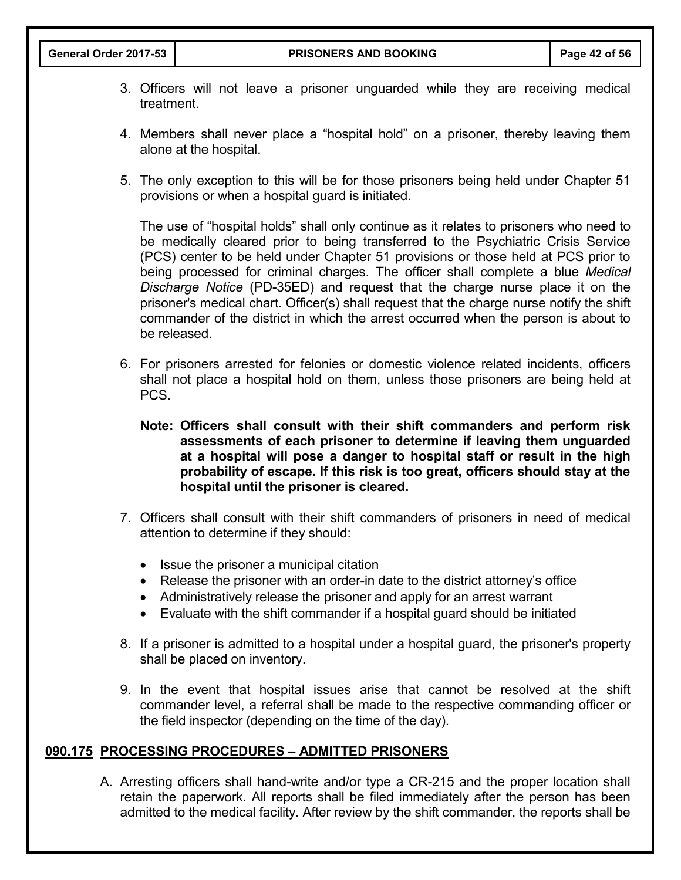- 3. Officers will not leave a prisoner unguarded while they are receiving medical treatment.
- 4. Members shall never place a "hospital hold" on a prisoner, thereby leaving them alone at the hospital.
- 5. The only exception to this will be for those prisoners being held under Chapter 51 provisions or when a hospital guard is initiated.

The use of "hospital holds" shall only continue as it relates to prisoners who need to be medically cleared prior to being transferred to the Psychiatric Crisis Service (PCS) center to be held under Chapter 51 provisions or those held at PCS prior to being processed for criminal charges. The officer shall complete a blue *Medical Discharge Notice* (PD-35ED) and request that the charge nurse place it on the prisoner's medical chart. Officer(s) shall request that the charge nurse notify the shift commander of the district in which the arrest occurred when the person is about to be released.

- 6. For prisoners arrested for felonies or domestic violence related incidents, officers shall not place a hospital hold on them, unless those prisoners are being held at PCS.
	- **Note: Officers shall consult with their shift commanders and perform risk assessments of each prisoner to determine if leaving them unguarded at a hospital will pose a danger to hospital staff or result in the high probability of escape. If this risk is too great, officers should stay at the hospital until the prisoner is cleared.**
- 7. Officers shall consult with their shift commanders of prisoners in need of medical attention to determine if they should:
	- Issue the prisoner a municipal citation
	- Release the prisoner with an order-in date to the district attorney's office
	- Administratively release the prisoner and apply for an arrest warrant
	- Evaluate with the shift commander if a hospital guard should be initiated
- 8. If a prisoner is admitted to a hospital under a hospital guard, the prisoner's property shall be placed on inventory.
- 9. In the event that hospital issues arise that cannot be resolved at the shift commander level, a referral shall be made to the respective commanding officer or the field inspector (depending on the time of the day).

## **090.175 PROCESSING PROCEDURES – ADMITTED PRISONERS**

A. Arresting officers shall hand-write and/or type a CR-215 and the proper location shall retain the paperwork. All reports shall be filed immediately after the person has been admitted to the medical facility. After review by the shift commander, the reports shall be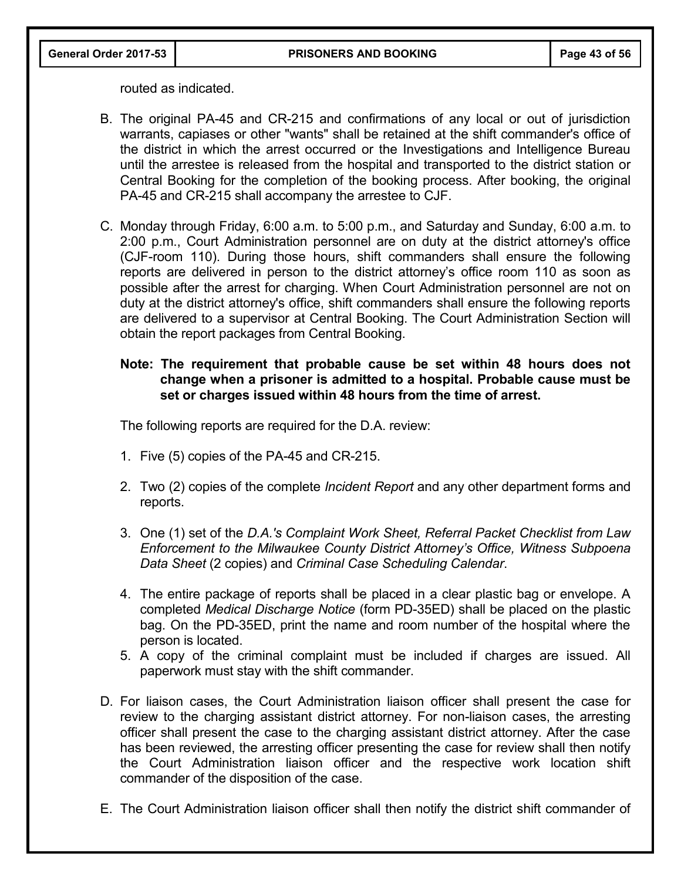routed as indicated.

- B. The original PA-45 and CR-215 and confirmations of any local or out of jurisdiction warrants, capiases or other "wants" shall be retained at the shift commander's office of the district in which the arrest occurred or the Investigations and Intelligence Bureau until the arrestee is released from the hospital and transported to the district station or Central Booking for the completion of the booking process. After booking, the original PA-45 and CR-215 shall accompany the arrestee to CJF.
- C. Monday through Friday, 6:00 a.m. to 5:00 p.m., and Saturday and Sunday, 6:00 a.m. to 2:00 p.m., Court Administration personnel are on duty at the district attorney's office (CJF-room 110). During those hours, shift commanders shall ensure the following reports are delivered in person to the district attorney's office room 110 as soon as possible after the arrest for charging. When Court Administration personnel are not on duty at the district attorney's office, shift commanders shall ensure the following reports are delivered to a supervisor at Central Booking. The Court Administration Section will obtain the report packages from Central Booking.

#### **Note: The requirement that probable cause be set within 48 hours does not change when a prisoner is admitted to a hospital. Probable cause must be set or charges issued within 48 hours from the time of arrest.**

The following reports are required for the D.A. review:

- 1. Five (5) copies of the PA-45 and CR-215.
- 2. Two (2) copies of the complete *Incident Report* and any other department forms and reports.
- 3. One (1) set of the *D.A.'s Complaint Work Sheet, Referral Packet Checklist from Law Enforcement to the Milwaukee County District Attorney's Office, Witness Subpoena Data Sheet* (2 copies) and *Criminal Case Scheduling Calendar*.
- 4. The entire package of reports shall be placed in a clear plastic bag or envelope. A completed *Medical Discharge Notice* (form PD-35ED) shall be placed on the plastic bag. On the PD-35ED, print the name and room number of the hospital where the person is located.
- 5. A copy of the criminal complaint must be included if charges are issued. All paperwork must stay with the shift commander.
- D. For liaison cases, the Court Administration liaison officer shall present the case for review to the charging assistant district attorney. For non-liaison cases, the arresting officer shall present the case to the charging assistant district attorney. After the case has been reviewed, the arresting officer presenting the case for review shall then notify the Court Administration liaison officer and the respective work location shift commander of the disposition of the case.
- E. The Court Administration liaison officer shall then notify the district shift commander of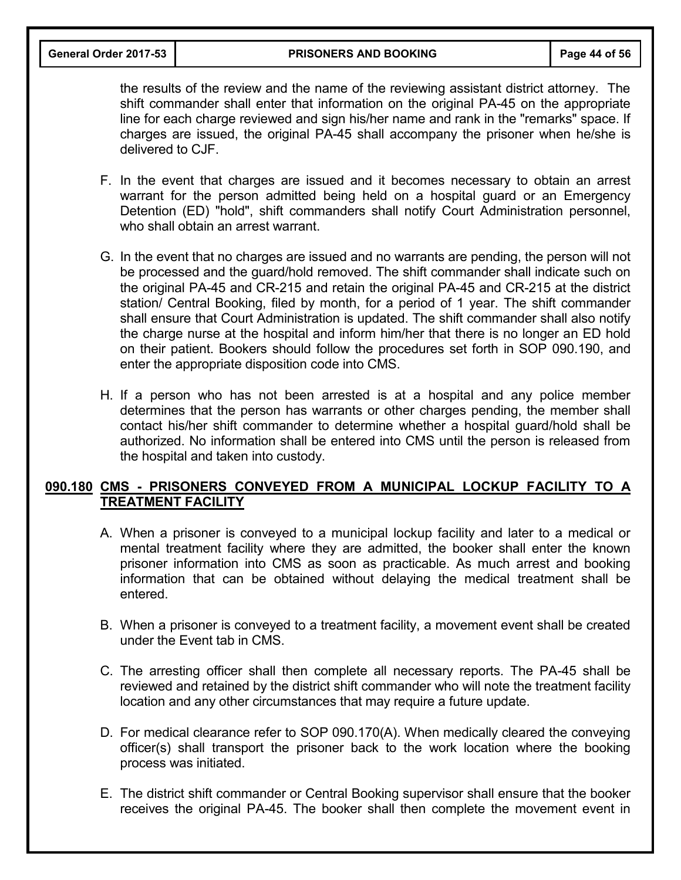**General Order 2017-53 PRISONERS AND BOOKING Page 44 of 56**

the results of the review and the name of the reviewing assistant district attorney. The shift commander shall enter that information on the original PA-45 on the appropriate line for each charge reviewed and sign his/her name and rank in the "remarks" space. If charges are issued, the original PA-45 shall accompany the prisoner when he/she is delivered to CJF.

- F. In the event that charges are issued and it becomes necessary to obtain an arrest warrant for the person admitted being held on a hospital guard or an Emergency Detention (ED) "hold", shift commanders shall notify Court Administration personnel, who shall obtain an arrest warrant.
- G. In the event that no charges are issued and no warrants are pending, the person will not be processed and the guard/hold removed. The shift commander shall indicate such on the original PA-45 and CR-215 and retain the original PA-45 and CR-215 at the district station/ Central Booking, filed by month, for a period of 1 year. The shift commander shall ensure that Court Administration is updated. The shift commander shall also notify the charge nurse at the hospital and inform him/her that there is no longer an ED hold on their patient. Bookers should follow the procedures set forth in SOP 090.190, and enter the appropriate disposition code into CMS.
- H. If a person who has not been arrested is at a hospital and any police member determines that the person has warrants or other charges pending, the member shall contact his/her shift commander to determine whether a hospital guard/hold shall be authorized. No information shall be entered into CMS until the person is released from the hospital and taken into custody.

# **090.180 CMS - PRISONERS CONVEYED FROM A MUNICIPAL LOCKUP FACILITY TO A TREATMENT FACILITY**

- A. When a prisoner is conveyed to a municipal lockup facility and later to a medical or mental treatment facility where they are admitted, the booker shall enter the known prisoner information into CMS as soon as practicable. As much arrest and booking information that can be obtained without delaying the medical treatment shall be entered.
- B. When a prisoner is conveyed to a treatment facility, a movement event shall be created under the Event tab in CMS.
- C. The arresting officer shall then complete all necessary reports. The PA-45 shall be reviewed and retained by the district shift commander who will note the treatment facility location and any other circumstances that may require a future update.
- D. For medical clearance refer to SOP 090.170(A). When medically cleared the conveying officer(s) shall transport the prisoner back to the work location where the booking process was initiated.
- E. The district shift commander or Central Booking supervisor shall ensure that the booker receives the original PA-45. The booker shall then complete the movement event in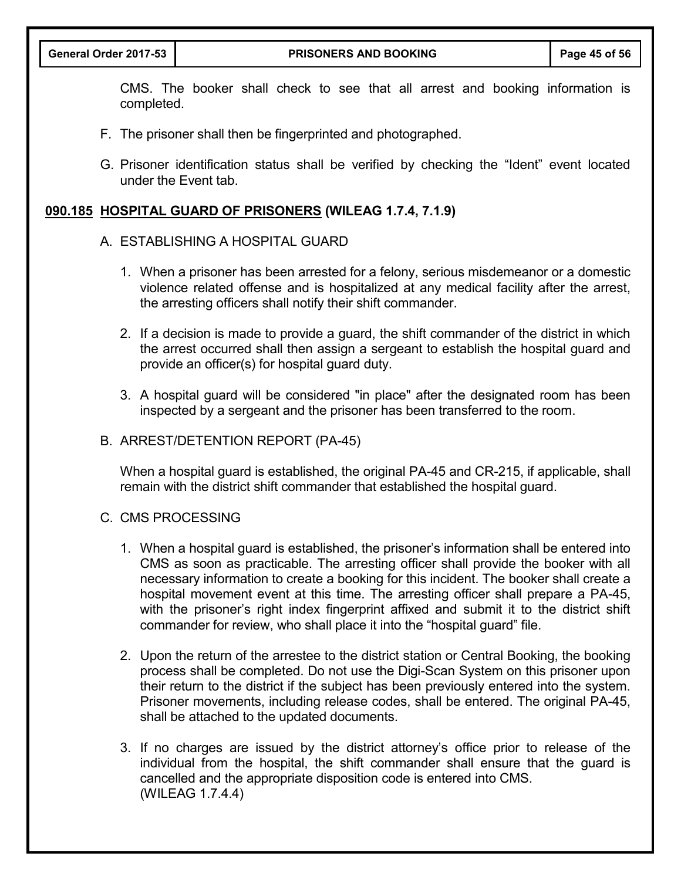CMS. The booker shall check to see that all arrest and booking information is completed.

- F. The prisoner shall then be fingerprinted and photographed.
- G. Prisoner identification status shall be verified by checking the "Ident" event located under the Event tab.

## **090.185 HOSPITAL GUARD OF PRISONERS (WILEAG 1.7.4, 7.1.9)**

#### A. ESTABLISHING A HOSPITAL GUARD

- 1. When a prisoner has been arrested for a felony, serious misdemeanor or a domestic violence related offense and is hospitalized at any medical facility after the arrest, the arresting officers shall notify their shift commander.
- 2. If a decision is made to provide a guard, the shift commander of the district in which the arrest occurred shall then assign a sergeant to establish the hospital guard and provide an officer(s) for hospital guard duty.
- 3. A hospital guard will be considered "in place" after the designated room has been inspected by a sergeant and the prisoner has been transferred to the room.
- B. ARREST/DETENTION REPORT (PA-45)

When a hospital guard is established, the original PA-45 and CR-215, if applicable, shall remain with the district shift commander that established the hospital guard.

- C. CMS PROCESSING
	- 1. When a hospital guard is established, the prisoner's information shall be entered into CMS as soon as practicable. The arresting officer shall provide the booker with all necessary information to create a booking for this incident. The booker shall create a hospital movement event at this time. The arresting officer shall prepare a PA-45, with the prisoner's right index fingerprint affixed and submit it to the district shift commander for review, who shall place it into the "hospital guard" file.
	- 2. Upon the return of the arrestee to the district station or Central Booking, the booking process shall be completed. Do not use the Digi-Scan System on this prisoner upon their return to the district if the subject has been previously entered into the system. Prisoner movements, including release codes, shall be entered. The original PA-45, shall be attached to the updated documents.
	- 3. If no charges are issued by the district attorney's office prior to release of the individual from the hospital, the shift commander shall ensure that the guard is cancelled and the appropriate disposition code is entered into CMS. (WILEAG 1.7.4.4)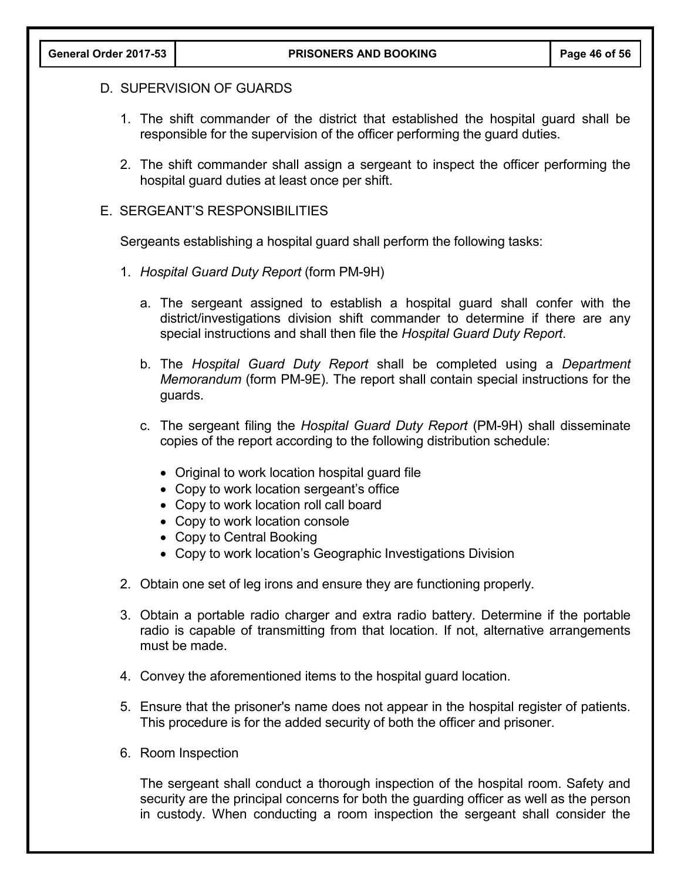## D. SUPERVISION OF GUARDS

- 1. The shift commander of the district that established the hospital guard shall be responsible for the supervision of the officer performing the guard duties.
- 2. The shift commander shall assign a sergeant to inspect the officer performing the hospital guard duties at least once per shift.

#### E. SERGEANT'S RESPONSIBILITIES

Sergeants establishing a hospital guard shall perform the following tasks:

- 1. *Hospital Guard Duty Report* (form PM-9H)
	- a. The sergeant assigned to establish a hospital guard shall confer with the district/investigations division shift commander to determine if there are any special instructions and shall then file the *Hospital Guard Duty Report*.
	- b. The *Hospital Guard Duty Report* shall be completed using a *Department Memorandum* (form PM-9E). The report shall contain special instructions for the guards.
	- c. The sergeant filing the *Hospital Guard Duty Report* (PM-9H) shall disseminate copies of the report according to the following distribution schedule:
		- Original to work location hospital guard file
		- Copy to work location sergeant's office
		- Copy to work location roll call board
		- Copy to work location console
		- Copy to Central Booking
		- Copy to work location's Geographic Investigations Division
- 2. Obtain one set of leg irons and ensure they are functioning properly.
- 3. Obtain a portable radio charger and extra radio battery. Determine if the portable radio is capable of transmitting from that location. If not, alternative arrangements must be made.
- 4. Convey the aforementioned items to the hospital guard location.
- 5. Ensure that the prisoner's name does not appear in the hospital register of patients. This procedure is for the added security of both the officer and prisoner.
- 6. Room Inspection

The sergeant shall conduct a thorough inspection of the hospital room. Safety and security are the principal concerns for both the guarding officer as well as the person in custody. When conducting a room inspection the sergeant shall consider the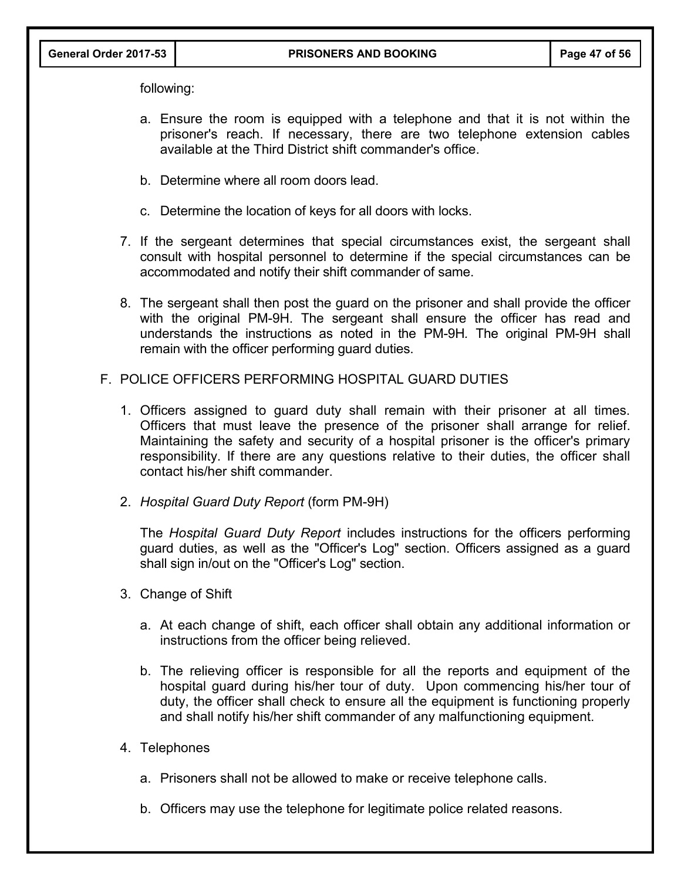following:

- a. Ensure the room is equipped with a telephone and that it is not within the prisoner's reach. If necessary, there are two telephone extension cables available at the Third District shift commander's office.
- b. Determine where all room doors lead.
- c. Determine the location of keys for all doors with locks.
- 7. If the sergeant determines that special circumstances exist, the sergeant shall consult with hospital personnel to determine if the special circumstances can be accommodated and notify their shift commander of same.
- 8. The sergeant shall then post the guard on the prisoner and shall provide the officer with the original PM-9H. The sergeant shall ensure the officer has read and understands the instructions as noted in the PM-9H*.* The original PM-9H shall remain with the officer performing guard duties.
- F. POLICE OFFICERS PERFORMING HOSPITAL GUARD DUTIES
	- 1. Officers assigned to guard duty shall remain with their prisoner at all times. Officers that must leave the presence of the prisoner shall arrange for relief. Maintaining the safety and security of a hospital prisoner is the officer's primary responsibility. If there are any questions relative to their duties, the officer shall contact his/her shift commander.
	- 2. *Hospital Guard Duty Report* (form PM-9H)

The *Hospital Guard Duty Report* includes instructions for the officers performing guard duties, as well as the "Officer's Log" section. Officers assigned as a guard shall sign in/out on the "Officer's Log" section.

- 3. Change of Shift
	- a. At each change of shift, each officer shall obtain any additional information or instructions from the officer being relieved.
	- b. The relieving officer is responsible for all the reports and equipment of the hospital guard during his/her tour of duty. Upon commencing his/her tour of duty, the officer shall check to ensure all the equipment is functioning properly and shall notify his/her shift commander of any malfunctioning equipment.
- 4. Telephones
	- a. Prisoners shall not be allowed to make or receive telephone calls.
	- b. Officers may use the telephone for legitimate police related reasons.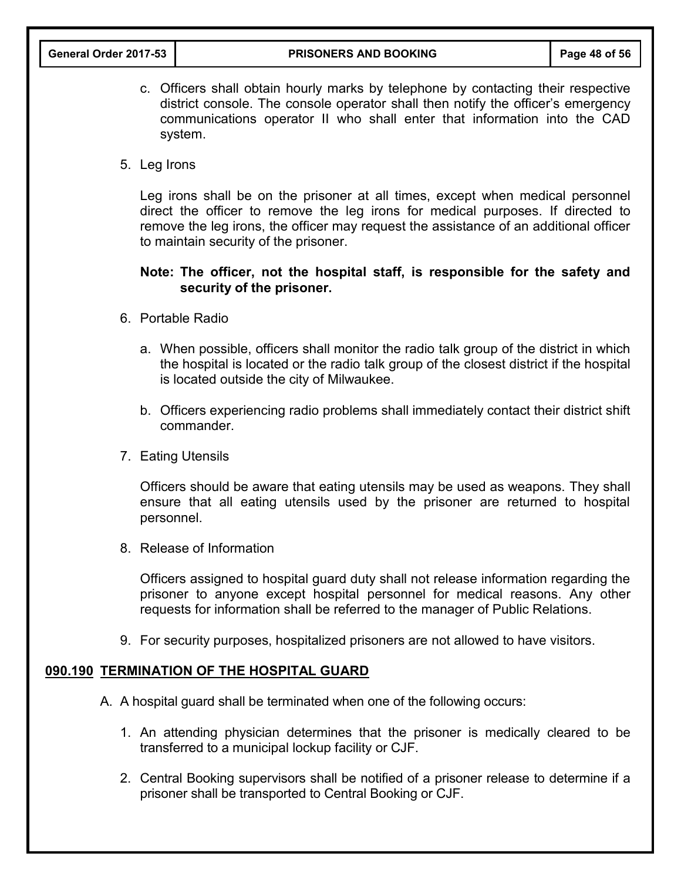- c. Officers shall obtain hourly marks by telephone by contacting their respective district console. The console operator shall then notify the officer's emergency communications operator II who shall enter that information into the CAD system.
- 5. Leg Irons

Leg irons shall be on the prisoner at all times, except when medical personnel direct the officer to remove the leg irons for medical purposes. If directed to remove the leg irons, the officer may request the assistance of an additional officer to maintain security of the prisoner.

## **Note: The officer, not the hospital staff, is responsible for the safety and security of the prisoner.**

- 6. Portable Radio
	- a. When possible, officers shall monitor the radio talk group of the district in which the hospital is located or the radio talk group of the closest district if the hospital is located outside the city of Milwaukee.
	- b. Officers experiencing radio problems shall immediately contact their district shift commander.
- 7. Eating Utensils

Officers should be aware that eating utensils may be used as weapons. They shall ensure that all eating utensils used by the prisoner are returned to hospital personnel.

8. Release of Information

Officers assigned to hospital guard duty shall not release information regarding the prisoner to anyone except hospital personnel for medical reasons. Any other requests for information shall be referred to the manager of Public Relations.

9. For security purposes, hospitalized prisoners are not allowed to have visitors.

#### **090.190 TERMINATION OF THE HOSPITAL GUARD**

- A. A hospital guard shall be terminated when one of the following occurs:
	- 1. An attending physician determines that the prisoner is medically cleared to be transferred to a municipal lockup facility or CJF.
	- 2. Central Booking supervisors shall be notified of a prisoner release to determine if a prisoner shall be transported to Central Booking or CJF.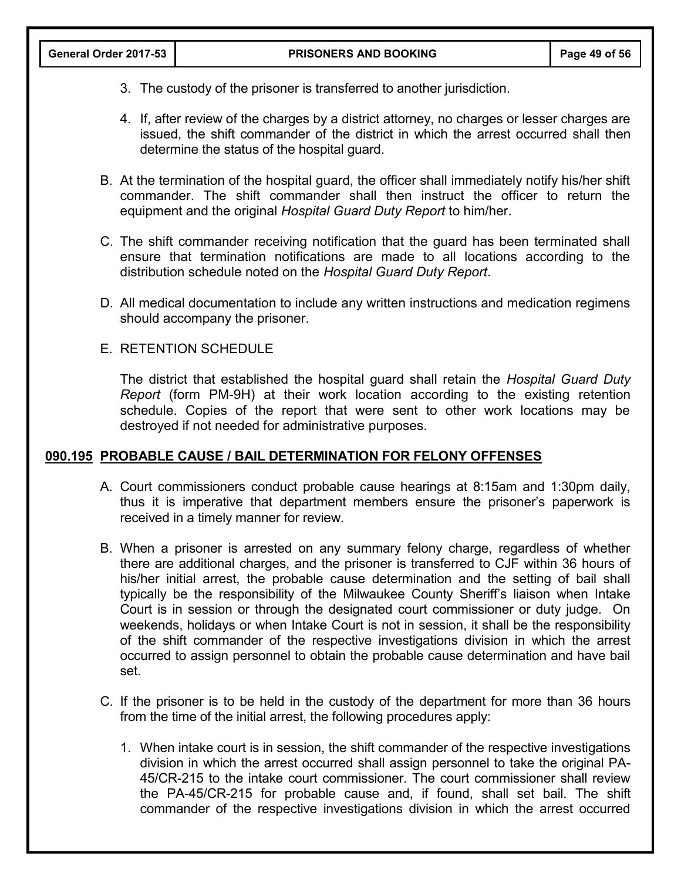- 3. The custody of the prisoner is transferred to another jurisdiction.
- 4. If, after review of the charges by a district attorney, no charges or lesser charges are issued, the shift commander of the district in which the arrest occurred shall then determine the status of the hospital guard.
- B. At the termination of the hospital guard, the officer shall immediately notify his/her shift commander. The shift commander shall then instruct the officer to return the equipment and the original *Hospital Guard Duty Report* to him/her.
- C. The shift commander receiving notification that the guard has been terminated shall ensure that termination notifications are made to all locations according to the distribution schedule noted on the *Hospital Guard Duty Report*.
- D. All medical documentation to include any written instructions and medication regimens should accompany the prisoner.
- E. RETENTION SCHEDULE

The district that established the hospital guard shall retain the *Hospital Guard Duty Report* (form PM-9H) at their work location according to the existing retention schedule. Copies of the report that were sent to other work locations may be destroyed if not needed for administrative purposes.

#### **090.195 PROBABLE CAUSE / BAIL DETERMINATION FOR FELONY OFFENSES**

- A. Court commissioners conduct probable cause hearings at 8:15am and 1:30pm daily, thus it is imperative that department members ensure the prisoner's paperwork is received in a timely manner for review.
- B. When a prisoner is arrested on any summary felony charge, regardless of whether there are additional charges, and the prisoner is transferred to CJF within 36 hours of his/her initial arrest, the probable cause determination and the setting of bail shall typically be the responsibility of the Milwaukee County Sheriff's liaison when Intake Court is in session or through the designated court commissioner or duty judge. On weekends, holidays or when Intake Court is not in session, it shall be the responsibility of the shift commander of the respective investigations division in which the arrest occurred to assign personnel to obtain the probable cause determination and have bail set.
- C. If the prisoner is to be held in the custody of the department for more than 36 hours from the time of the initial arrest, the following procedures apply:
	- 1. When intake court is in session, the shift commander of the respective investigations division in which the arrest occurred shall assign personnel to take the original PA-45/CR-215 to the intake court commissioner. The court commissioner shall review the PA-45/CR-215 for probable cause and, if found, shall set bail. The shift commander of the respective investigations division in which the arrest occurred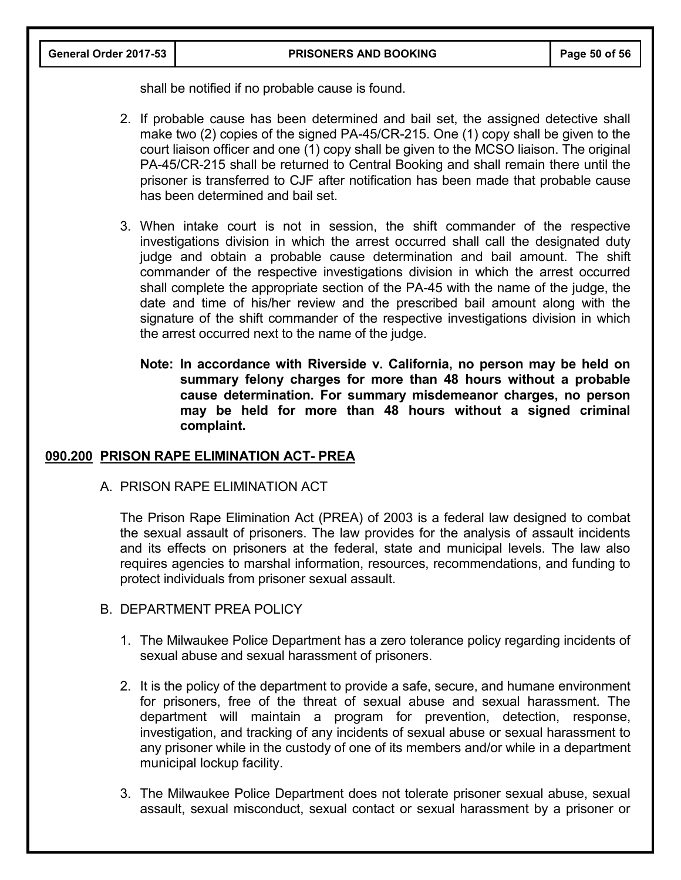shall be notified if no probable cause is found.

- 2. If probable cause has been determined and bail set, the assigned detective shall make two (2) copies of the signed PA-45/CR-215. One (1) copy shall be given to the court liaison officer and one (1) copy shall be given to the MCSO liaison. The original PA-45/CR-215 shall be returned to Central Booking and shall remain there until the prisoner is transferred to CJF after notification has been made that probable cause has been determined and bail set.
- 3. When intake court is not in session, the shift commander of the respective investigations division in which the arrest occurred shall call the designated duty judge and obtain a probable cause determination and bail amount. The shift commander of the respective investigations division in which the arrest occurred shall complete the appropriate section of the PA-45 with the name of the judge, the date and time of his/her review and the prescribed bail amount along with the signature of the shift commander of the respective investigations division in which the arrest occurred next to the name of the judge.
	- **Note: In accordance with Riverside v. California, no person may be held on summary felony charges for more than 48 hours without a probable cause determination. For summary misdemeanor charges, no person may be held for more than 48 hours without a signed criminal complaint.**

#### **090.200 PRISON RAPE ELIMINATION ACT- PREA**

A. PRISON RAPE ELIMINATION ACT

The Prison Rape Elimination Act (PREA) of 2003 is a federal law designed to combat the sexual assault of prisoners. The law provides for the analysis of assault incidents and its effects on prisoners at the federal, state and municipal levels. The law also requires agencies to marshal information, resources, recommendations, and funding to protect individuals from prisoner sexual assault.

- B. DEPARTMENT PREA POLICY
	- 1. The Milwaukee Police Department has a zero tolerance policy regarding incidents of sexual abuse and sexual harassment of prisoners.
	- 2. It is the policy of the department to provide a safe, secure, and humane environment for prisoners, free of the threat of sexual abuse and sexual harassment. The department will maintain a program for prevention, detection, response, investigation, and tracking of any incidents of sexual abuse or sexual harassment to any prisoner while in the custody of one of its members and/or while in a department municipal lockup facility.
	- 3. The Milwaukee Police Department does not tolerate prisoner sexual abuse, sexual assault, sexual misconduct, sexual contact or sexual harassment by a prisoner or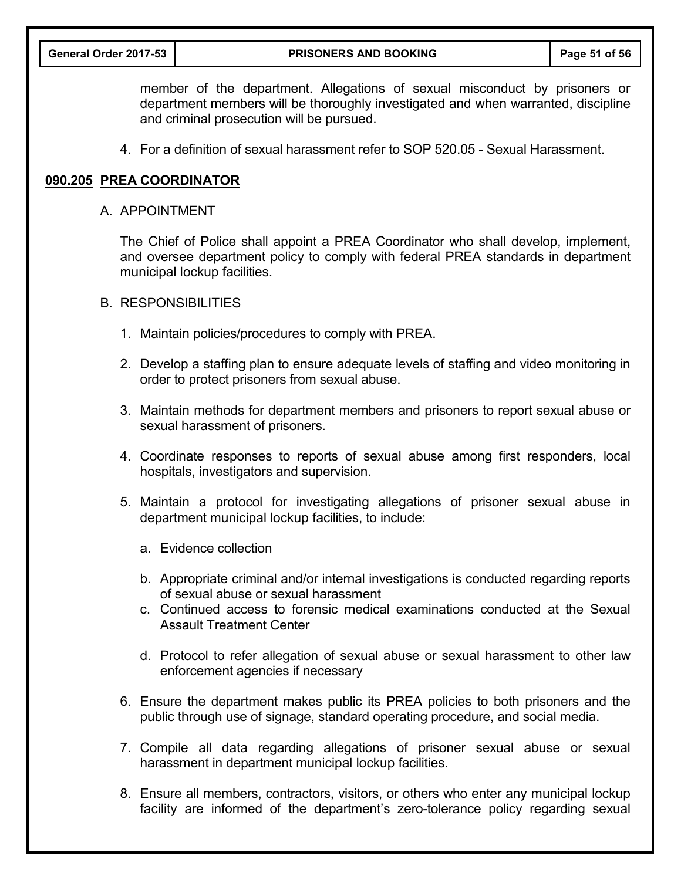member of the department. Allegations of sexual misconduct by prisoners or department members will be thoroughly investigated and when warranted, discipline and criminal prosecution will be pursued.

4. For a definition of sexual harassment refer to SOP 520.05 - Sexual Harassment.

#### **090.205 PREA COORDINATOR**

#### A. APPOINTMENT

The Chief of Police shall appoint a PREA Coordinator who shall develop, implement, and oversee department policy to comply with federal PREA standards in department municipal lockup facilities.

#### B. RESPONSIBILITIES

- 1. Maintain policies/procedures to comply with PREA.
- 2. Develop a staffing plan to ensure adequate levels of staffing and video monitoring in order to protect prisoners from sexual abuse.
- 3. Maintain methods for department members and prisoners to report sexual abuse or sexual harassment of prisoners.
- 4. Coordinate responses to reports of sexual abuse among first responders, local hospitals, investigators and supervision.
- 5. Maintain a protocol for investigating allegations of prisoner sexual abuse in department municipal lockup facilities, to include:
	- a. Evidence collection
	- b. Appropriate criminal and/or internal investigations is conducted regarding reports of sexual abuse or sexual harassment
	- c. Continued access to forensic medical examinations conducted at the Sexual Assault Treatment Center
	- d. Protocol to refer allegation of sexual abuse or sexual harassment to other law enforcement agencies if necessary
- 6. Ensure the department makes public its PREA policies to both prisoners and the public through use of signage, standard operating procedure, and social media.
- 7. Compile all data regarding allegations of prisoner sexual abuse or sexual harassment in department municipal lockup facilities.
- 8. Ensure all members, contractors, visitors, or others who enter any municipal lockup facility are informed of the department's zero-tolerance policy regarding sexual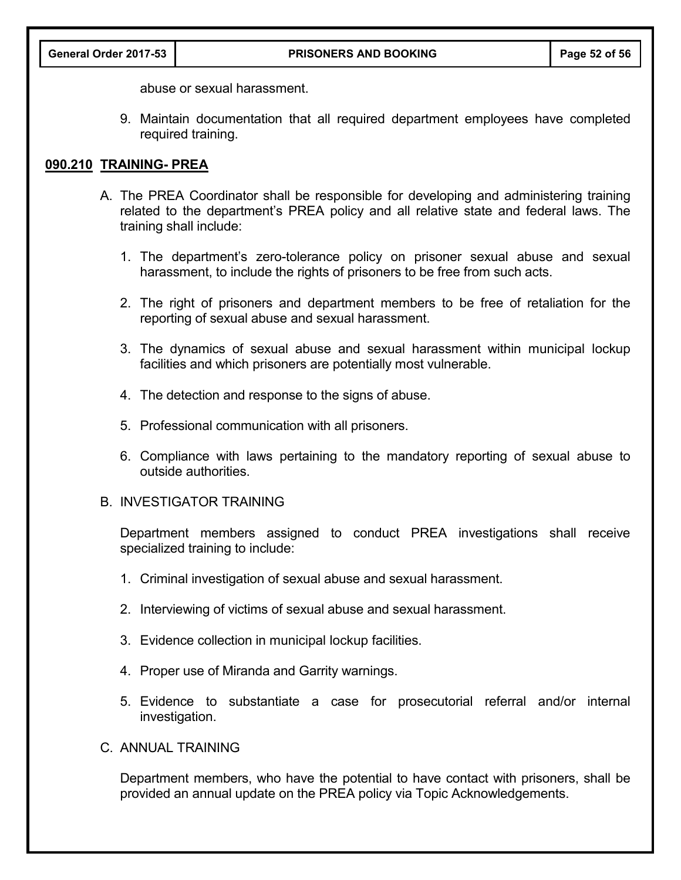abuse or sexual harassment.

9. Maintain documentation that all required department employees have completed required training.

#### **090.210 TRAINING- PREA**

- A. The PREA Coordinator shall be responsible for developing and administering training related to the department's PREA policy and all relative state and federal laws. The training shall include:
	- 1. The department's zero-tolerance policy on prisoner sexual abuse and sexual harassment, to include the rights of prisoners to be free from such acts.
	- 2. The right of prisoners and department members to be free of retaliation for the reporting of sexual abuse and sexual harassment.
	- 3. The dynamics of sexual abuse and sexual harassment within municipal lockup facilities and which prisoners are potentially most vulnerable.
	- 4. The detection and response to the signs of abuse.
	- 5. Professional communication with all prisoners.
	- 6. Compliance with laws pertaining to the mandatory reporting of sexual abuse to outside authorities.

#### B. INVESTIGATOR TRAINING

Department members assigned to conduct PREA investigations shall receive specialized training to include:

- 1. Criminal investigation of sexual abuse and sexual harassment.
- 2. Interviewing of victims of sexual abuse and sexual harassment.
- 3. Evidence collection in municipal lockup facilities.
- 4. Proper use of Miranda and Garrity warnings.
- 5. Evidence to substantiate a case for prosecutorial referral and/or internal investigation.
- C. ANNUAL TRAINING

Department members, who have the potential to have contact with prisoners, shall be provided an annual update on the PREA policy via Topic Acknowledgements.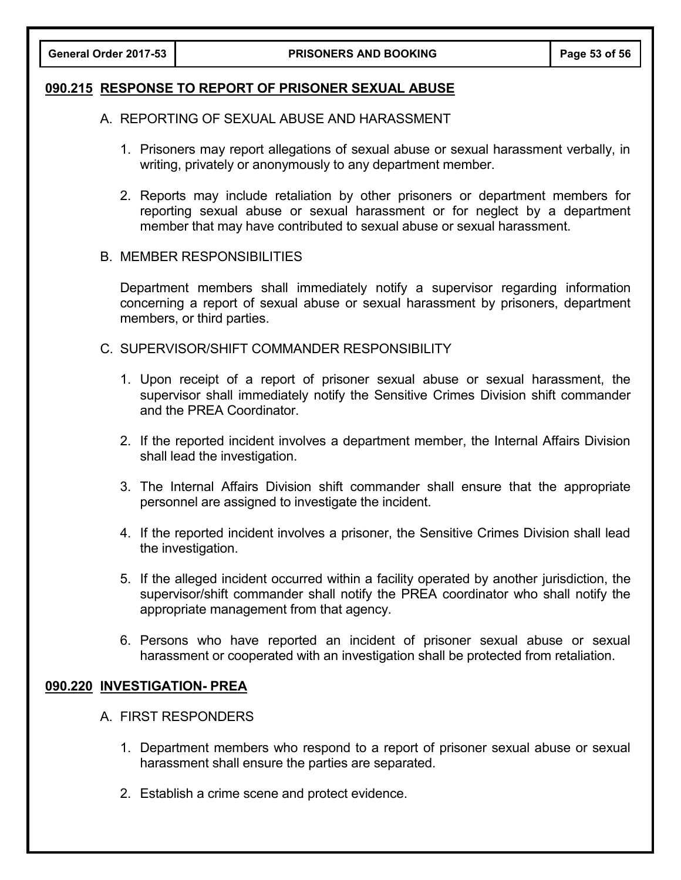#### **090.215 RESPONSE TO REPORT OF PRISONER SEXUAL ABUSE**

- A. REPORTING OF SEXUAL ABUSE AND HARASSMENT
	- 1. Prisoners may report allegations of sexual abuse or sexual harassment verbally, in writing, privately or anonymously to any department member.
	- 2. Reports may include retaliation by other prisoners or department members for reporting sexual abuse or sexual harassment or for neglect by a department member that may have contributed to sexual abuse or sexual harassment.

#### B. MEMBER RESPONSIBILITIES

Department members shall immediately notify a supervisor regarding information concerning a report of sexual abuse or sexual harassment by prisoners, department members, or third parties.

- C. SUPERVISOR/SHIFT COMMANDER RESPONSIBILITY
	- 1. Upon receipt of a report of prisoner sexual abuse or sexual harassment, the supervisor shall immediately notify the Sensitive Crimes Division shift commander and the PREA Coordinator.
	- 2. If the reported incident involves a department member, the Internal Affairs Division shall lead the investigation.
	- 3. The Internal Affairs Division shift commander shall ensure that the appropriate personnel are assigned to investigate the incident.
	- 4. If the reported incident involves a prisoner, the Sensitive Crimes Division shall lead the investigation.
	- 5. If the alleged incident occurred within a facility operated by another jurisdiction, the supervisor/shift commander shall notify the PREA coordinator who shall notify the appropriate management from that agency.
	- 6. Persons who have reported an incident of prisoner sexual abuse or sexual harassment or cooperated with an investigation shall be protected from retaliation.

## **090.220 INVESTIGATION- PREA**

- A. FIRST RESPONDERS
	- 1. Department members who respond to a report of prisoner sexual abuse or sexual harassment shall ensure the parties are separated.
	- 2. Establish a crime scene and protect evidence.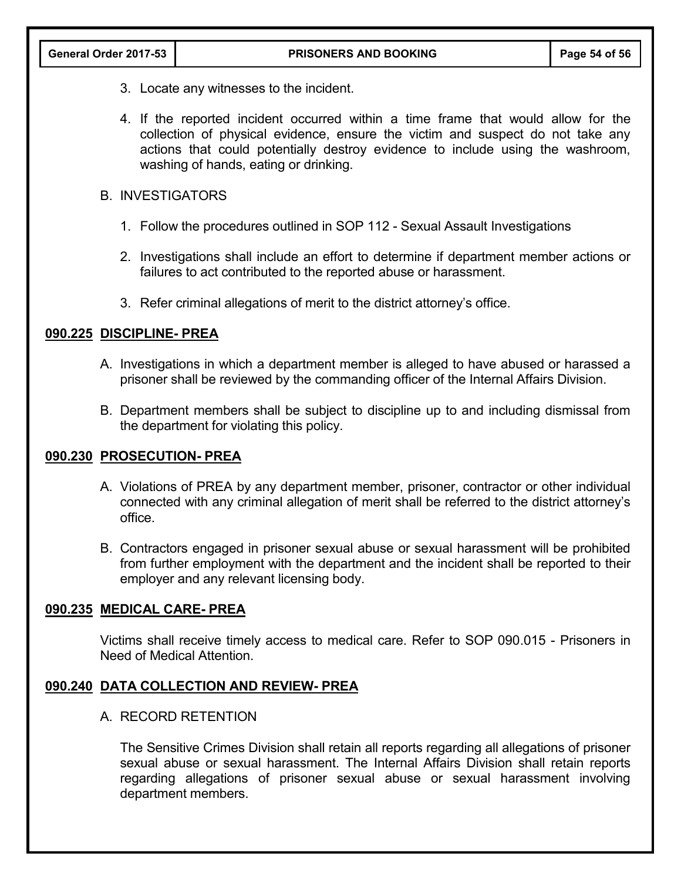- 3. Locate any witnesses to the incident.
- 4. If the reported incident occurred within a time frame that would allow for the collection of physical evidence, ensure the victim and suspect do not take any actions that could potentially destroy evidence to include using the washroom, washing of hands, eating or drinking.

## B. INVESTIGATORS

- 1. Follow the procedures outlined in SOP 112 Sexual Assault Investigations
- 2. Investigations shall include an effort to determine if department member actions or failures to act contributed to the reported abuse or harassment.
- 3. Refer criminal allegations of merit to the district attorney's office.

## **090.225 DISCIPLINE- PREA**

- A. Investigations in which a department member is alleged to have abused or harassed a prisoner shall be reviewed by the commanding officer of the Internal Affairs Division.
- B. Department members shall be subject to discipline up to and including dismissal from the department for violating this policy.

## **090.230 PROSECUTION- PREA**

- A. Violations of PREA by any department member, prisoner, contractor or other individual connected with any criminal allegation of merit shall be referred to the district attorney's office.
- B. Contractors engaged in prisoner sexual abuse or sexual harassment will be prohibited from further employment with the department and the incident shall be reported to their employer and any relevant licensing body.

## **090.235 MEDICAL CARE- PREA**

Victims shall receive timely access to medical care. Refer to SOP 090.015 - Prisoners in Need of Medical Attention.

## **090.240 DATA COLLECTION AND REVIEW- PREA**

## A. RECORD RETENTION

The Sensitive Crimes Division shall retain all reports regarding all allegations of prisoner sexual abuse or sexual harassment. The Internal Affairs Division shall retain reports regarding allegations of prisoner sexual abuse or sexual harassment involving department members.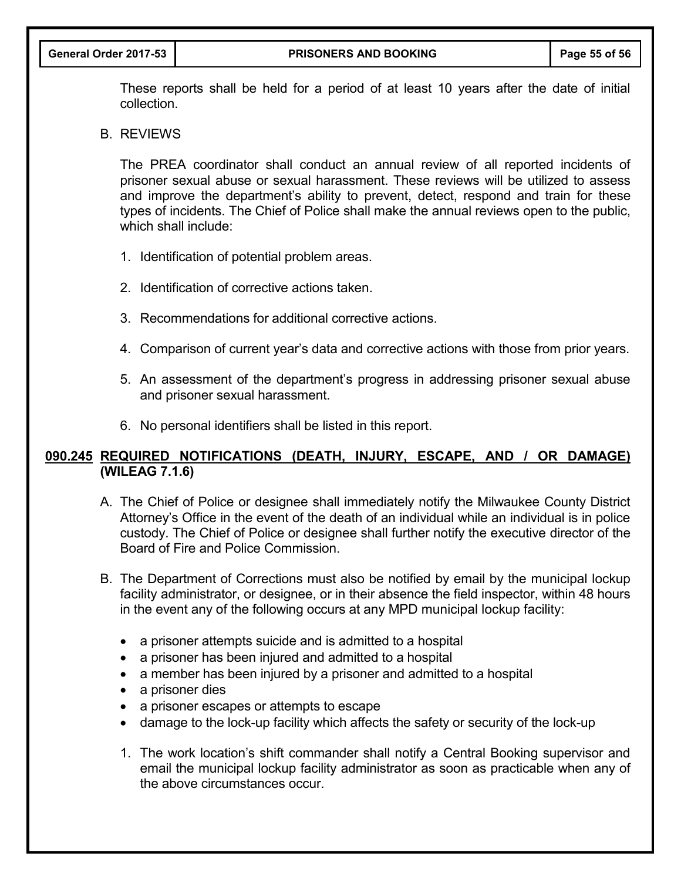These reports shall be held for a period of at least 10 years after the date of initial collection.

#### B. REVIEWS

The PREA coordinator shall conduct an annual review of all reported incidents of prisoner sexual abuse or sexual harassment. These reviews will be utilized to assess and improve the department's ability to prevent, detect, respond and train for these types of incidents. The Chief of Police shall make the annual reviews open to the public, which shall include:

- 1. Identification of potential problem areas.
- 2. Identification of corrective actions taken.
- 3. Recommendations for additional corrective actions.
- 4. Comparison of current year's data and corrective actions with those from prior years.
- 5. An assessment of the department's progress in addressing prisoner sexual abuse and prisoner sexual harassment.
- 6. No personal identifiers shall be listed in this report.

## **090.245 REQUIRED NOTIFICATIONS (DEATH, INJURY, ESCAPE, AND / OR DAMAGE) (WILEAG 7.1.6)**

- A. The Chief of Police or designee shall immediately notify the Milwaukee County District Attorney's Office in the event of the death of an individual while an individual is in police custody. The Chief of Police or designee shall further notify the executive director of the Board of Fire and Police Commission.
- B. The Department of Corrections must also be notified by email by the municipal lockup facility administrator, or designee, or in their absence the field inspector, within 48 hours in the event any of the following occurs at any MPD municipal lockup facility:
	- a prisoner attempts suicide and is admitted to a hospital
	- a prisoner has been injured and admitted to a hospital
	- a member has been injured by a prisoner and admitted to a hospital
	- a prisoner dies
	- a prisoner escapes or attempts to escape
	- damage to the lock-up facility which affects the safety or security of the lock-up
	- 1. The work location's shift commander shall notify a Central Booking supervisor and email the municipal lockup facility administrator as soon as practicable when any of the above circumstances occur.